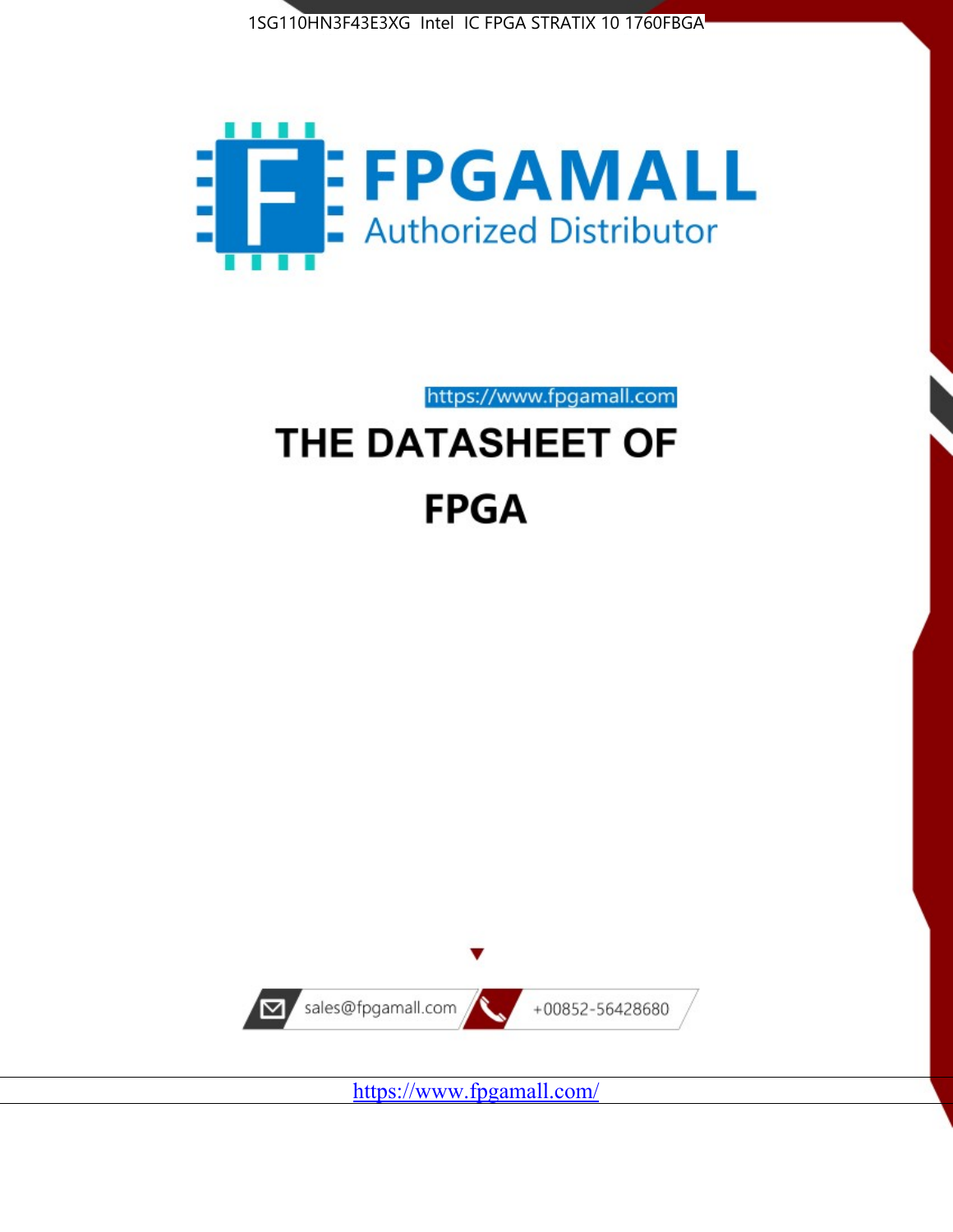



https://www.fpgamall.com

# THE DATASHEET OF **FPGA**



<https://www.fpgamall.com/>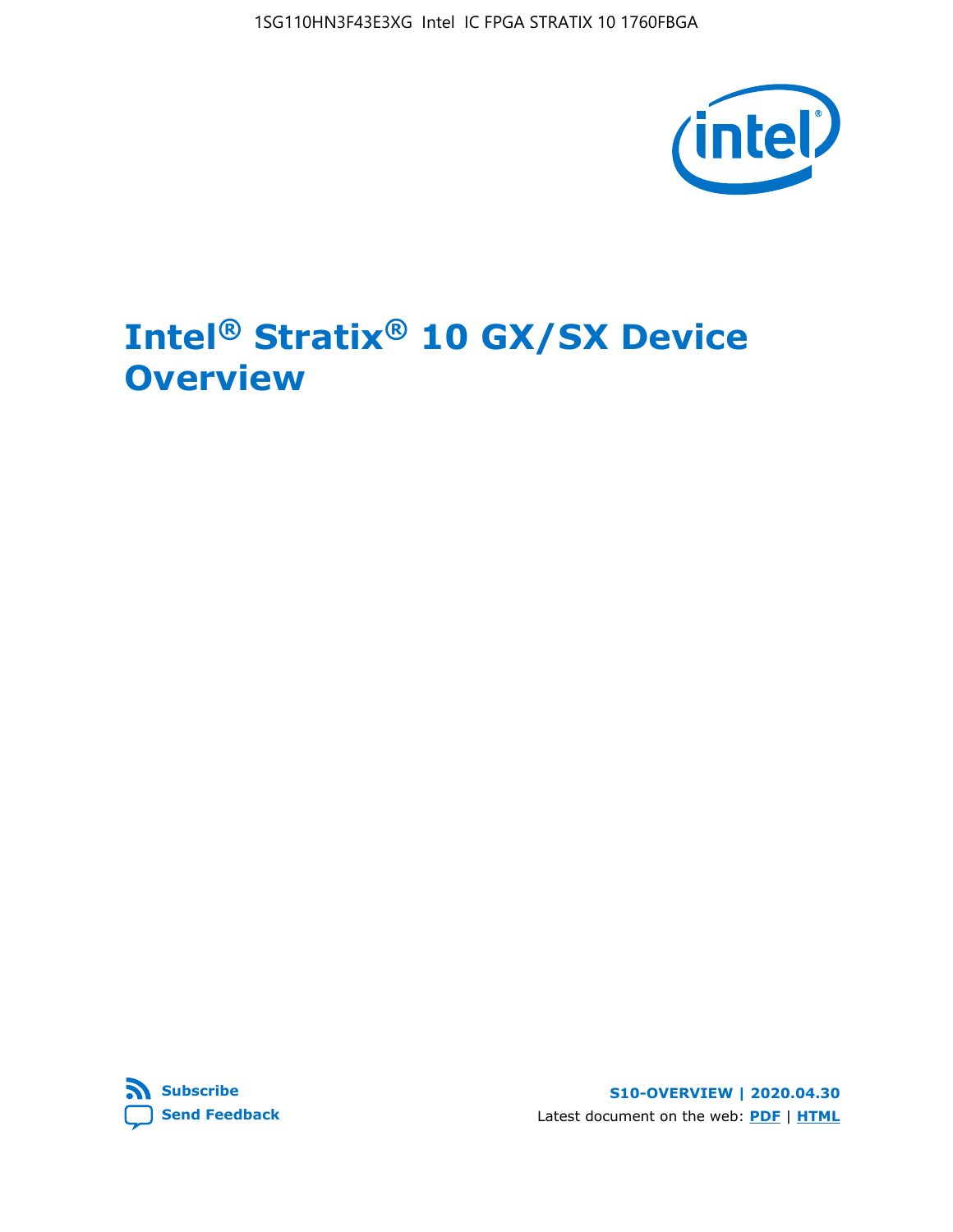1SG110HN3F43E3XG Intel IC FPGA STRATIX 10 1760FBGA



# **Intel® Stratix® 10 GX/SX Device Overview**



**S10-OVERVIEW | 2020.04.30** Latest document on the web: **[PDF](https://www.intel.com/content/dam/www/programmable/us/en/pdfs/literature/hb/stratix-10/s10-overview.pdf)** | **[HTML](https://www.intel.com/content/www/us/en/programmable/documentation/joc1442261161666.html)**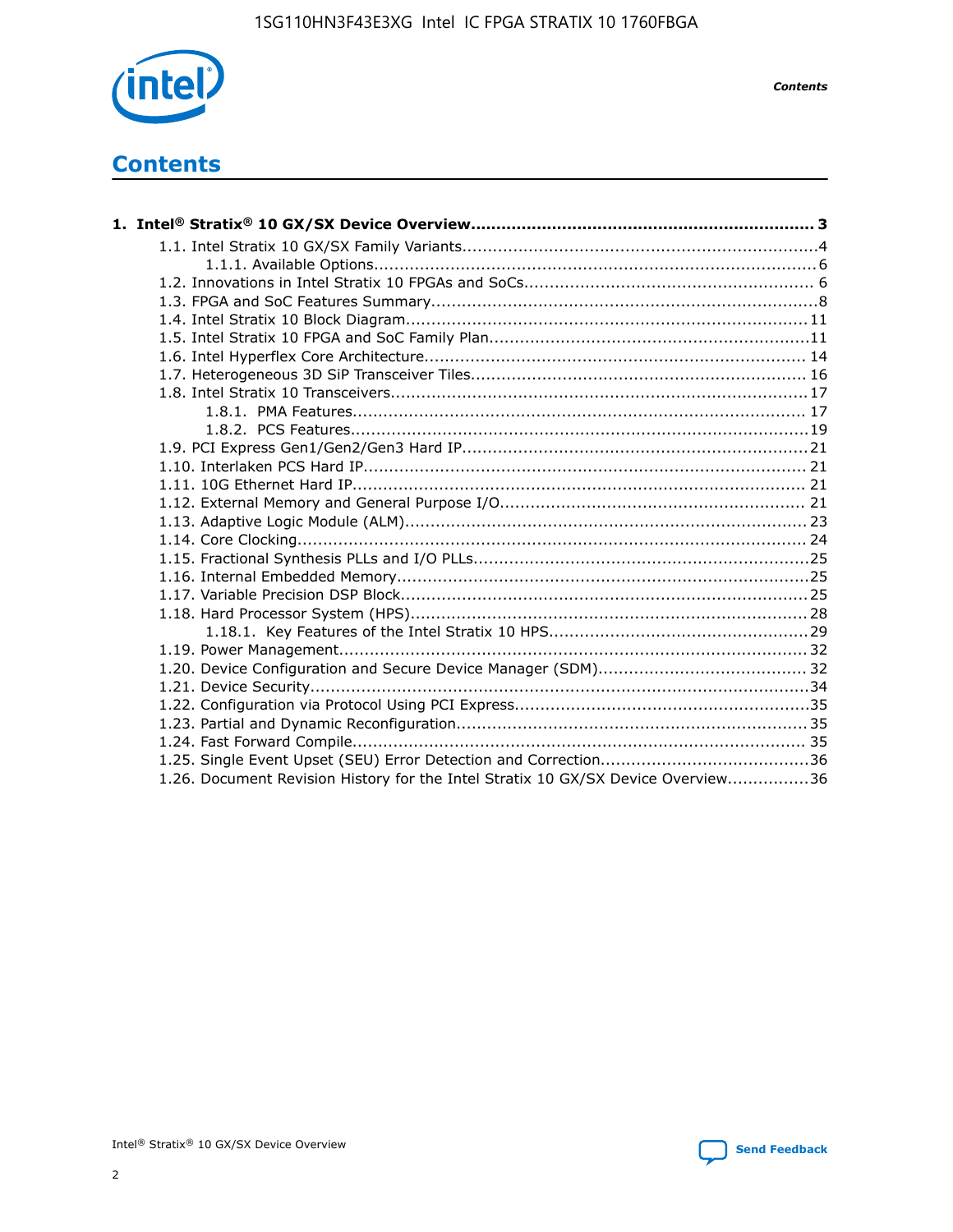

*Contents*

# **Contents**

| 1.26. Document Revision History for the Intel Stratix 10 GX/SX Device Overview36 |  |
|----------------------------------------------------------------------------------|--|

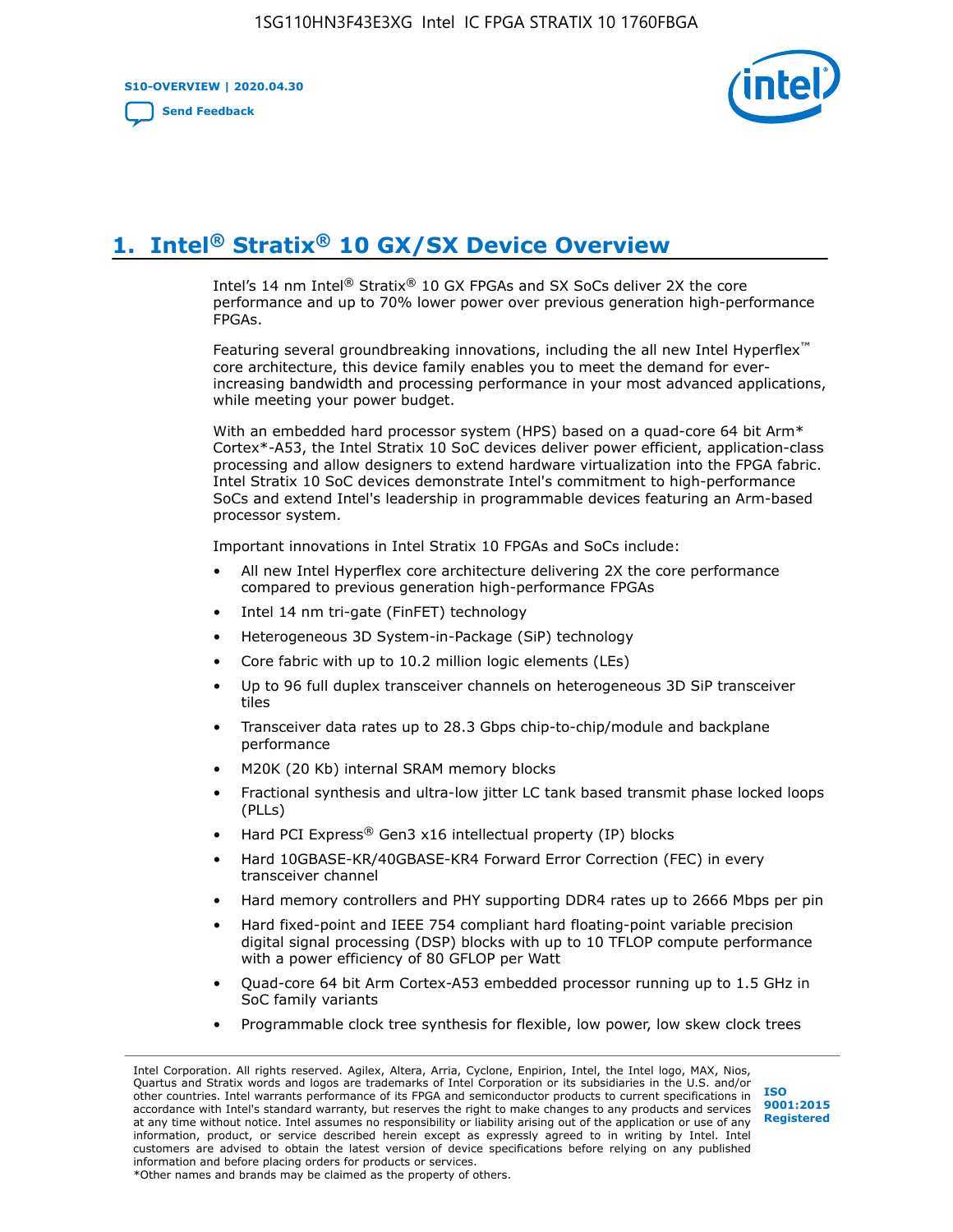**S10-OVERVIEW | 2020.04.30**

**[Send Feedback](mailto:FPGAtechdocfeedback@intel.com?subject=Feedback%20on%20Intel%20Stratix%2010%20GX/SX%20Device%20Overview%20(S10-OVERVIEW%202020.04.30)&body=We%20appreciate%20your%20feedback.%20In%20your%20comments,%20also%20specify%20the%20page%20number%20or%20paragraph.%20Thank%20you.)**



# **1. Intel® Stratix® 10 GX/SX Device Overview**

Intel's 14 nm Intel® Stratix® 10 GX FPGAs and SX SoCs deliver 2X the core performance and up to 70% lower power over previous generation high-performance FPGAs.

Featuring several groundbreaking innovations, including the all new Intel Hyperflex™ core architecture, this device family enables you to meet the demand for everincreasing bandwidth and processing performance in your most advanced applications, while meeting your power budget.

With an embedded hard processor system (HPS) based on a quad-core 64 bit Arm\* Cortex\*-A53, the Intel Stratix 10 SoC devices deliver power efficient, application-class processing and allow designers to extend hardware virtualization into the FPGA fabric. Intel Stratix 10 SoC devices demonstrate Intel's commitment to high-performance SoCs and extend Intel's leadership in programmable devices featuring an Arm-based processor system.

Important innovations in Intel Stratix 10 FPGAs and SoCs include:

- All new Intel Hyperflex core architecture delivering 2X the core performance compared to previous generation high-performance FPGAs
- Intel 14 nm tri-gate (FinFET) technology
- Heterogeneous 3D System-in-Package (SiP) technology
- Core fabric with up to 10.2 million logic elements (LEs)
- Up to 96 full duplex transceiver channels on heterogeneous 3D SiP transceiver tiles
- Transceiver data rates up to 28.3 Gbps chip-to-chip/module and backplane performance
- M20K (20 Kb) internal SRAM memory blocks
- Fractional synthesis and ultra-low jitter LC tank based transmit phase locked loops (PLLs)
- Hard PCI Express<sup>®</sup> Gen3 x16 intellectual property (IP) blocks
- Hard 10GBASE-KR/40GBASE-KR4 Forward Error Correction (FEC) in every transceiver channel
- Hard memory controllers and PHY supporting DDR4 rates up to 2666 Mbps per pin
- Hard fixed-point and IEEE 754 compliant hard floating-point variable precision digital signal processing (DSP) blocks with up to 10 TFLOP compute performance with a power efficiency of 80 GFLOP per Watt
- Quad-core 64 bit Arm Cortex-A53 embedded processor running up to 1.5 GHz in SoC family variants
- Programmable clock tree synthesis for flexible, low power, low skew clock trees

Intel Corporation. All rights reserved. Agilex, Altera, Arria, Cyclone, Enpirion, Intel, the Intel logo, MAX, Nios, Quartus and Stratix words and logos are trademarks of Intel Corporation or its subsidiaries in the U.S. and/or other countries. Intel warrants performance of its FPGA and semiconductor products to current specifications in accordance with Intel's standard warranty, but reserves the right to make changes to any products and services at any time without notice. Intel assumes no responsibility or liability arising out of the application or use of any information, product, or service described herein except as expressly agreed to in writing by Intel. Intel customers are advised to obtain the latest version of device specifications before relying on any published information and before placing orders for products or services. \*Other names and brands may be claimed as the property of others.

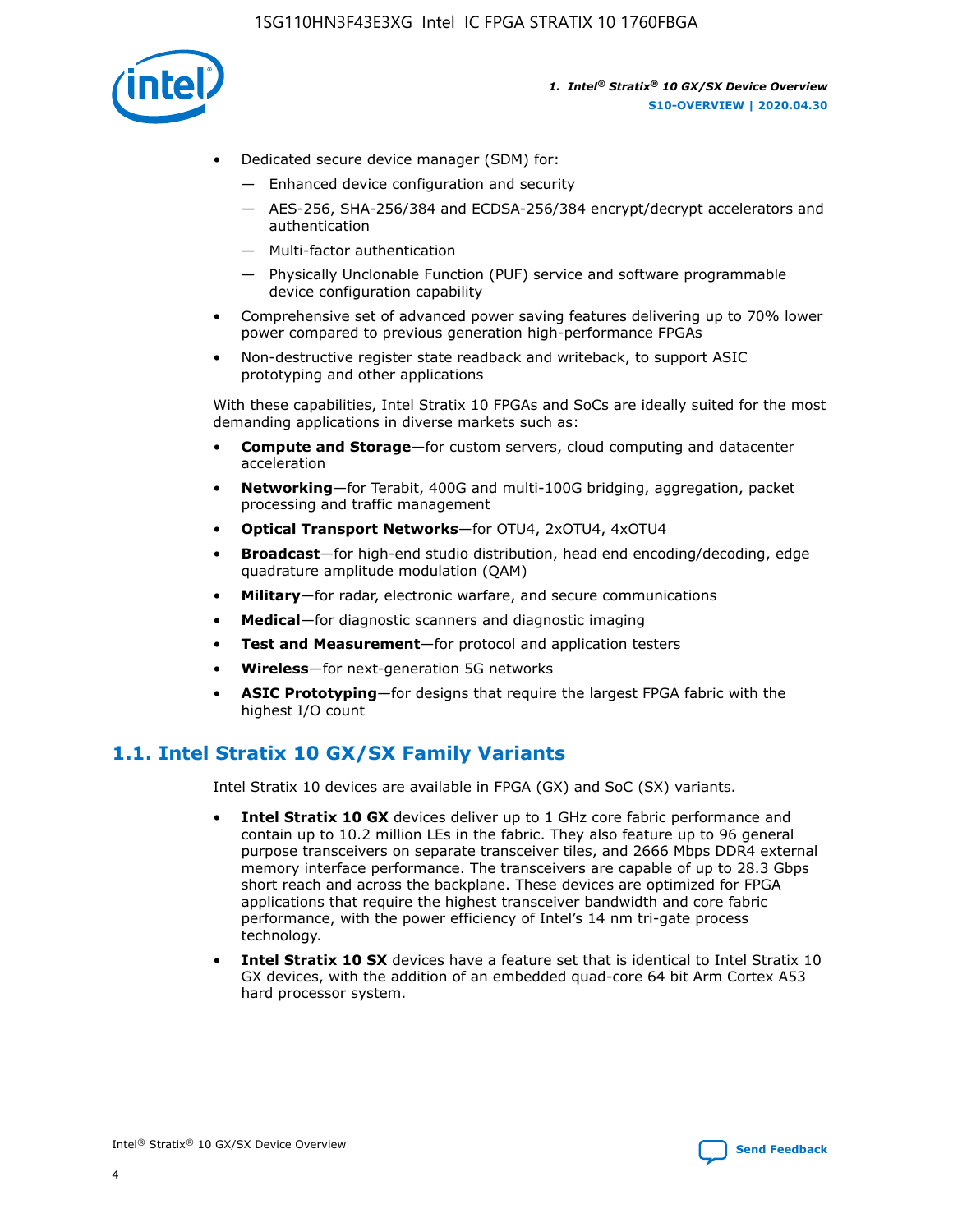

- Dedicated secure device manager (SDM) for:
	- Enhanced device configuration and security
	- AES-256, SHA-256/384 and ECDSA-256/384 encrypt/decrypt accelerators and authentication
	- Multi-factor authentication
	- Physically Unclonable Function (PUF) service and software programmable device configuration capability
- Comprehensive set of advanced power saving features delivering up to 70% lower power compared to previous generation high-performance FPGAs
- Non-destructive register state readback and writeback, to support ASIC prototyping and other applications

With these capabilities, Intel Stratix 10 FPGAs and SoCs are ideally suited for the most demanding applications in diverse markets such as:

- **Compute and Storage**—for custom servers, cloud computing and datacenter acceleration
- **Networking**—for Terabit, 400G and multi-100G bridging, aggregation, packet processing and traffic management
- **Optical Transport Networks**—for OTU4, 2xOTU4, 4xOTU4
- **Broadcast**—for high-end studio distribution, head end encoding/decoding, edge quadrature amplitude modulation (QAM)
- **Military**—for radar, electronic warfare, and secure communications
- **Medical**—for diagnostic scanners and diagnostic imaging
- **Test and Measurement**—for protocol and application testers
- **Wireless**—for next-generation 5G networks
- **ASIC Prototyping**—for designs that require the largest FPGA fabric with the highest I/O count

# **1.1. Intel Stratix 10 GX/SX Family Variants**

Intel Stratix 10 devices are available in FPGA (GX) and SoC (SX) variants.

- **Intel Stratix 10 GX** devices deliver up to 1 GHz core fabric performance and contain up to 10.2 million LEs in the fabric. They also feature up to 96 general purpose transceivers on separate transceiver tiles, and 2666 Mbps DDR4 external memory interface performance. The transceivers are capable of up to 28.3 Gbps short reach and across the backplane. These devices are optimized for FPGA applications that require the highest transceiver bandwidth and core fabric performance, with the power efficiency of Intel's 14 nm tri-gate process technology.
- **Intel Stratix 10 SX** devices have a feature set that is identical to Intel Stratix 10 GX devices, with the addition of an embedded quad-core 64 bit Arm Cortex A53 hard processor system.

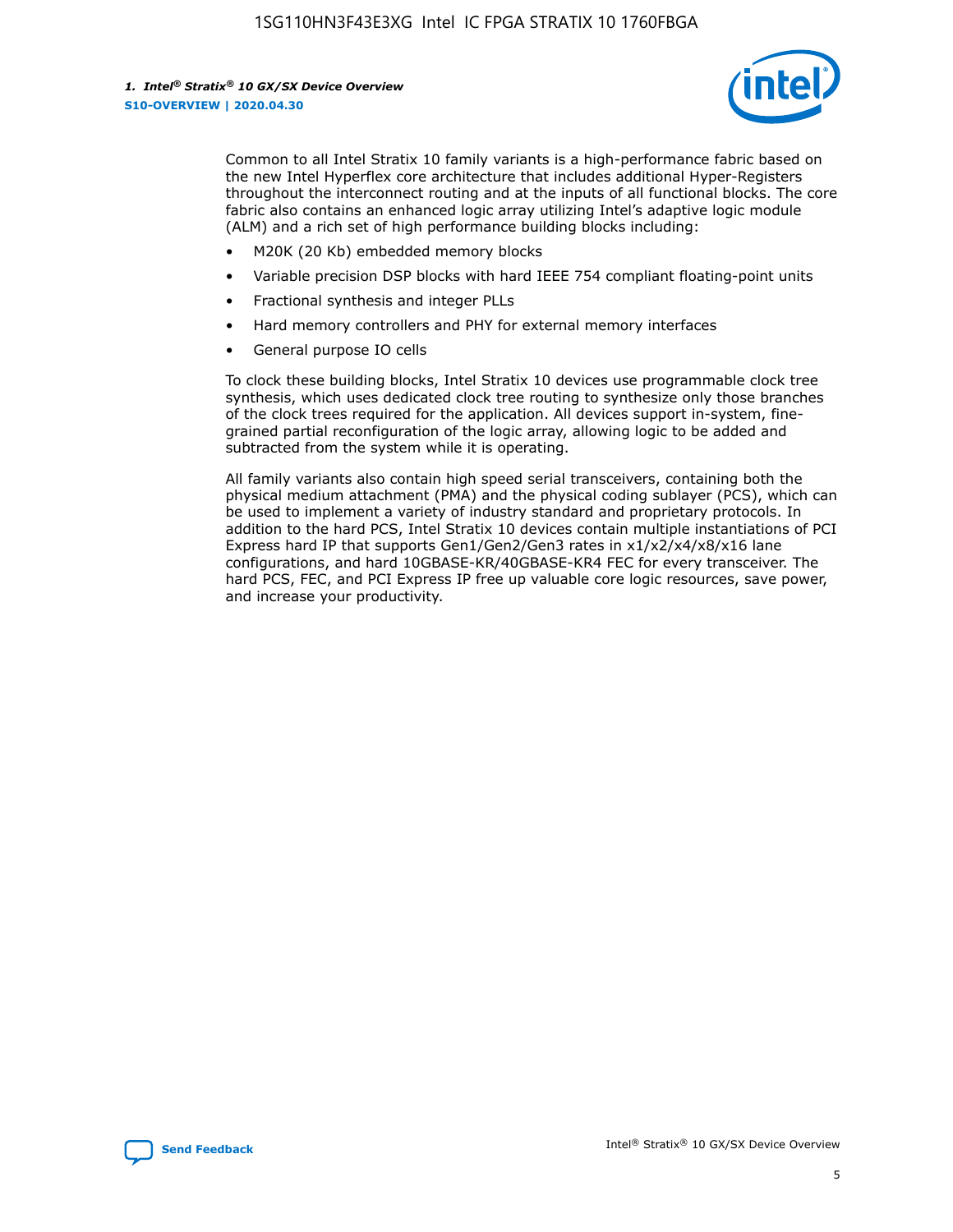

Common to all Intel Stratix 10 family variants is a high-performance fabric based on the new Intel Hyperflex core architecture that includes additional Hyper-Registers throughout the interconnect routing and at the inputs of all functional blocks. The core fabric also contains an enhanced logic array utilizing Intel's adaptive logic module (ALM) and a rich set of high performance building blocks including:

- M20K (20 Kb) embedded memory blocks
- Variable precision DSP blocks with hard IEEE 754 compliant floating-point units
- Fractional synthesis and integer PLLs
- Hard memory controllers and PHY for external memory interfaces
- General purpose IO cells

To clock these building blocks, Intel Stratix 10 devices use programmable clock tree synthesis, which uses dedicated clock tree routing to synthesize only those branches of the clock trees required for the application. All devices support in-system, finegrained partial reconfiguration of the logic array, allowing logic to be added and subtracted from the system while it is operating.

All family variants also contain high speed serial transceivers, containing both the physical medium attachment (PMA) and the physical coding sublayer (PCS), which can be used to implement a variety of industry standard and proprietary protocols. In addition to the hard PCS, Intel Stratix 10 devices contain multiple instantiations of PCI Express hard IP that supports Gen1/Gen2/Gen3 rates in x1/x2/x4/x8/x16 lane configurations, and hard 10GBASE-KR/40GBASE-KR4 FEC for every transceiver. The hard PCS, FEC, and PCI Express IP free up valuable core logic resources, save power, and increase your productivity.

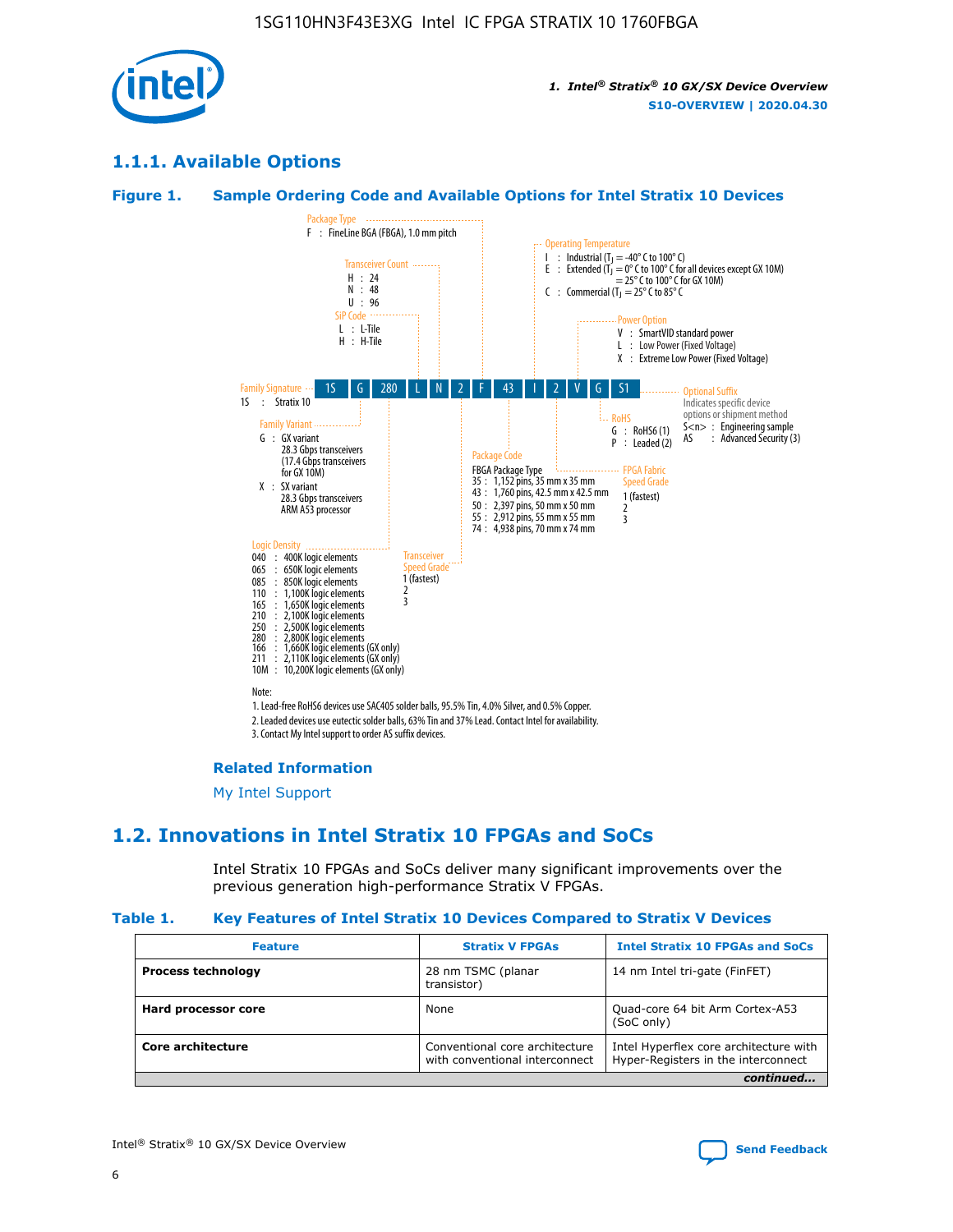

# **1.1.1. Available Options**

#### **Figure 1. Sample Ordering Code and Available Options for Intel Stratix 10 Devices**



#### **Related Information**

[My Intel Support](https://www.intel.com/content/www/us/en/programmable/my-intel/mal-home.html)

# **1.2. Innovations in Intel Stratix 10 FPGAs and SoCs**

Intel Stratix 10 FPGAs and SoCs deliver many significant improvements over the previous generation high-performance Stratix V FPGAs.

#### **Table 1. Key Features of Intel Stratix 10 Devices Compared to Stratix V Devices**

| <b>Feature</b>            | <b>Stratix V FPGAs</b>                                           | <b>Intel Stratix 10 FPGAs and SoCs</b>                                        |
|---------------------------|------------------------------------------------------------------|-------------------------------------------------------------------------------|
| <b>Process technology</b> | 28 nm TSMC (planar<br>transistor)                                | 14 nm Intel tri-gate (FinFET)                                                 |
| Hard processor core       | None                                                             | Quad-core 64 bit Arm Cortex-A53<br>(SoC only)                                 |
| Core architecture         | Conventional core architecture<br>with conventional interconnect | Intel Hyperflex core architecture with<br>Hyper-Registers in the interconnect |
|                           |                                                                  | continued                                                                     |

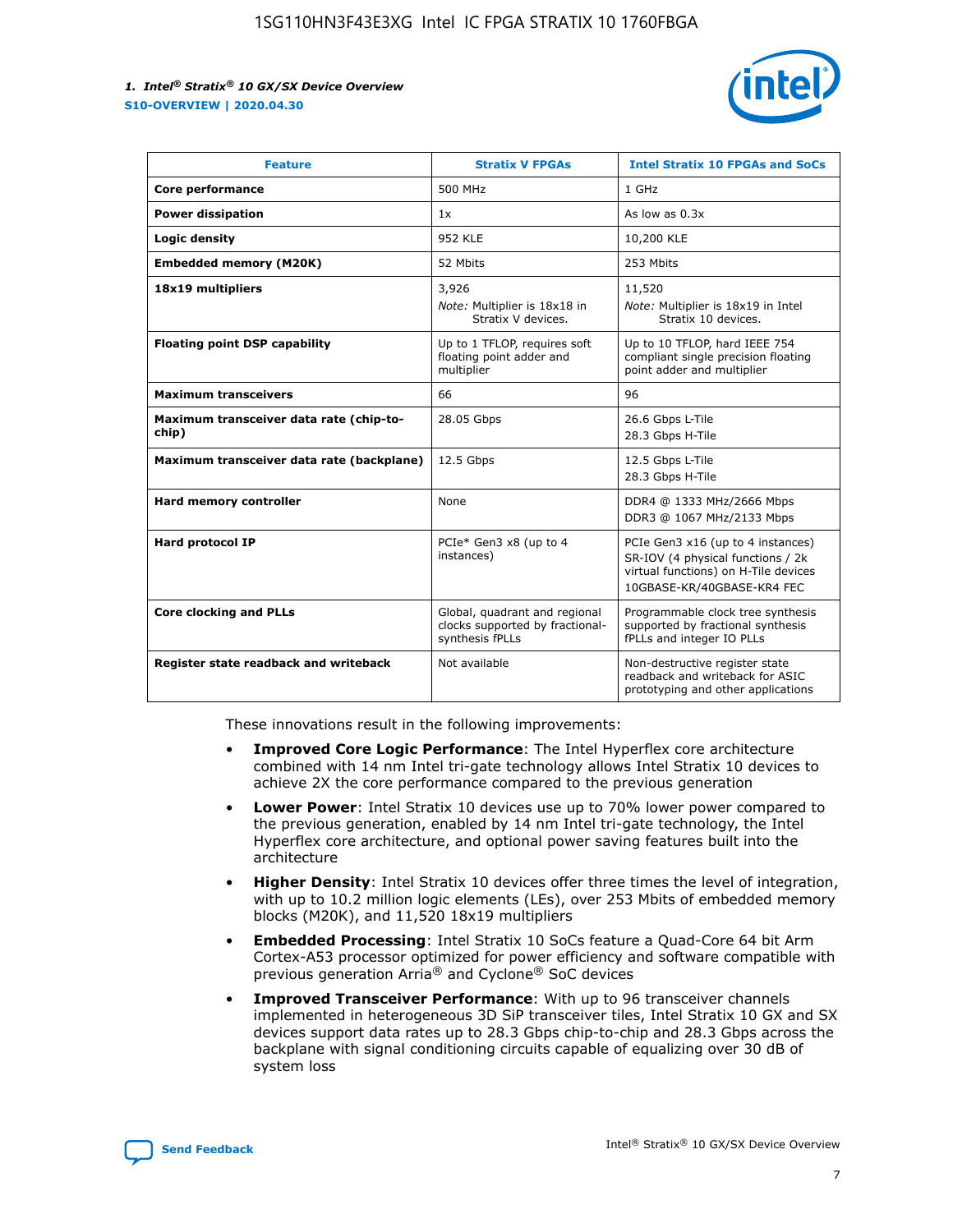

| <b>Feature</b>                                   | <b>Stratix V FPGAs</b>                                                              | <b>Intel Stratix 10 FPGAs and SoCs</b>                                                                                                       |
|--------------------------------------------------|-------------------------------------------------------------------------------------|----------------------------------------------------------------------------------------------------------------------------------------------|
| Core performance                                 | 500 MHz                                                                             | 1 GHz                                                                                                                                        |
| <b>Power dissipation</b>                         | 1x                                                                                  | As low as $0.3x$                                                                                                                             |
| Logic density                                    | <b>952 KLE</b>                                                                      | 10,200 KLE                                                                                                                                   |
| <b>Embedded memory (M20K)</b>                    | 52 Mbits                                                                            | 253 Mbits                                                                                                                                    |
| 18x19 multipliers                                | 3,926                                                                               | 11,520                                                                                                                                       |
|                                                  | Note: Multiplier is 18x18 in<br>Stratix V devices.                                  | Note: Multiplier is 18x19 in Intel<br>Stratix 10 devices.                                                                                    |
| <b>Floating point DSP capability</b>             | Up to 1 TFLOP, requires soft<br>floating point adder and<br>multiplier              | Up to 10 TFLOP, hard IEEE 754<br>compliant single precision floating<br>point adder and multiplier                                           |
| <b>Maximum transceivers</b>                      | 66                                                                                  | 96                                                                                                                                           |
| Maximum transceiver data rate (chip-to-<br>chip) | 28.05 Gbps                                                                          | 26.6 Gbps L-Tile<br>28.3 Gbps H-Tile                                                                                                         |
| Maximum transceiver data rate (backplane)        | 12.5 Gbps                                                                           | 12.5 Gbps L-Tile<br>28.3 Gbps H-Tile                                                                                                         |
| Hard memory controller                           | None                                                                                | DDR4 @ 1333 MHz/2666 Mbps<br>DDR3 @ 1067 MHz/2133 Mbps                                                                                       |
| <b>Hard protocol IP</b>                          | PCIe* Gen3 x8 (up to 4<br>instances)                                                | PCIe Gen3 x16 (up to 4 instances)<br>SR-IOV (4 physical functions / 2k<br>virtual functions) on H-Tile devices<br>10GBASE-KR/40GBASE-KR4 FEC |
| <b>Core clocking and PLLs</b>                    | Global, quadrant and regional<br>clocks supported by fractional-<br>synthesis fPLLs | Programmable clock tree synthesis<br>supported by fractional synthesis<br>fPLLs and integer IO PLLs                                          |
| Register state readback and writeback            | Not available                                                                       | Non-destructive register state<br>readback and writeback for ASIC<br>prototyping and other applications                                      |

These innovations result in the following improvements:

- **Improved Core Logic Performance**: The Intel Hyperflex core architecture combined with 14 nm Intel tri-gate technology allows Intel Stratix 10 devices to achieve 2X the core performance compared to the previous generation
- **Lower Power**: Intel Stratix 10 devices use up to 70% lower power compared to the previous generation, enabled by 14 nm Intel tri-gate technology, the Intel Hyperflex core architecture, and optional power saving features built into the architecture
- **Higher Density**: Intel Stratix 10 devices offer three times the level of integration, with up to 10.2 million logic elements (LEs), over 253 Mbits of embedded memory blocks (M20K), and 11,520 18x19 multipliers
- **Embedded Processing**: Intel Stratix 10 SoCs feature a Quad-Core 64 bit Arm Cortex-A53 processor optimized for power efficiency and software compatible with previous generation Arria® and Cyclone® SoC devices
- **Improved Transceiver Performance**: With up to 96 transceiver channels implemented in heterogeneous 3D SiP transceiver tiles, Intel Stratix 10 GX and SX devices support data rates up to 28.3 Gbps chip-to-chip and 28.3 Gbps across the backplane with signal conditioning circuits capable of equalizing over 30 dB of system loss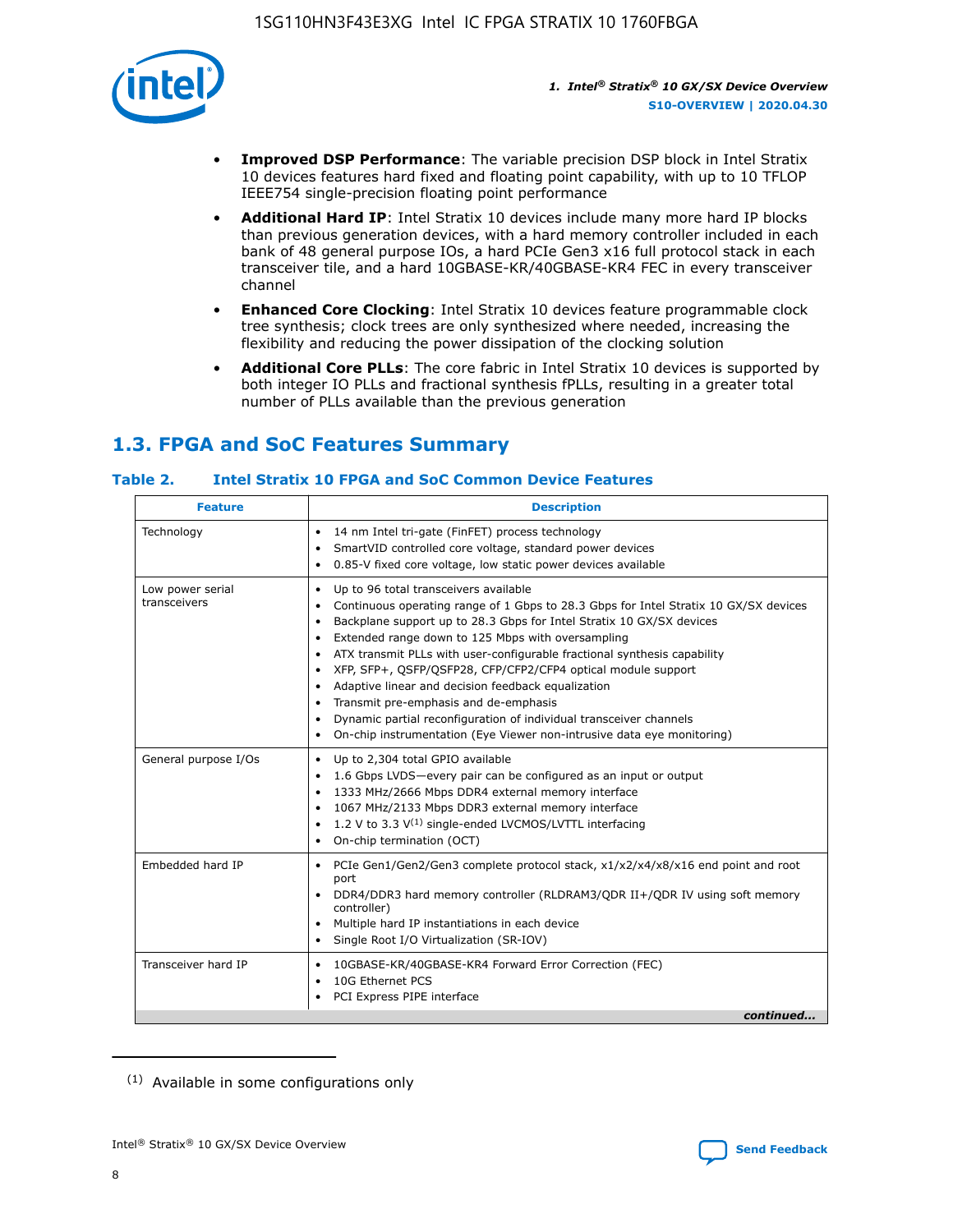

- **Improved DSP Performance**: The variable precision DSP block in Intel Stratix 10 devices features hard fixed and floating point capability, with up to 10 TFLOP IEEE754 single-precision floating point performance
- **Additional Hard IP**: Intel Stratix 10 devices include many more hard IP blocks than previous generation devices, with a hard memory controller included in each bank of 48 general purpose IOs, a hard PCIe Gen3 x16 full protocol stack in each transceiver tile, and a hard 10GBASE-KR/40GBASE-KR4 FEC in every transceiver channel
- **Enhanced Core Clocking**: Intel Stratix 10 devices feature programmable clock tree synthesis; clock trees are only synthesized where needed, increasing the flexibility and reducing the power dissipation of the clocking solution
- **Additional Core PLLs**: The core fabric in Intel Stratix 10 devices is supported by both integer IO PLLs and fractional synthesis fPLLs, resulting in a greater total number of PLLs available than the previous generation

# **1.3. FPGA and SoC Features Summary**

### **Table 2. Intel Stratix 10 FPGA and SoC Common Device Features**

| <b>Feature</b>                   | <b>Description</b>                                                                                                                                                                                                                                                                                                                                                                                                                                                                                                                                                                                                                                                                                                                                   |
|----------------------------------|------------------------------------------------------------------------------------------------------------------------------------------------------------------------------------------------------------------------------------------------------------------------------------------------------------------------------------------------------------------------------------------------------------------------------------------------------------------------------------------------------------------------------------------------------------------------------------------------------------------------------------------------------------------------------------------------------------------------------------------------------|
| Technology                       | 14 nm Intel tri-gate (FinFET) process technology<br>٠<br>SmartVID controlled core voltage, standard power devices<br>0.85-V fixed core voltage, low static power devices available                                                                                                                                                                                                                                                                                                                                                                                                                                                                                                                                                                   |
| Low power serial<br>transceivers | Up to 96 total transceivers available<br>$\bullet$<br>Continuous operating range of 1 Gbps to 28.3 Gbps for Intel Stratix 10 GX/SX devices<br>$\bullet$<br>Backplane support up to 28.3 Gbps for Intel Stratix 10 GX/SX devices<br>$\bullet$<br>Extended range down to 125 Mbps with oversampling<br>$\bullet$<br>ATX transmit PLLs with user-configurable fractional synthesis capability<br>$\bullet$<br>• XFP, SFP+, OSFP/OSFP28, CFP/CFP2/CFP4 optical module support<br>• Adaptive linear and decision feedback equalization<br>Transmit pre-emphasis and de-emphasis<br>Dynamic partial reconfiguration of individual transceiver channels<br>$\bullet$<br>On-chip instrumentation (Eye Viewer non-intrusive data eye monitoring)<br>$\bullet$ |
| General purpose I/Os             | Up to 2,304 total GPIO available<br>$\bullet$<br>1.6 Gbps LVDS-every pair can be configured as an input or output<br>$\bullet$<br>1333 MHz/2666 Mbps DDR4 external memory interface<br>1067 MHz/2133 Mbps DDR3 external memory interface<br>1.2 V to 3.3 $V^{(1)}$ single-ended LVCMOS/LVTTL interfacing<br>$\bullet$<br>On-chip termination (OCT)<br>$\bullet$                                                                                                                                                                                                                                                                                                                                                                                      |
| Embedded hard IP                 | • PCIe Gen1/Gen2/Gen3 complete protocol stack, $x1/x2/x4/x8/x16$ end point and root<br>port<br>DDR4/DDR3 hard memory controller (RLDRAM3/QDR II+/QDR IV using soft memory<br>controller)<br>Multiple hard IP instantiations in each device<br>$\bullet$<br>• Single Root I/O Virtualization (SR-IOV)                                                                                                                                                                                                                                                                                                                                                                                                                                                 |
| Transceiver hard IP              | 10GBASE-KR/40GBASE-KR4 Forward Error Correction (FEC)<br>$\bullet$<br>10G Ethernet PCS<br>$\bullet$<br>• PCI Express PIPE interface<br>continued                                                                                                                                                                                                                                                                                                                                                                                                                                                                                                                                                                                                     |

<sup>(1)</sup> Available in some configurations only

8

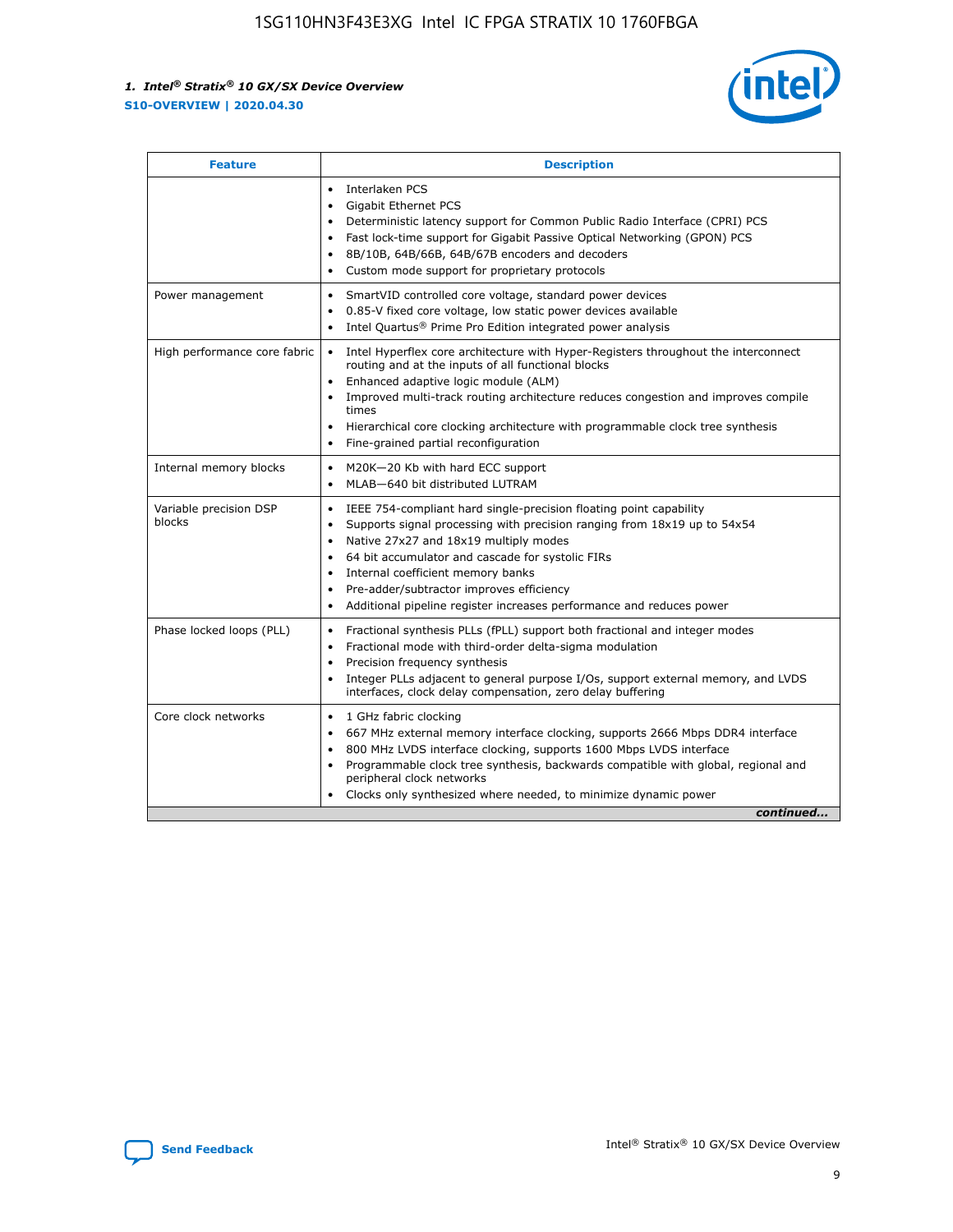

| <b>Feature</b>                   | <b>Description</b>                                                                                                                                                                                                                                                                                                                                                                                                                                                    |
|----------------------------------|-----------------------------------------------------------------------------------------------------------------------------------------------------------------------------------------------------------------------------------------------------------------------------------------------------------------------------------------------------------------------------------------------------------------------------------------------------------------------|
|                                  | Interlaken PCS<br>$\bullet$<br>Gigabit Ethernet PCS<br>$\bullet$<br>Deterministic latency support for Common Public Radio Interface (CPRI) PCS<br>$\bullet$<br>Fast lock-time support for Gigabit Passive Optical Networking (GPON) PCS<br>$\bullet$<br>8B/10B, 64B/66B, 64B/67B encoders and decoders<br>$\bullet$<br>Custom mode support for proprietary protocols<br>$\bullet$                                                                                     |
| Power management                 | SmartVID controlled core voltage, standard power devices<br>$\bullet$<br>0.85-V fixed core voltage, low static power devices available<br>$\bullet$<br>Intel Quartus <sup>®</sup> Prime Pro Edition integrated power analysis<br>$\bullet$                                                                                                                                                                                                                            |
| High performance core fabric     | Intel Hyperflex core architecture with Hyper-Registers throughout the interconnect<br>$\bullet$<br>routing and at the inputs of all functional blocks<br>Enhanced adaptive logic module (ALM)<br>$\bullet$<br>Improved multi-track routing architecture reduces congestion and improves compile<br>times<br>Hierarchical core clocking architecture with programmable clock tree synthesis<br>Fine-grained partial reconfiguration                                    |
| Internal memory blocks           | M20K-20 Kb with hard ECC support<br>٠<br>MLAB-640 bit distributed LUTRAM<br>$\bullet$                                                                                                                                                                                                                                                                                                                                                                                 |
| Variable precision DSP<br>blocks | IEEE 754-compliant hard single-precision floating point capability<br>$\bullet$<br>Supports signal processing with precision ranging from 18x19 up to 54x54<br>$\bullet$<br>Native 27x27 and 18x19 multiply modes<br>$\bullet$<br>64 bit accumulator and cascade for systolic FIRs<br>Internal coefficient memory banks<br>Pre-adder/subtractor improves efficiency<br>$\bullet$<br>Additional pipeline register increases performance and reduces power<br>$\bullet$ |
| Phase locked loops (PLL)         | Fractional synthesis PLLs (fPLL) support both fractional and integer modes<br>$\bullet$<br>Fractional mode with third-order delta-sigma modulation<br>Precision frequency synthesis<br>$\bullet$<br>Integer PLLs adjacent to general purpose I/Os, support external memory, and LVDS<br>$\bullet$<br>interfaces, clock delay compensation, zero delay buffering                                                                                                       |
| Core clock networks              | 1 GHz fabric clocking<br>$\bullet$<br>667 MHz external memory interface clocking, supports 2666 Mbps DDR4 interface<br>$\bullet$<br>800 MHz LVDS interface clocking, supports 1600 Mbps LVDS interface<br>$\bullet$<br>Programmable clock tree synthesis, backwards compatible with global, regional and<br>$\bullet$<br>peripheral clock networks<br>Clocks only synthesized where needed, to minimize dynamic power<br>continued                                    |

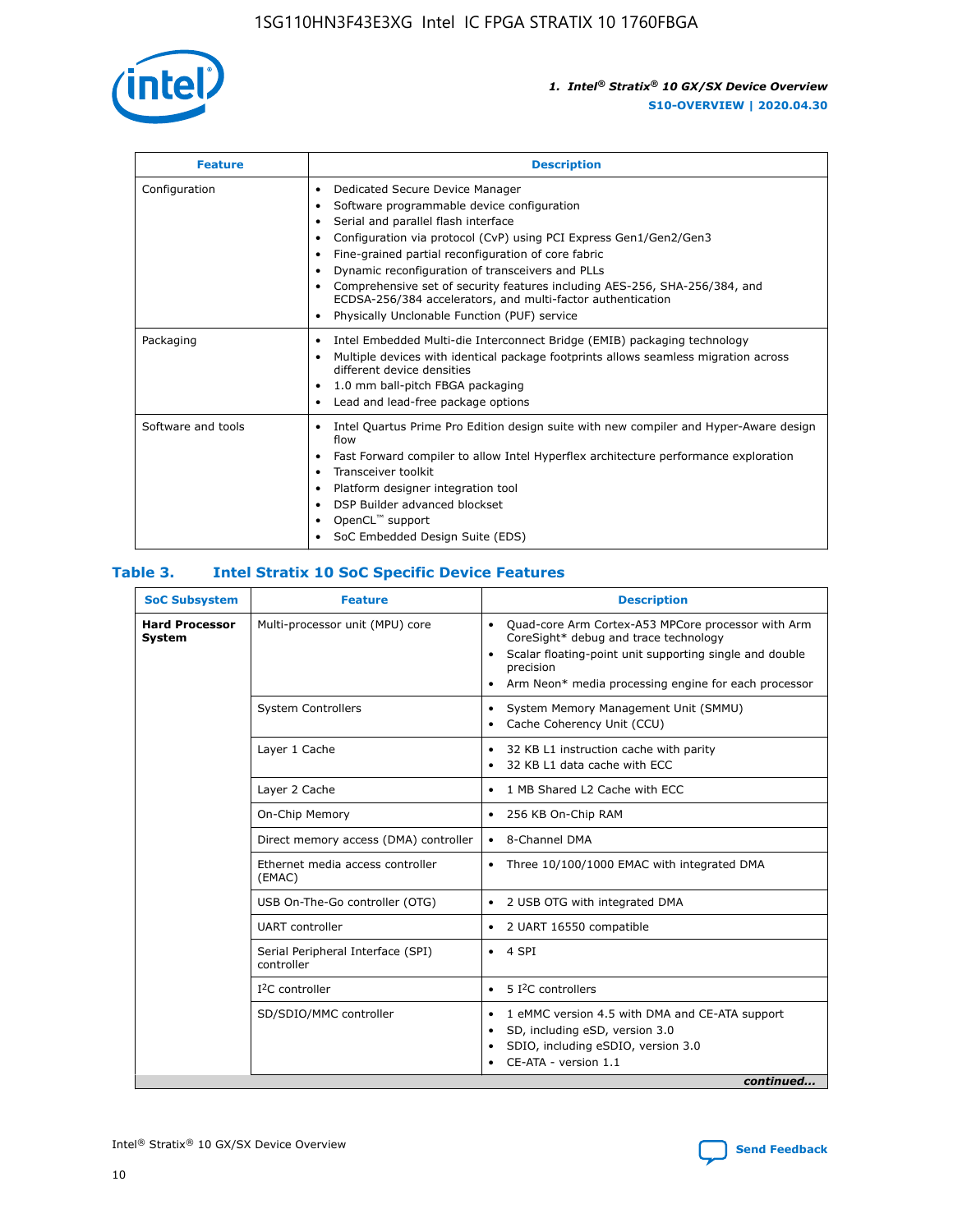

| <b>Feature</b>     | <b>Description</b>                                                                                                                                                                                                                                                                                                                                                                                                                                                                                                                                                   |
|--------------------|----------------------------------------------------------------------------------------------------------------------------------------------------------------------------------------------------------------------------------------------------------------------------------------------------------------------------------------------------------------------------------------------------------------------------------------------------------------------------------------------------------------------------------------------------------------------|
| Configuration      | Dedicated Secure Device Manager<br>$\bullet$<br>Software programmable device configuration<br>٠<br>Serial and parallel flash interface<br>٠<br>Configuration via protocol (CvP) using PCI Express Gen1/Gen2/Gen3<br>٠<br>Fine-grained partial reconfiguration of core fabric<br>$\bullet$<br>Dynamic reconfiguration of transceivers and PLLs<br>$\bullet$<br>Comprehensive set of security features including AES-256, SHA-256/384, and<br>ECDSA-256/384 accelerators, and multi-factor authentication<br>Physically Unclonable Function (PUF) service<br>$\bullet$ |
| Packaging          | Intel Embedded Multi-die Interconnect Bridge (EMIB) packaging technology<br>٠<br>Multiple devices with identical package footprints allows seamless migration across<br>$\bullet$<br>different device densities<br>1.0 mm ball-pitch FBGA packaging<br>$\bullet$<br>Lead and lead-free package options                                                                                                                                                                                                                                                               |
| Software and tools | Intel Quartus Prime Pro Edition design suite with new compiler and Hyper-Aware design<br>flow<br>Fast Forward compiler to allow Intel Hyperflex architecture performance exploration<br>$\bullet$<br>Transceiver toolkit<br>$\bullet$<br>Platform designer integration tool<br>DSP Builder advanced blockset<br>OpenCL <sup>™</sup> support<br>SoC Embedded Design Suite (EDS)                                                                                                                                                                                       |

#### **Table 3. Intel Stratix 10 SoC Specific Device Features**

| <b>SoC Subsystem</b>            | <b>Feature</b>                                  | <b>Description</b>                                                                                                                                                                                                                                                 |
|---------------------------------|-------------------------------------------------|--------------------------------------------------------------------------------------------------------------------------------------------------------------------------------------------------------------------------------------------------------------------|
| <b>Hard Processor</b><br>System | Multi-processor unit (MPU) core                 | Quad-core Arm Cortex-A53 MPCore processor with Arm<br>$\bullet$<br>CoreSight* debug and trace technology<br>Scalar floating-point unit supporting single and double<br>$\bullet$<br>precision<br>Arm Neon* media processing engine for each processor<br>$\bullet$ |
|                                 | <b>System Controllers</b>                       | System Memory Management Unit (SMMU)<br>$\bullet$<br>Cache Coherency Unit (CCU)<br>$\bullet$                                                                                                                                                                       |
|                                 | Layer 1 Cache                                   | 32 KB L1 instruction cache with parity<br>$\bullet$<br>32 KB L1 data cache with ECC<br>$\bullet$                                                                                                                                                                   |
|                                 | Layer 2 Cache                                   | 1 MB Shared L2 Cache with ECC<br>$\bullet$                                                                                                                                                                                                                         |
|                                 | On-Chip Memory                                  | 256 KB On-Chip RAM<br>٠                                                                                                                                                                                                                                            |
|                                 | Direct memory access (DMA) controller           | 8-Channel DMA<br>$\bullet$                                                                                                                                                                                                                                         |
|                                 | Ethernet media access controller<br>(EMAC)      | Three 10/100/1000 EMAC with integrated DMA<br>$\bullet$                                                                                                                                                                                                            |
|                                 | USB On-The-Go controller (OTG)                  | 2 USB OTG with integrated DMA<br>$\bullet$                                                                                                                                                                                                                         |
|                                 | <b>UART</b> controller                          | 2 UART 16550 compatible<br>$\bullet$                                                                                                                                                                                                                               |
|                                 | Serial Peripheral Interface (SPI)<br>controller | 4 SPI<br>$\bullet$                                                                                                                                                                                                                                                 |
|                                 | $I2C$ controller                                | 5 I <sup>2</sup> C controllers<br>$\bullet$                                                                                                                                                                                                                        |
|                                 | SD/SDIO/MMC controller                          | 1 eMMC version 4.5 with DMA and CE-ATA support<br>$\bullet$<br>SD, including eSD, version 3.0<br>$\bullet$<br>SDIO, including eSDIO, version 3.0<br>$\bullet$<br>CE-ATA - version 1.1                                                                              |
|                                 |                                                 | continued                                                                                                                                                                                                                                                          |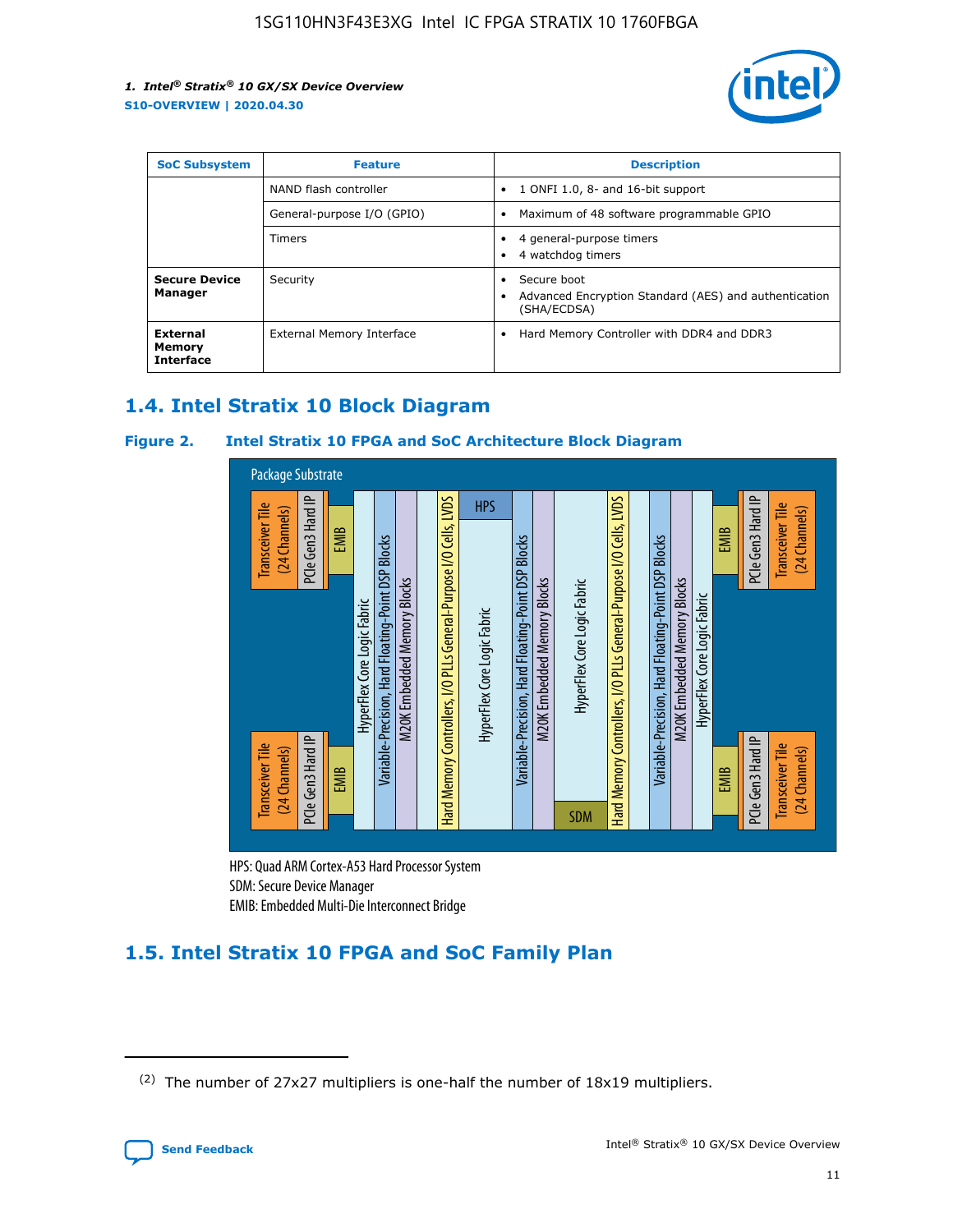

| <b>SoC Subsystem</b>                   | <b>Feature</b>             | <b>Description</b>                                                                               |  |  |
|----------------------------------------|----------------------------|--------------------------------------------------------------------------------------------------|--|--|
|                                        | NAND flash controller      | 1 ONFI 1.0, 8- and 16-bit support<br>٠                                                           |  |  |
|                                        | General-purpose I/O (GPIO) | Maximum of 48 software programmable GPIO<br>$\bullet$                                            |  |  |
|                                        | <b>Timers</b>              | 4 general-purpose timers<br>4 watchdog timers                                                    |  |  |
| <b>Secure Device</b><br>Manager        | Security                   | Secure boot<br>$\bullet$<br>Advanced Encryption Standard (AES) and authentication<br>(SHA/ECDSA) |  |  |
| External<br>Memory<br><b>Interface</b> | External Memory Interface  | Hard Memory Controller with DDR4 and DDR3<br>$\bullet$                                           |  |  |

# **1.4. Intel Stratix 10 Block Diagram**

### **Figure 2. Intel Stratix 10 FPGA and SoC Architecture Block Diagram**



HPS: Quad ARM Cortex-A53 Hard Processor System SDM: Secure Device Manager

# **1.5. Intel Stratix 10 FPGA and SoC Family Plan**

<sup>(2)</sup> The number of 27x27 multipliers is one-half the number of 18x19 multipliers.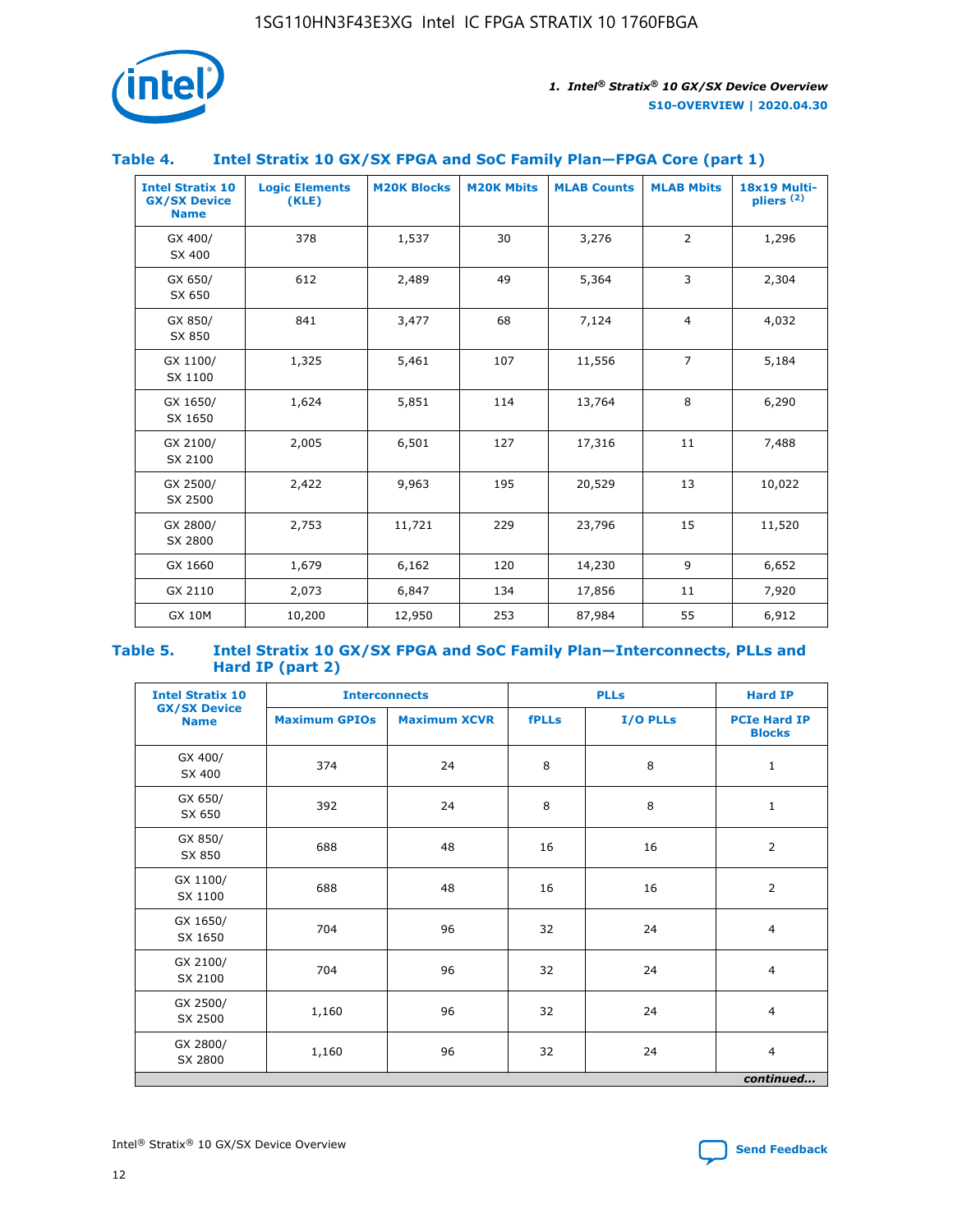

#### **Table 4. Intel Stratix 10 GX/SX FPGA and SoC Family Plan—FPGA Core (part 1)**

| <b>Intel Stratix 10</b><br><b>GX/SX Device</b><br><b>Name</b> | <b>Logic Elements</b><br>(KLE) | <b>M20K Blocks</b> | <b>M20K Mbits</b> | <b>MLAB Counts</b> | <b>MLAB Mbits</b> | 18x19 Multi-<br>pliers <sup>(2)</sup> |
|---------------------------------------------------------------|--------------------------------|--------------------|-------------------|--------------------|-------------------|---------------------------------------|
| GX 400/<br>SX 400                                             | 378                            | 1,537              | 30                | 3,276              | $\overline{2}$    | 1,296                                 |
| GX 650/<br>SX 650                                             | 612                            | 2,489              | 49                | 5,364              | 3                 | 2,304                                 |
| GX 850/<br>SX 850                                             | 841                            | 3,477              | 68                | 7,124              | $\overline{4}$    | 4,032                                 |
| GX 1100/<br>SX 1100                                           | 1,325                          | 5,461              | 107               | 11,556             | $\overline{7}$    | 5,184                                 |
| GX 1650/<br>SX 1650                                           | 1,624                          | 5,851              | 114               | 13,764             | 8                 | 6,290                                 |
| GX 2100/<br>SX 2100                                           | 2,005                          | 6,501              | 127               | 17,316             | 11                | 7,488                                 |
| GX 2500/<br>SX 2500                                           | 2,422                          | 9,963              | 195               | 20,529             | 13                | 10,022                                |
| GX 2800/<br>SX 2800                                           | 2,753                          | 11,721             | 229               | 23,796             | 15                | 11,520                                |
| GX 1660                                                       | 1,679                          | 6,162              | 120               | 14,230             | 9                 | 6,652                                 |
| GX 2110                                                       | 2,073                          | 6,847              | 134               | 17,856             | 11                | 7,920                                 |
| <b>GX 10M</b>                                                 | 10,200                         | 12,950             | 253               | 87,984             | 55                | 6,912                                 |

#### **Table 5. Intel Stratix 10 GX/SX FPGA and SoC Family Plan—Interconnects, PLLs and Hard IP (part 2)**

| <b>Intel Stratix 10</b>            | <b>Interconnects</b> |                     |              | <b>PLLs</b> |                                      |  |
|------------------------------------|----------------------|---------------------|--------------|-------------|--------------------------------------|--|
| <b>GX/SX Device</b><br><b>Name</b> | <b>Maximum GPIOs</b> | <b>Maximum XCVR</b> | <b>fPLLs</b> | I/O PLLs    | <b>PCIe Hard IP</b><br><b>Blocks</b> |  |
| GX 400/<br>SX 400                  | 374                  | 24                  | 8            | 8           | $\mathbf{1}$                         |  |
| GX 650/<br>SX 650                  | 392                  | 24                  | 8            | 8           | $\mathbf{1}$                         |  |
| GX 850/<br>SX 850                  | 688                  | 48                  | 16           | 16          | 2                                    |  |
| GX 1100/<br>SX 1100                | 688                  | 48                  | 16           | 16          | $\overline{2}$                       |  |
| GX 1650/<br>SX 1650                | 704                  | 96                  | 32           | 24          | $\overline{4}$                       |  |
| GX 2100/<br>SX 2100                | 704                  | 96                  | 32           | 24          | $\overline{4}$                       |  |
| GX 2500/<br>SX 2500                | 1,160                | 96                  | 32           | 24          | $\overline{4}$                       |  |
| GX 2800/<br>SX 2800                | 1,160                | 96                  | 32           | 24          | $\overline{4}$                       |  |
| continued                          |                      |                     |              |             |                                      |  |

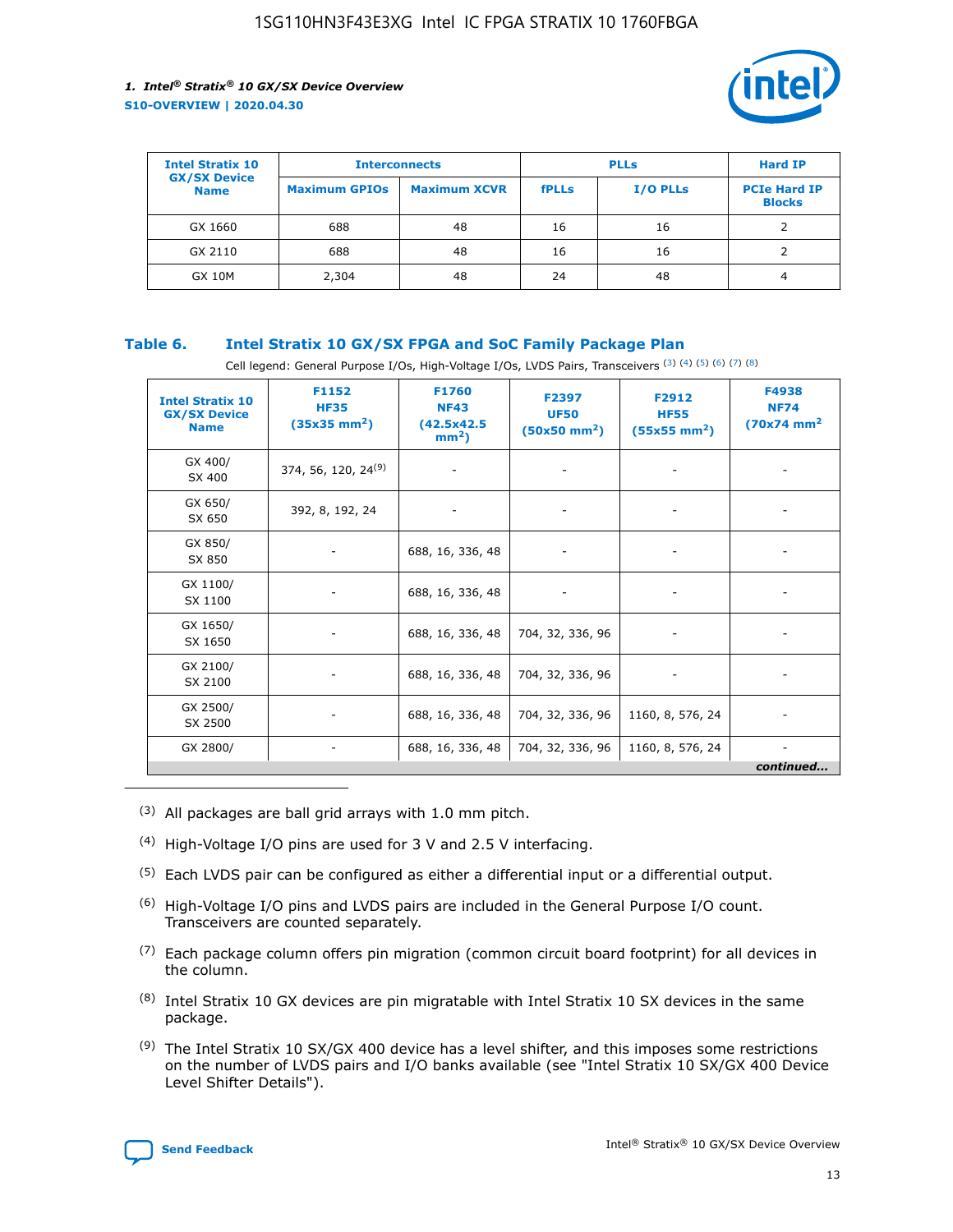

| <b>Intel Stratix 10</b>            | <b>Interconnects</b> |                     |              | <b>Hard IP</b>  |                                      |
|------------------------------------|----------------------|---------------------|--------------|-----------------|--------------------------------------|
| <b>GX/SX Device</b><br><b>Name</b> | <b>Maximum GPIOs</b> | <b>Maximum XCVR</b> | <b>fPLLs</b> | <b>I/O PLLs</b> | <b>PCIe Hard IP</b><br><b>Blocks</b> |
| GX 1660                            | 688                  | 48                  | 16           | 16              |                                      |
| GX 2110                            | 688                  | 48                  | 16           | 16              |                                      |
| <b>GX 10M</b>                      | 2,304                | 48                  | 24           | 48              | 4                                    |

#### **Table 6. Intel Stratix 10 GX/SX FPGA and SoC Family Package Plan**

Cell legend: General Purpose I/Os, High-Voltage I/Os, LVDS Pairs, Transceivers (3) (4) (5) (6) (7) (8)

| <b>Intel Stratix 10</b><br><b>GX/SX Device</b><br><b>Name</b> | F1152<br><b>HF35</b><br>$(35x35)$ mm <sup>2</sup> ) | <b>F1760</b><br><b>NF43</b><br>(42.5x42.5<br>$mm2$ ) | F2397<br><b>UF50</b><br>$(50x50 \text{ mm}^2)$ | F2912<br><b>HF55</b><br>$(55x55 \text{ mm}^2)$ | F4938<br><b>NF74</b><br>$(70x74)$ mm <sup>2</sup> |
|---------------------------------------------------------------|-----------------------------------------------------|------------------------------------------------------|------------------------------------------------|------------------------------------------------|---------------------------------------------------|
| GX 400/<br>SX 400                                             | 374, 56, 120, 24 <sup>(9)</sup>                     | $\overline{\phantom{a}}$                             | $\overline{\phantom{a}}$                       |                                                |                                                   |
| GX 650/<br>SX 650                                             | 392, 8, 192, 24                                     | ٠                                                    | $\qquad \qquad \blacksquare$                   |                                                |                                                   |
| GX 850/<br>SX 850                                             | $\overline{\phantom{a}}$                            | 688, 16, 336, 48                                     | $\overline{\phantom{a}}$                       |                                                |                                                   |
| GX 1100/<br>SX 1100                                           | ۰                                                   | 688, 16, 336, 48                                     |                                                |                                                |                                                   |
| GX 1650/<br>SX 1650                                           |                                                     | 688, 16, 336, 48                                     | 704, 32, 336, 96                               | $\overline{\phantom{a}}$                       | $\overline{\phantom{0}}$                          |
| GX 2100/<br>SX 2100                                           |                                                     | 688, 16, 336, 48                                     | 704, 32, 336, 96                               | $\overline{\phantom{a}}$                       | ٠                                                 |
| GX 2500/<br>SX 2500                                           |                                                     | 688, 16, 336, 48                                     | 704, 32, 336, 96                               | 1160, 8, 576, 24                               |                                                   |
| GX 2800/                                                      | -                                                   | 688, 16, 336, 48                                     | 704, 32, 336, 96                               | 1160, 8, 576, 24                               | continued                                         |

- (3) All packages are ball grid arrays with 1.0 mm pitch.
- (4) High-Voltage I/O pins are used for 3 V and 2.5 V interfacing.
- $(5)$  Each LVDS pair can be configured as either a differential input or a differential output.
- $(6)$  High-Voltage I/O pins and LVDS pairs are included in the General Purpose I/O count. Transceivers are counted separately.
- $(7)$  Each package column offers pin migration (common circuit board footprint) for all devices in the column.
- $(8)$  Intel Stratix 10 GX devices are pin migratable with Intel Stratix 10 SX devices in the same package.
- $(9)$  The Intel Stratix 10 SX/GX 400 device has a level shifter, and this imposes some restrictions on the number of LVDS pairs and I/O banks available (see "Intel Stratix 10 SX/GX 400 Device Level Shifter Details").

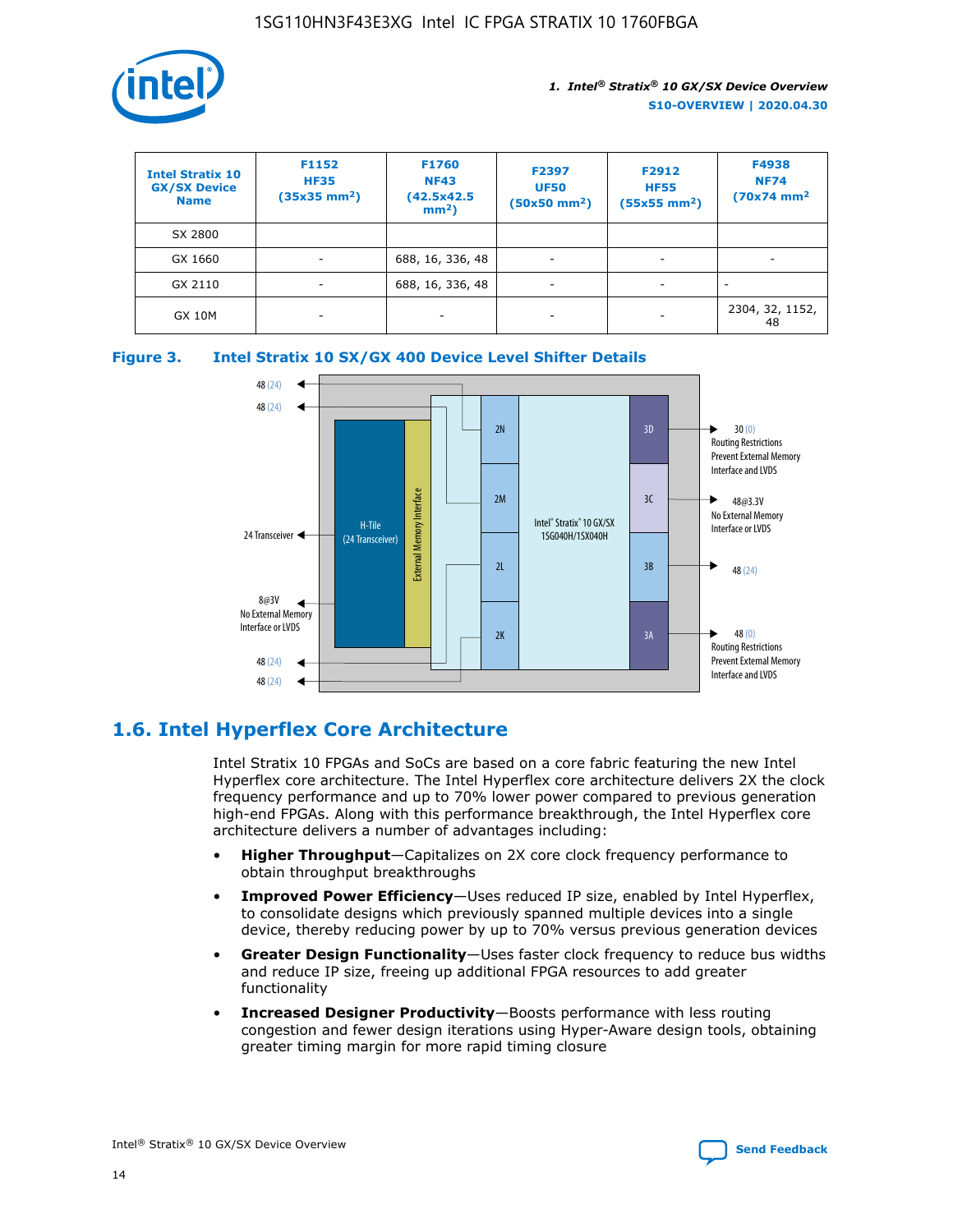

| <b>Intel Stratix 10</b><br><b>GX/SX Device</b><br><b>Name</b> | F1152<br><b>HF35</b><br>$(35x35)$ mm <sup>2</sup> ) | F1760<br><b>NF43</b><br>(42.5x42.5<br>$mm2$ ) | F2397<br><b>UF50</b><br>$(50x50 \text{ mm}^2)$ | F2912<br><b>HF55</b><br>$(55x55$ mm <sup>2</sup> ) | F4938<br><b>NF74</b><br>$(70x74)$ mm <sup>2</sup> |
|---------------------------------------------------------------|-----------------------------------------------------|-----------------------------------------------|------------------------------------------------|----------------------------------------------------|---------------------------------------------------|
| SX 2800                                                       |                                                     |                                               |                                                |                                                    |                                                   |
| GX 1660                                                       | -                                                   | 688, 16, 336, 48                              | $\overline{\phantom{a}}$                       |                                                    |                                                   |
| GX 2110                                                       |                                                     | 688, 16, 336, 48                              | $\overline{\phantom{a}}$                       |                                                    |                                                   |
| <b>GX 10M</b>                                                 | ۰                                                   |                                               |                                                |                                                    | 2304, 32, 1152,<br>48                             |





# **1.6. Intel Hyperflex Core Architecture**

Intel Stratix 10 FPGAs and SoCs are based on a core fabric featuring the new Intel Hyperflex core architecture. The Intel Hyperflex core architecture delivers 2X the clock frequency performance and up to 70% lower power compared to previous generation high-end FPGAs. Along with this performance breakthrough, the Intel Hyperflex core architecture delivers a number of advantages including:

- **Higher Throughput**—Capitalizes on 2X core clock frequency performance to obtain throughput breakthroughs
- **Improved Power Efficiency**—Uses reduced IP size, enabled by Intel Hyperflex, to consolidate designs which previously spanned multiple devices into a single device, thereby reducing power by up to 70% versus previous generation devices
- **Greater Design Functionality**—Uses faster clock frequency to reduce bus widths and reduce IP size, freeing up additional FPGA resources to add greater functionality
- **Increased Designer Productivity**—Boosts performance with less routing congestion and fewer design iterations using Hyper-Aware design tools, obtaining greater timing margin for more rapid timing closure

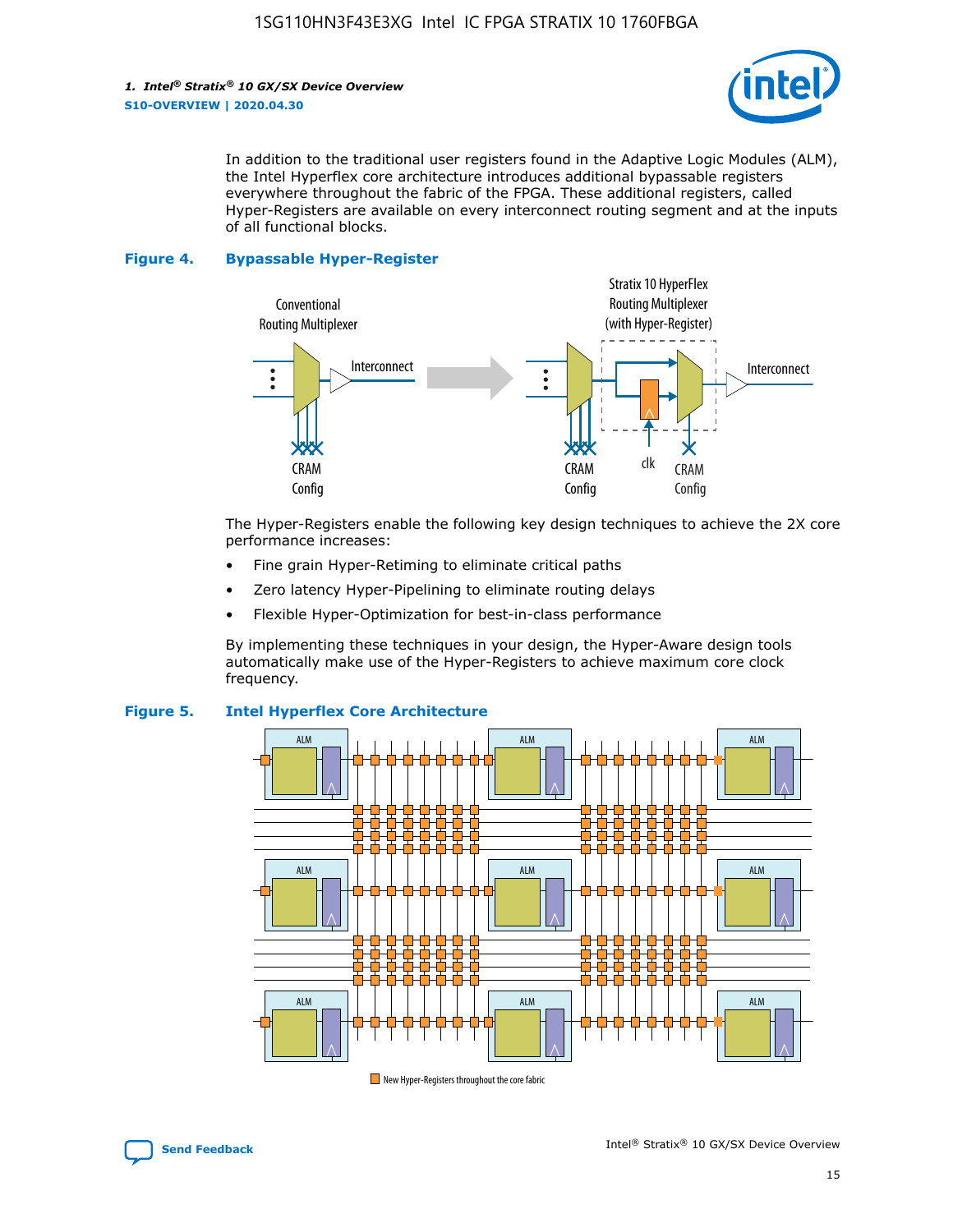

In addition to the traditional user registers found in the Adaptive Logic Modules (ALM), the Intel Hyperflex core architecture introduces additional bypassable registers everywhere throughout the fabric of the FPGA. These additional registers, called Hyper-Registers are available on every interconnect routing segment and at the inputs of all functional blocks.

#### **Figure 4. Bypassable Hyper-Register**



The Hyper-Registers enable the following key design techniques to achieve the 2X core performance increases:

- Fine grain Hyper-Retiming to eliminate critical paths
- Zero latency Hyper-Pipelining to eliminate routing delays
- Flexible Hyper-Optimization for best-in-class performance

By implementing these techniques in your design, the Hyper-Aware design tools automatically make use of the Hyper-Registers to achieve maximum core clock frequency.



#### **Figure 5. Intel Hyperflex Core Architecture**

New Hyper-Registers throughout the core fabric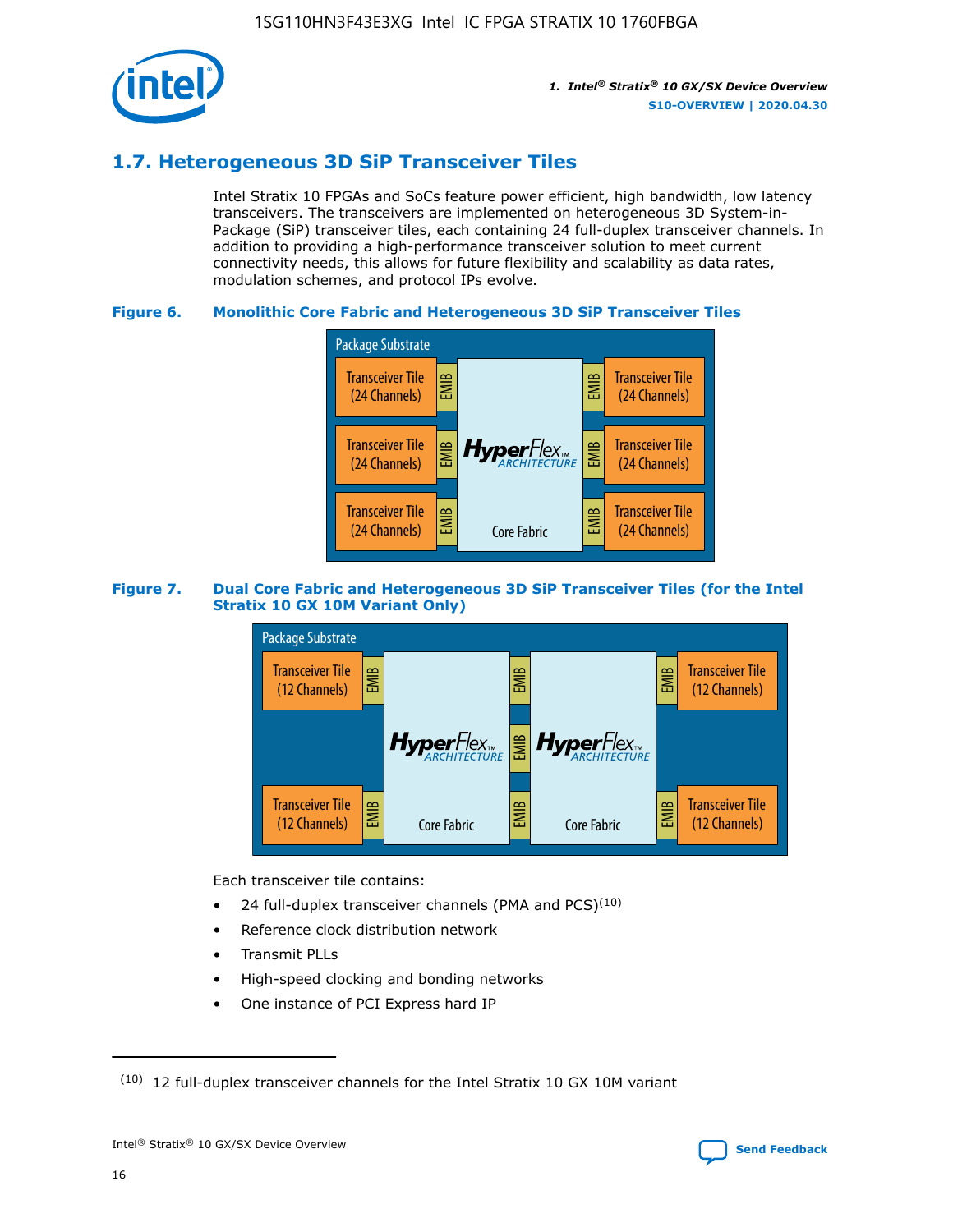

# **1.7. Heterogeneous 3D SiP Transceiver Tiles**

Intel Stratix 10 FPGAs and SoCs feature power efficient, high bandwidth, low latency transceivers. The transceivers are implemented on heterogeneous 3D System-in-Package (SiP) transceiver tiles, each containing 24 full-duplex transceiver channels. In addition to providing a high-performance transceiver solution to meet current connectivity needs, this allows for future flexibility and scalability as data rates, modulation schemes, and protocol IPs evolve.

#### **Figure 6. Monolithic Core Fabric and Heterogeneous 3D SiP Transceiver Tiles**



#### **Figure 7. Dual Core Fabric and Heterogeneous 3D SiP Transceiver Tiles (for the Intel Stratix 10 GX 10M Variant Only)**



Each transceiver tile contains:

- 24 full-duplex transceiver channels (PMA and PCS) $(10)$
- Reference clock distribution network
- Transmit PLLs
- High-speed clocking and bonding networks
- One instance of PCI Express hard IP

 $(10)$  12 full-duplex transceiver channels for the Intel Stratix 10 GX 10M variant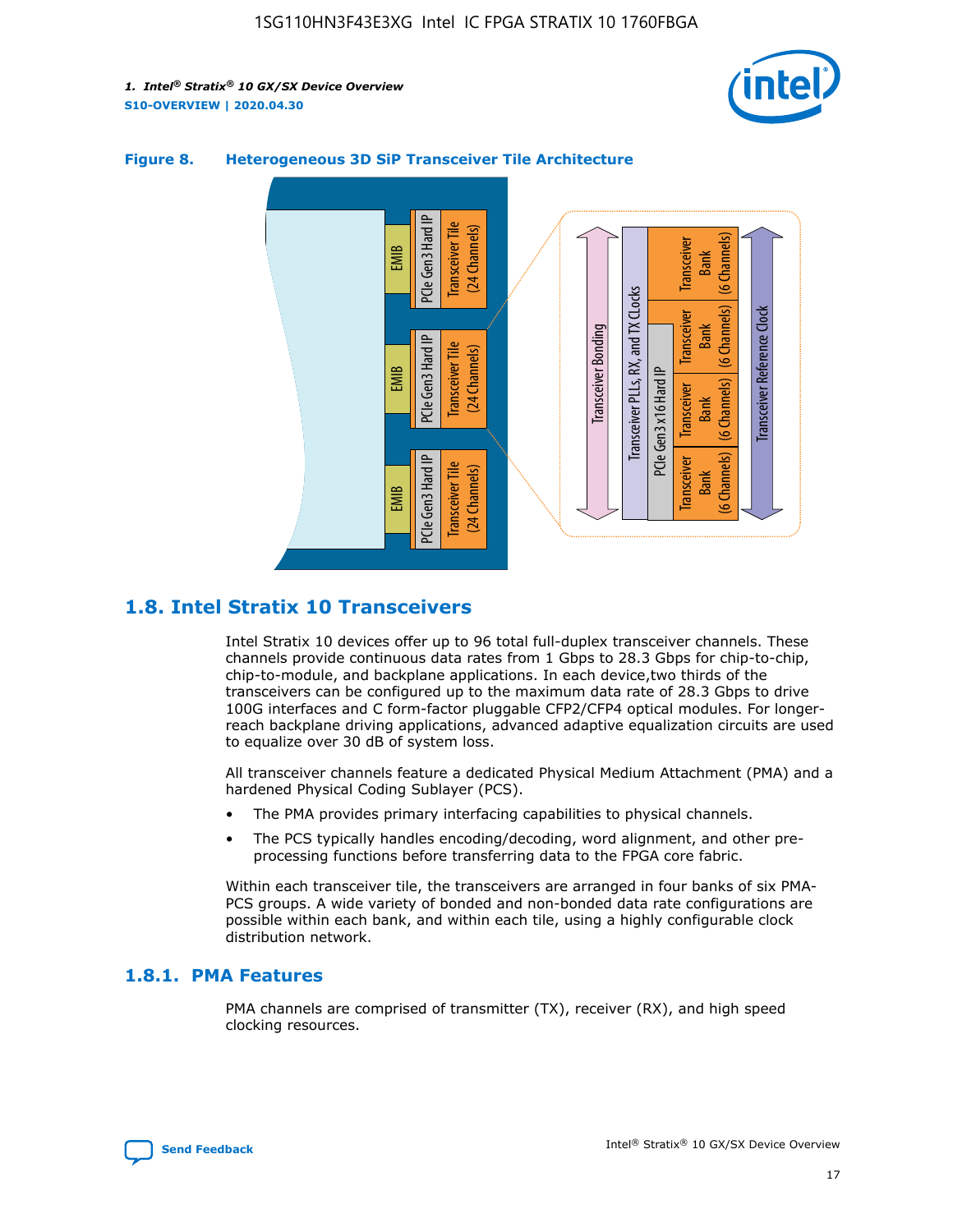



#### **Figure 8. Heterogeneous 3D SiP Transceiver Tile Architecture**

# **1.8. Intel Stratix 10 Transceivers**

Intel Stratix 10 devices offer up to 96 total full-duplex transceiver channels. These channels provide continuous data rates from 1 Gbps to 28.3 Gbps for chip-to-chip, chip-to-module, and backplane applications. In each device,two thirds of the transceivers can be configured up to the maximum data rate of 28.3 Gbps to drive 100G interfaces and C form-factor pluggable CFP2/CFP4 optical modules. For longerreach backplane driving applications, advanced adaptive equalization circuits are used to equalize over 30 dB of system loss.

All transceiver channels feature a dedicated Physical Medium Attachment (PMA) and a hardened Physical Coding Sublayer (PCS).

- The PMA provides primary interfacing capabilities to physical channels.
- The PCS typically handles encoding/decoding, word alignment, and other preprocessing functions before transferring data to the FPGA core fabric.

Within each transceiver tile, the transceivers are arranged in four banks of six PMA-PCS groups. A wide variety of bonded and non-bonded data rate configurations are possible within each bank, and within each tile, using a highly configurable clock distribution network.

### **1.8.1. PMA Features**

PMA channels are comprised of transmitter (TX), receiver (RX), and high speed clocking resources.

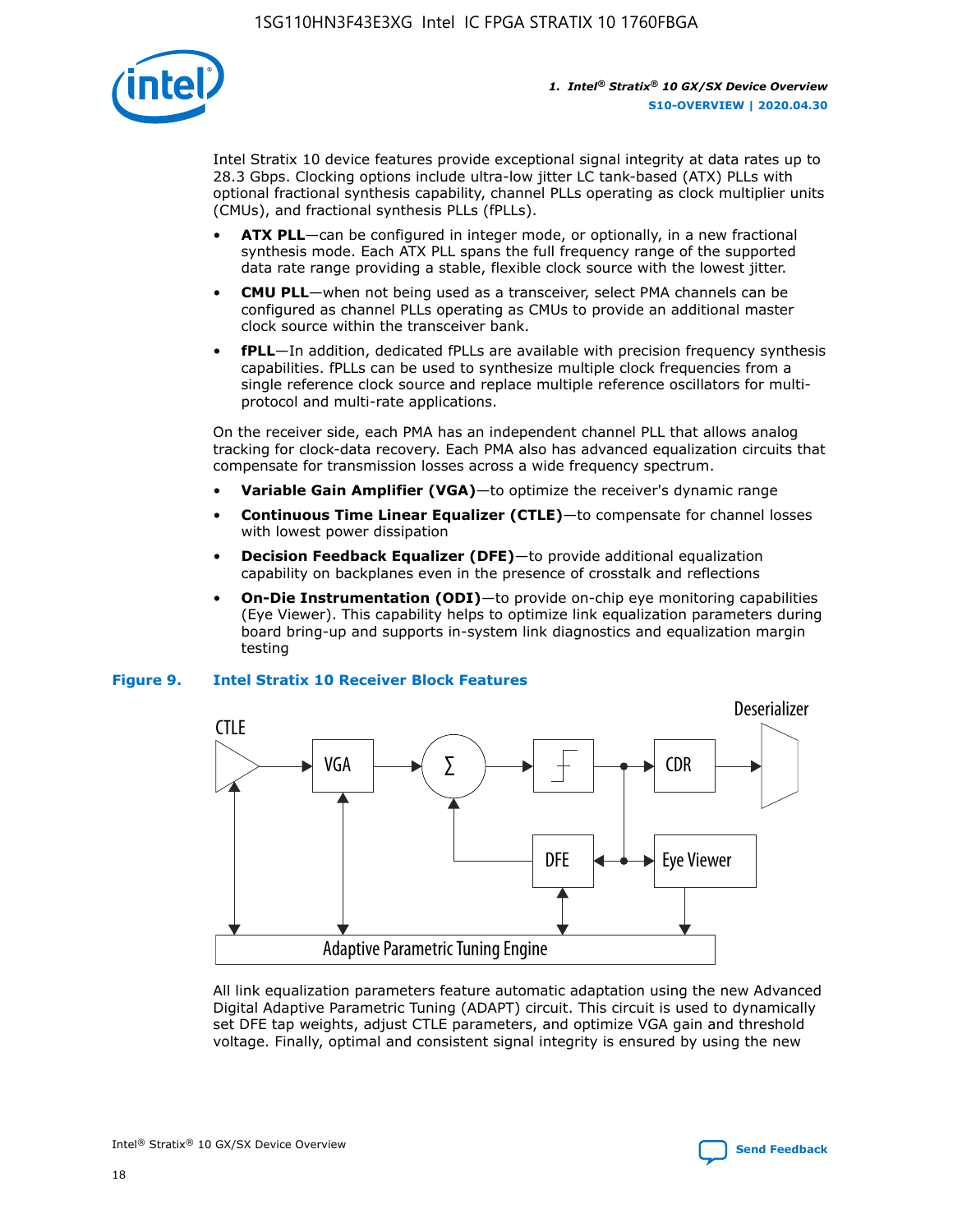

Intel Stratix 10 device features provide exceptional signal integrity at data rates up to 28.3 Gbps. Clocking options include ultra-low jitter LC tank-based (ATX) PLLs with optional fractional synthesis capability, channel PLLs operating as clock multiplier units (CMUs), and fractional synthesis PLLs (fPLLs).

- **ATX PLL**—can be configured in integer mode, or optionally, in a new fractional synthesis mode. Each ATX PLL spans the full frequency range of the supported data rate range providing a stable, flexible clock source with the lowest jitter.
- **CMU PLL**—when not being used as a transceiver, select PMA channels can be configured as channel PLLs operating as CMUs to provide an additional master clock source within the transceiver bank.
- **fPLL**—In addition, dedicated fPLLs are available with precision frequency synthesis capabilities. fPLLs can be used to synthesize multiple clock frequencies from a single reference clock source and replace multiple reference oscillators for multiprotocol and multi-rate applications.

On the receiver side, each PMA has an independent channel PLL that allows analog tracking for clock-data recovery. Each PMA also has advanced equalization circuits that compensate for transmission losses across a wide frequency spectrum.

- **Variable Gain Amplifier (VGA)**—to optimize the receiver's dynamic range
- **Continuous Time Linear Equalizer (CTLE)**—to compensate for channel losses with lowest power dissipation
- **Decision Feedback Equalizer (DFE)**—to provide additional equalization capability on backplanes even in the presence of crosstalk and reflections
- **On-Die Instrumentation (ODI)**—to provide on-chip eye monitoring capabilities (Eye Viewer). This capability helps to optimize link equalization parameters during board bring-up and supports in-system link diagnostics and equalization margin testing

#### **Figure 9. Intel Stratix 10 Receiver Block Features**



All link equalization parameters feature automatic adaptation using the new Advanced Digital Adaptive Parametric Tuning (ADAPT) circuit. This circuit is used to dynamically set DFE tap weights, adjust CTLE parameters, and optimize VGA gain and threshold voltage. Finally, optimal and consistent signal integrity is ensured by using the new



Intel<sup>®</sup> Stratix<sup>®</sup> 10 GX/SX Device Overview **[Send Feedback](mailto:FPGAtechdocfeedback@intel.com?subject=Feedback%20on%20Intel%20Stratix%2010%20GX/SX%20Device%20Overview%20(S10-OVERVIEW%202020.04.30)&body=We%20appreciate%20your%20feedback.%20In%20your%20comments,%20also%20specify%20the%20page%20number%20or%20paragraph.%20Thank%20you.)** Send Feedback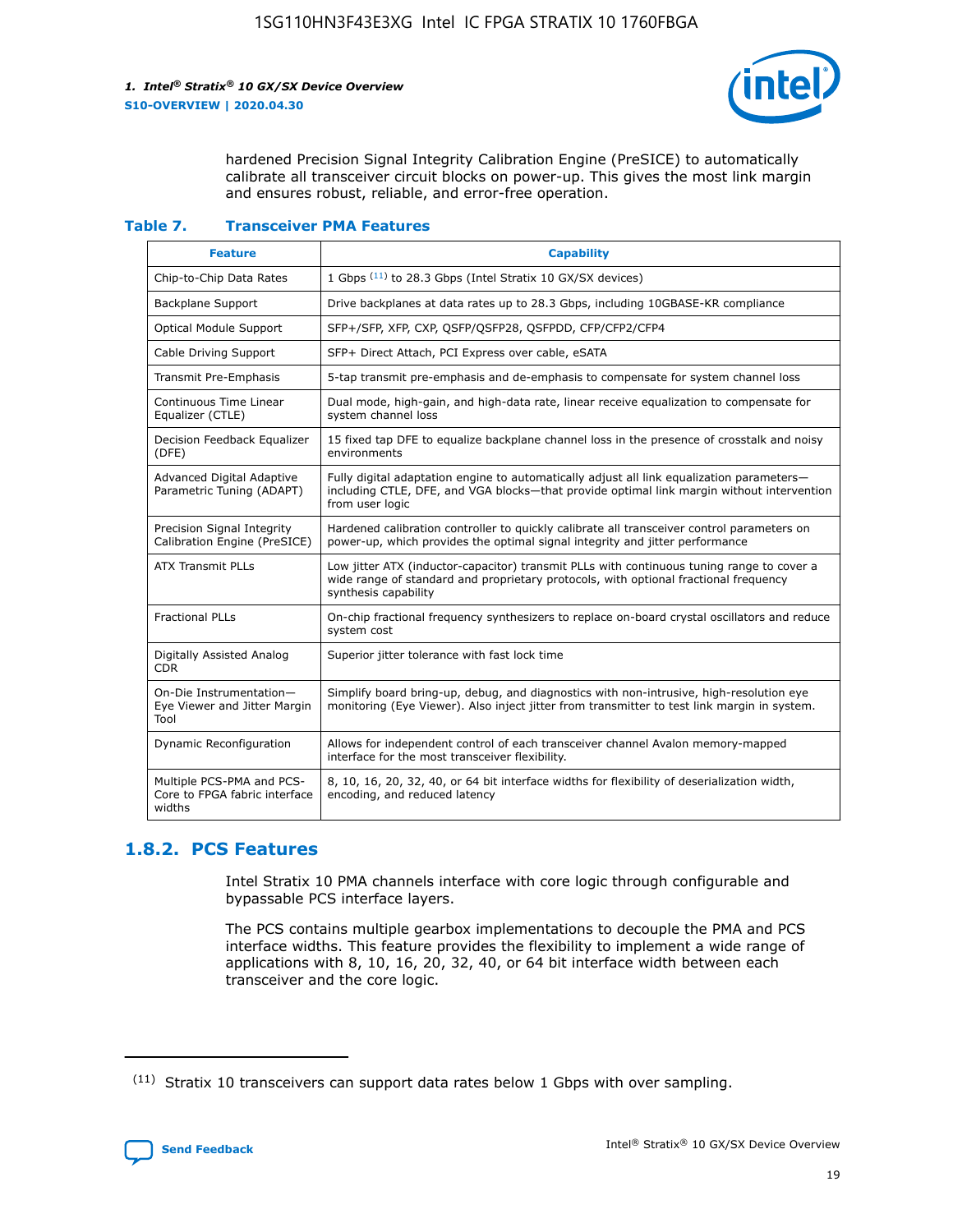

hardened Precision Signal Integrity Calibration Engine (PreSICE) to automatically calibrate all transceiver circuit blocks on power-up. This gives the most link margin and ensures robust, reliable, and error-free operation.

#### **Table 7. Transceiver PMA Features**

| <b>Feature</b>                                                       | <b>Capability</b>                                                                                                                                                                                         |
|----------------------------------------------------------------------|-----------------------------------------------------------------------------------------------------------------------------------------------------------------------------------------------------------|
| Chip-to-Chip Data Rates                                              | 1 Gbps (11) to 28.3 Gbps (Intel Stratix 10 GX/SX devices)                                                                                                                                                 |
| <b>Backplane Support</b>                                             | Drive backplanes at data rates up to 28.3 Gbps, including 10GBASE-KR compliance                                                                                                                           |
| Optical Module Support                                               | SFP+/SFP, XFP, CXP, QSFP/QSFP28, QSFPDD, CFP/CFP2/CFP4                                                                                                                                                    |
| Cable Driving Support                                                | SFP+ Direct Attach, PCI Express over cable, eSATA                                                                                                                                                         |
| <b>Transmit Pre-Emphasis</b>                                         | 5-tap transmit pre-emphasis and de-emphasis to compensate for system channel loss                                                                                                                         |
| Continuous Time Linear<br>Equalizer (CTLE)                           | Dual mode, high-gain, and high-data rate, linear receive equalization to compensate for<br>system channel loss                                                                                            |
| Decision Feedback Equalizer<br>(DFE)                                 | 15 fixed tap DFE to equalize backplane channel loss in the presence of crosstalk and noisy<br>environments                                                                                                |
| Advanced Digital Adaptive<br>Parametric Tuning (ADAPT)               | Fully digital adaptation engine to automatically adjust all link equalization parameters-<br>including CTLE, DFE, and VGA blocks-that provide optimal link margin without intervention<br>from user logic |
| Precision Signal Integrity<br>Calibration Engine (PreSICE)           | Hardened calibration controller to quickly calibrate all transceiver control parameters on<br>power-up, which provides the optimal signal integrity and jitter performance                                |
| <b>ATX Transmit PLLs</b>                                             | Low jitter ATX (inductor-capacitor) transmit PLLs with continuous tuning range to cover a<br>wide range of standard and proprietary protocols, with optional fractional frequency<br>synthesis capability |
| <b>Fractional PLLs</b>                                               | On-chip fractional frequency synthesizers to replace on-board crystal oscillators and reduce<br>system cost                                                                                               |
| Digitally Assisted Analog<br>CDR.                                    | Superior jitter tolerance with fast lock time                                                                                                                                                             |
| On-Die Instrumentation-<br>Eye Viewer and Jitter Margin<br>Tool      | Simplify board bring-up, debug, and diagnostics with non-intrusive, high-resolution eye<br>monitoring (Eye Viewer). Also inject jitter from transmitter to test link margin in system.                    |
| Dynamic Reconfiguration                                              | Allows for independent control of each transceiver channel Avalon memory-mapped<br>interface for the most transceiver flexibility.                                                                        |
| Multiple PCS-PMA and PCS-<br>Core to FPGA fabric interface<br>widths | 8, 10, 16, 20, 32, 40, or 64 bit interface widths for flexibility of deserialization width,<br>encoding, and reduced latency                                                                              |

### **1.8.2. PCS Features**

Intel Stratix 10 PMA channels interface with core logic through configurable and bypassable PCS interface layers.

The PCS contains multiple gearbox implementations to decouple the PMA and PCS interface widths. This feature provides the flexibility to implement a wide range of applications with 8, 10, 16, 20, 32, 40, or 64 bit interface width between each transceiver and the core logic.

<sup>(11)</sup> Stratix 10 transceivers can support data rates below 1 Gbps with over sampling.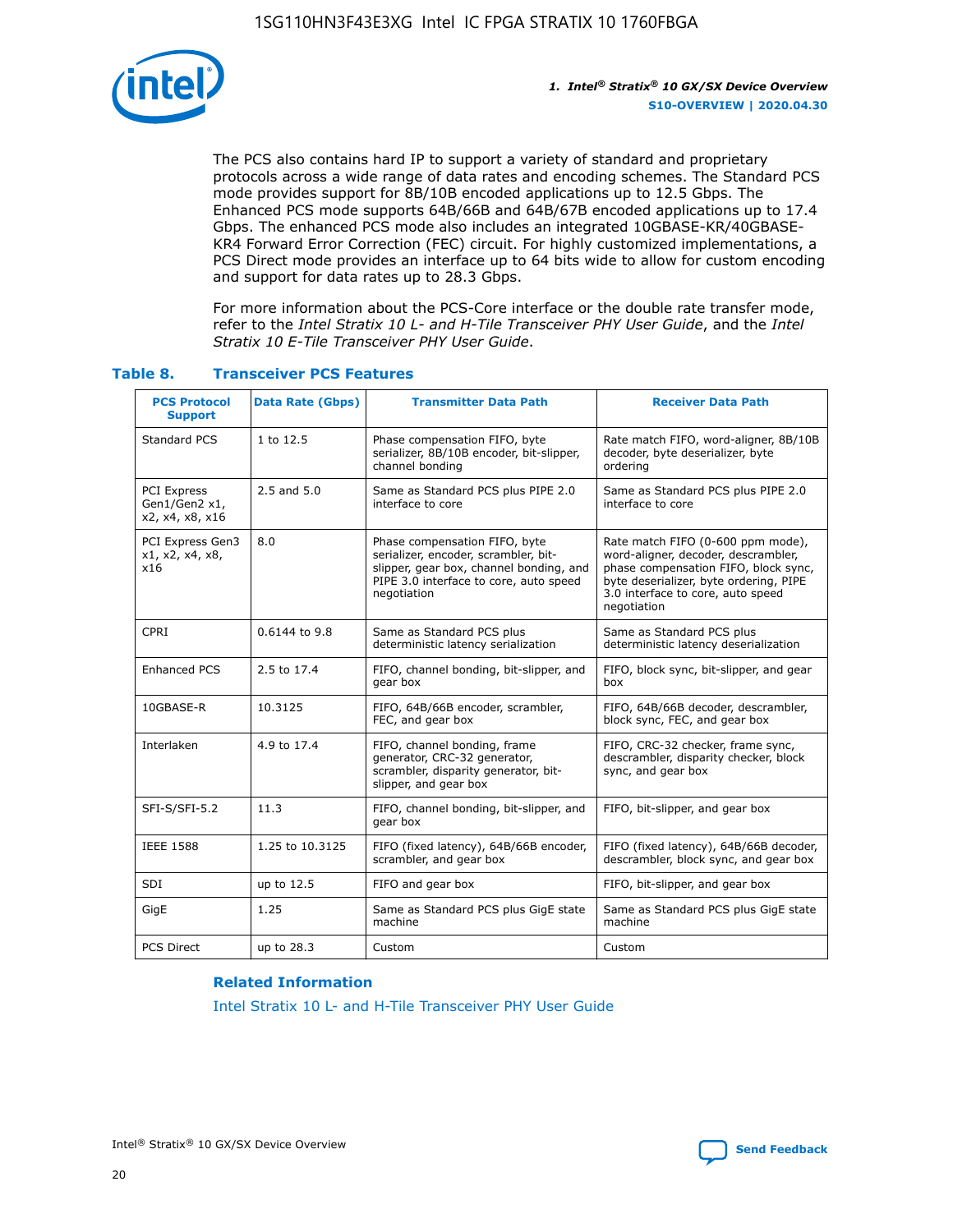

The PCS also contains hard IP to support a variety of standard and proprietary protocols across a wide range of data rates and encoding schemes. The Standard PCS mode provides support for 8B/10B encoded applications up to 12.5 Gbps. The Enhanced PCS mode supports 64B/66B and 64B/67B encoded applications up to 17.4 Gbps. The enhanced PCS mode also includes an integrated 10GBASE-KR/40GBASE-KR4 Forward Error Correction (FEC) circuit. For highly customized implementations, a PCS Direct mode provides an interface up to 64 bits wide to allow for custom encoding and support for data rates up to 28.3 Gbps.

For more information about the PCS-Core interface or the double rate transfer mode, refer to the *Intel Stratix 10 L- and H-Tile Transceiver PHY User Guide*, and the *Intel Stratix 10 E-Tile Transceiver PHY User Guide*.

| <b>PCS Protocol</b><br><b>Support</b>           | <b>Data Rate (Gbps)</b> | <b>Transmitter Data Path</b>                                                                                                                                              | <b>Receiver Data Path</b>                                                                                                                                                                                      |
|-------------------------------------------------|-------------------------|---------------------------------------------------------------------------------------------------------------------------------------------------------------------------|----------------------------------------------------------------------------------------------------------------------------------------------------------------------------------------------------------------|
| Standard PCS                                    | 1 to 12.5               | Phase compensation FIFO, byte<br>serializer, 8B/10B encoder, bit-slipper,<br>channel bonding                                                                              | Rate match FIFO, word-aligner, 8B/10B<br>decoder, byte deserializer, byte<br>ordering                                                                                                                          |
| PCI Express<br>Gen1/Gen2 x1,<br>x2, x4, x8, x16 | $2.5$ and $5.0$         | Same as Standard PCS plus PIPE 2.0<br>interface to core                                                                                                                   | Same as Standard PCS plus PIPE 2.0<br>interface to core                                                                                                                                                        |
| PCI Express Gen3<br>x1, x2, x4, x8,<br>x16      | 8.0                     | Phase compensation FIFO, byte<br>serializer, encoder, scrambler, bit-<br>slipper, gear box, channel bonding, and<br>PIPE 3.0 interface to core, auto speed<br>negotiation | Rate match FIFO (0-600 ppm mode),<br>word-aligner, decoder, descrambler,<br>phase compensation FIFO, block sync,<br>byte deserializer, byte ordering, PIPE<br>3.0 interface to core, auto speed<br>negotiation |
| CPRI                                            | 0.6144 to 9.8           | Same as Standard PCS plus<br>deterministic latency serialization                                                                                                          | Same as Standard PCS plus<br>deterministic latency deserialization                                                                                                                                             |
| <b>Enhanced PCS</b>                             | 2.5 to 17.4             | FIFO, channel bonding, bit-slipper, and<br>gear box                                                                                                                       | FIFO, block sync, bit-slipper, and gear<br>box                                                                                                                                                                 |
| 10GBASE-R                                       | 10.3125                 | FIFO, 64B/66B encoder, scrambler,<br>FEC, and gear box                                                                                                                    | FIFO, 64B/66B decoder, descrambler,<br>block sync, FEC, and gear box                                                                                                                                           |
| Interlaken                                      | 4.9 to 17.4             | FIFO, channel bonding, frame<br>generator, CRC-32 generator,<br>scrambler, disparity generator, bit-<br>slipper, and gear box                                             | FIFO, CRC-32 checker, frame sync,<br>descrambler, disparity checker, block<br>sync, and gear box                                                                                                               |
| SFI-S/SFI-5.2                                   | 11.3                    | FIFO, channel bonding, bit-slipper, and<br>gear box                                                                                                                       | FIFO, bit-slipper, and gear box                                                                                                                                                                                |
| <b>IEEE 1588</b>                                | 1.25 to 10.3125         | FIFO (fixed latency), 64B/66B encoder,<br>scrambler, and gear box                                                                                                         | FIFO (fixed latency), 64B/66B decoder,<br>descrambler, block sync, and gear box                                                                                                                                |
| SDI                                             | up to 12.5              | FIFO and gear box                                                                                                                                                         | FIFO, bit-slipper, and gear box                                                                                                                                                                                |
| GigE                                            | 1.25                    | Same as Standard PCS plus GigE state<br>machine                                                                                                                           | Same as Standard PCS plus GigE state<br>machine                                                                                                                                                                |
| <b>PCS Direct</b>                               | up to 28.3              | Custom                                                                                                                                                                    | Custom                                                                                                                                                                                                         |

#### **Table 8. Transceiver PCS Features**

#### **Related Information**

[Intel Stratix 10 L- and H-Tile Transceiver PHY User Guide](https://www.altera.com/documentation/wry1479165198810.html)

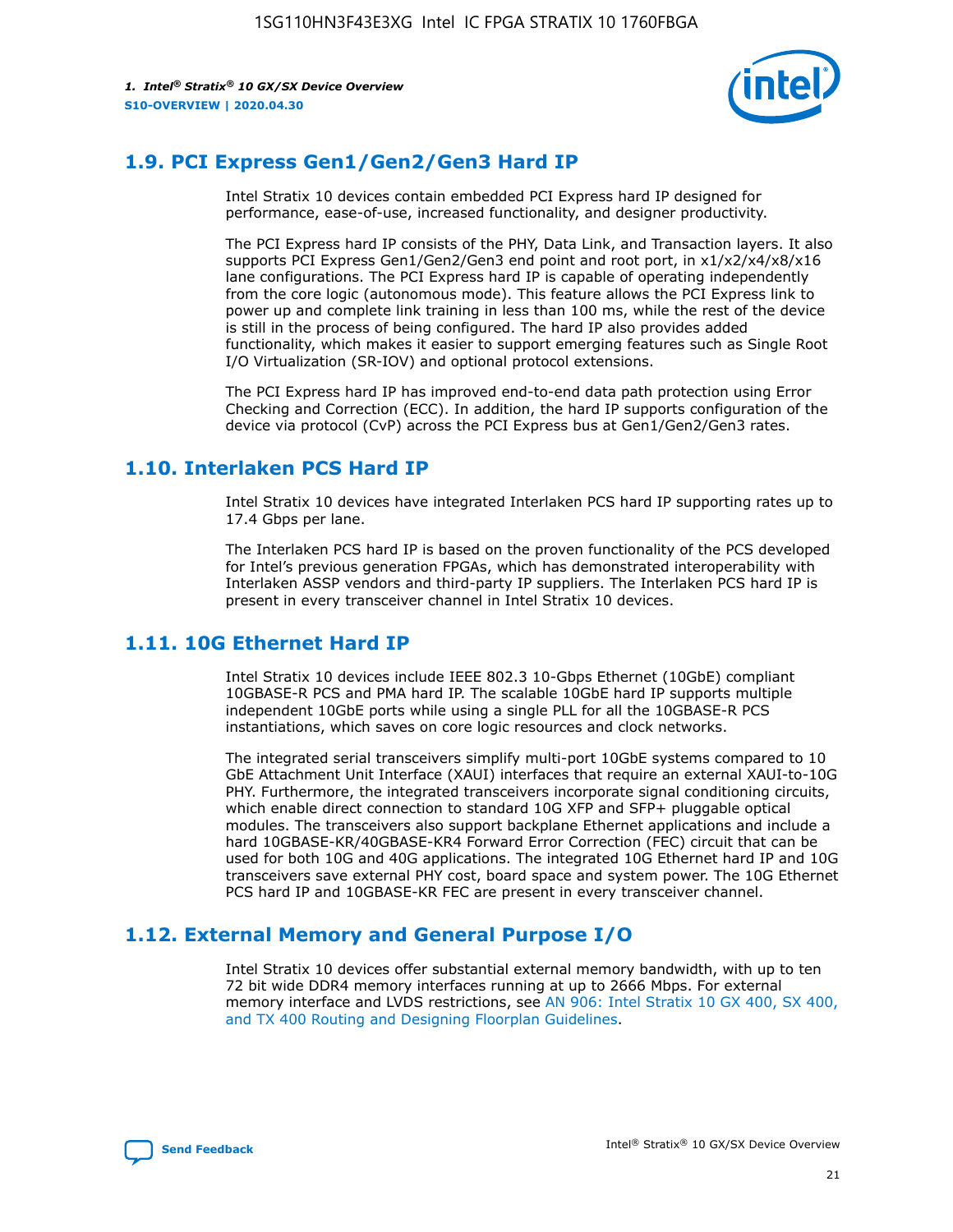

# **1.9. PCI Express Gen1/Gen2/Gen3 Hard IP**

Intel Stratix 10 devices contain embedded PCI Express hard IP designed for performance, ease-of-use, increased functionality, and designer productivity.

The PCI Express hard IP consists of the PHY, Data Link, and Transaction layers. It also supports PCI Express Gen1/Gen2/Gen3 end point and root port, in x1/x2/x4/x8/x16 lane configurations. The PCI Express hard IP is capable of operating independently from the core logic (autonomous mode). This feature allows the PCI Express link to power up and complete link training in less than 100 ms, while the rest of the device is still in the process of being configured. The hard IP also provides added functionality, which makes it easier to support emerging features such as Single Root I/O Virtualization (SR-IOV) and optional protocol extensions.

The PCI Express hard IP has improved end-to-end data path protection using Error Checking and Correction (ECC). In addition, the hard IP supports configuration of the device via protocol (CvP) across the PCI Express bus at Gen1/Gen2/Gen3 rates.

## **1.10. Interlaken PCS Hard IP**

Intel Stratix 10 devices have integrated Interlaken PCS hard IP supporting rates up to 17.4 Gbps per lane.

The Interlaken PCS hard IP is based on the proven functionality of the PCS developed for Intel's previous generation FPGAs, which has demonstrated interoperability with Interlaken ASSP vendors and third-party IP suppliers. The Interlaken PCS hard IP is present in every transceiver channel in Intel Stratix 10 devices.

# **1.11. 10G Ethernet Hard IP**

Intel Stratix 10 devices include IEEE 802.3 10-Gbps Ethernet (10GbE) compliant 10GBASE-R PCS and PMA hard IP. The scalable 10GbE hard IP supports multiple independent 10GbE ports while using a single PLL for all the 10GBASE-R PCS instantiations, which saves on core logic resources and clock networks.

The integrated serial transceivers simplify multi-port 10GbE systems compared to 10 GbE Attachment Unit Interface (XAUI) interfaces that require an external XAUI-to-10G PHY. Furthermore, the integrated transceivers incorporate signal conditioning circuits, which enable direct connection to standard 10G XFP and SFP+ pluggable optical modules. The transceivers also support backplane Ethernet applications and include a hard 10GBASE-KR/40GBASE-KR4 Forward Error Correction (FEC) circuit that can be used for both 10G and 40G applications. The integrated 10G Ethernet hard IP and 10G transceivers save external PHY cost, board space and system power. The 10G Ethernet PCS hard IP and 10GBASE-KR FEC are present in every transceiver channel.

# **1.12. External Memory and General Purpose I/O**

Intel Stratix 10 devices offer substantial external memory bandwidth, with up to ten 72 bit wide DDR4 memory interfaces running at up to 2666 Mbps. For external memory interface and LVDS restrictions, see [AN 906: Intel Stratix 10 GX 400, SX 400,](https://www.intel.com/content/www/us/en/programmable/documentation/sjf1574667190623.html#bft1574667627484) [and TX 400 Routing and Designing Floorplan Guidelines.](https://www.intel.com/content/www/us/en/programmable/documentation/sjf1574667190623.html#bft1574667627484)

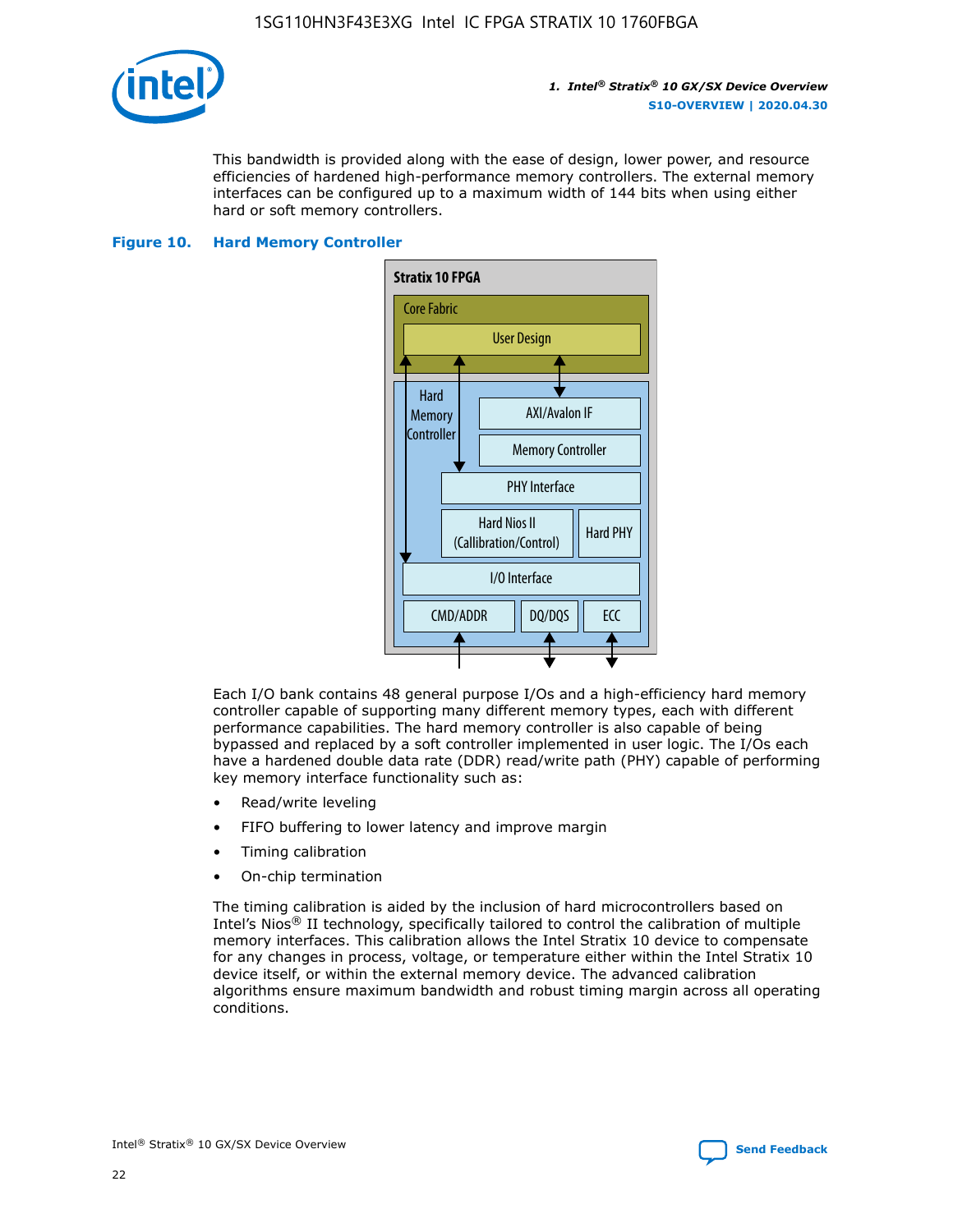

This bandwidth is provided along with the ease of design, lower power, and resource efficiencies of hardened high-performance memory controllers. The external memory interfaces can be configured up to a maximum width of 144 bits when using either hard or soft memory controllers.

#### **Figure 10. Hard Memory Controller**



Each I/O bank contains 48 general purpose I/Os and a high-efficiency hard memory controller capable of supporting many different memory types, each with different performance capabilities. The hard memory controller is also capable of being bypassed and replaced by a soft controller implemented in user logic. The I/Os each have a hardened double data rate (DDR) read/write path (PHY) capable of performing key memory interface functionality such as:

- Read/write leveling
- FIFO buffering to lower latency and improve margin
- Timing calibration
- On-chip termination

The timing calibration is aided by the inclusion of hard microcontrollers based on Intel's Nios® II technology, specifically tailored to control the calibration of multiple memory interfaces. This calibration allows the Intel Stratix 10 device to compensate for any changes in process, voltage, or temperature either within the Intel Stratix 10 device itself, or within the external memory device. The advanced calibration algorithms ensure maximum bandwidth and robust timing margin across all operating conditions.

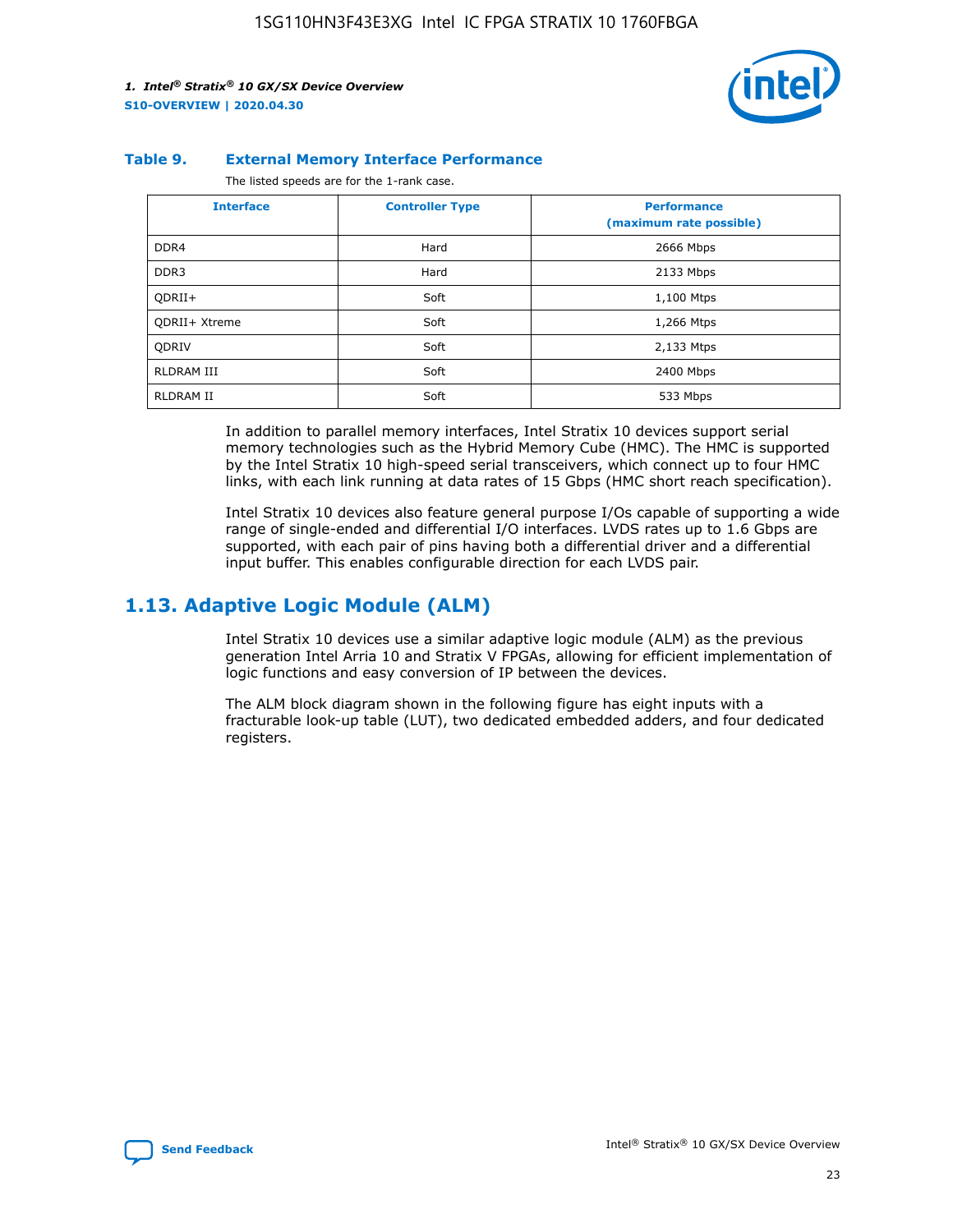

#### **Table 9. External Memory Interface Performance**

The listed speeds are for the 1-rank case.

| <b>Interface</b> | <b>Controller Type</b> | <b>Performance</b><br>(maximum rate possible) |
|------------------|------------------------|-----------------------------------------------|
| DDR4             | Hard                   | 2666 Mbps                                     |
| DDR <sub>3</sub> | Hard                   | 2133 Mbps                                     |
| QDRII+           | Soft                   | 1,100 Mtps                                    |
| QDRII+ Xtreme    | Soft                   | 1,266 Mtps                                    |
| <b>ODRIV</b>     | Soft                   | 2,133 Mtps                                    |
| RLDRAM III       | Soft                   | 2400 Mbps                                     |
| <b>RLDRAM II</b> | Soft                   | 533 Mbps                                      |

In addition to parallel memory interfaces, Intel Stratix 10 devices support serial memory technologies such as the Hybrid Memory Cube (HMC). The HMC is supported by the Intel Stratix 10 high-speed serial transceivers, which connect up to four HMC links, with each link running at data rates of 15 Gbps (HMC short reach specification).

Intel Stratix 10 devices also feature general purpose I/Os capable of supporting a wide range of single-ended and differential I/O interfaces. LVDS rates up to 1.6 Gbps are supported, with each pair of pins having both a differential driver and a differential input buffer. This enables configurable direction for each LVDS pair.

# **1.13. Adaptive Logic Module (ALM)**

Intel Stratix 10 devices use a similar adaptive logic module (ALM) as the previous generation Intel Arria 10 and Stratix V FPGAs, allowing for efficient implementation of logic functions and easy conversion of IP between the devices.

The ALM block diagram shown in the following figure has eight inputs with a fracturable look-up table (LUT), two dedicated embedded adders, and four dedicated registers.

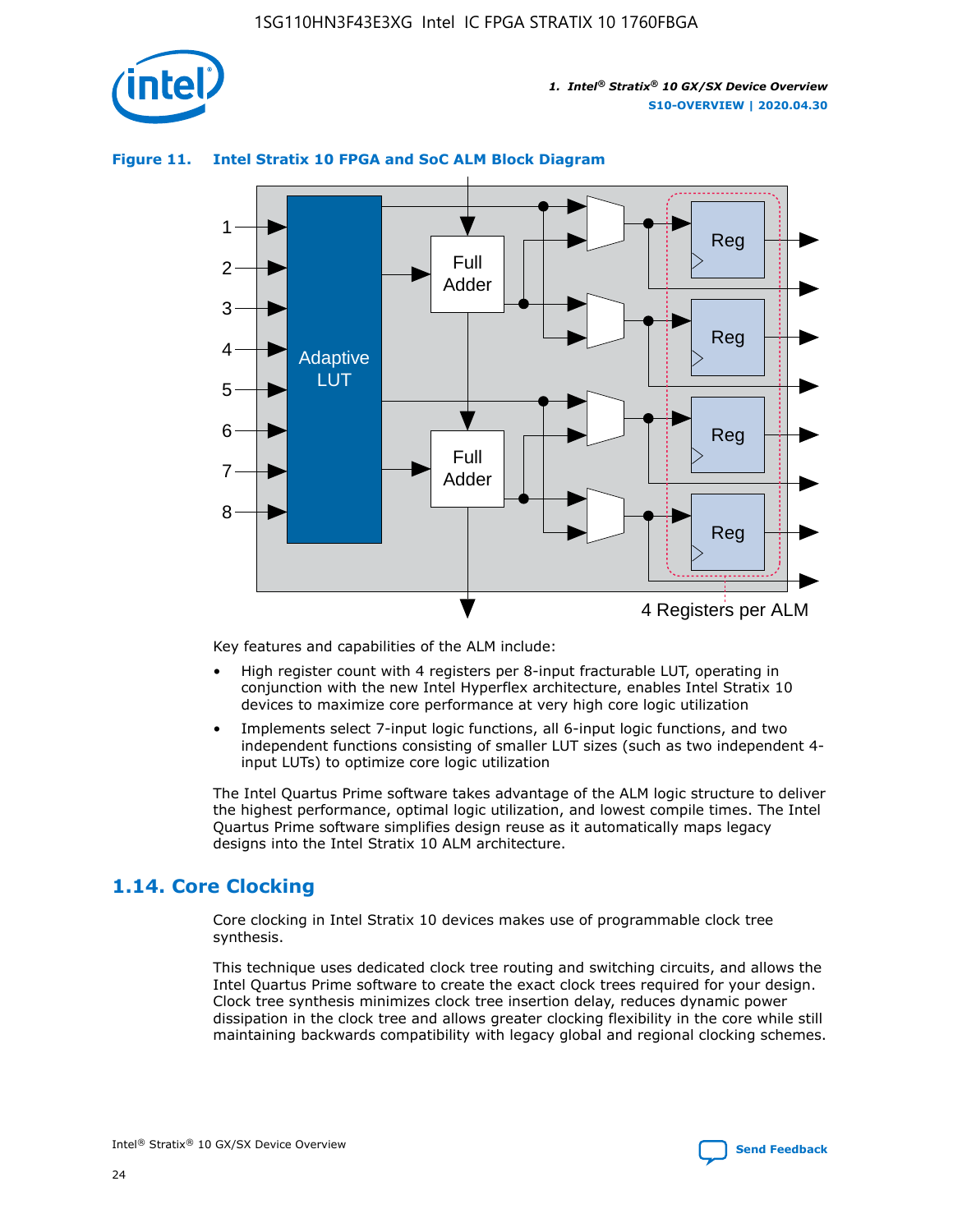

#### **Figure 11. Intel Stratix 10 FPGA and SoC ALM Block Diagram**



Key features and capabilities of the ALM include:

- High register count with 4 registers per 8-input fracturable LUT, operating in conjunction with the new Intel Hyperflex architecture, enables Intel Stratix 10 devices to maximize core performance at very high core logic utilization
- Implements select 7-input logic functions, all 6-input logic functions, and two independent functions consisting of smaller LUT sizes (such as two independent 4 input LUTs) to optimize core logic utilization

The Intel Quartus Prime software takes advantage of the ALM logic structure to deliver the highest performance, optimal logic utilization, and lowest compile times. The Intel Quartus Prime software simplifies design reuse as it automatically maps legacy designs into the Intel Stratix 10 ALM architecture.

# **1.14. Core Clocking**

Core clocking in Intel Stratix 10 devices makes use of programmable clock tree synthesis.

This technique uses dedicated clock tree routing and switching circuits, and allows the Intel Quartus Prime software to create the exact clock trees required for your design. Clock tree synthesis minimizes clock tree insertion delay, reduces dynamic power dissipation in the clock tree and allows greater clocking flexibility in the core while still maintaining backwards compatibility with legacy global and regional clocking schemes.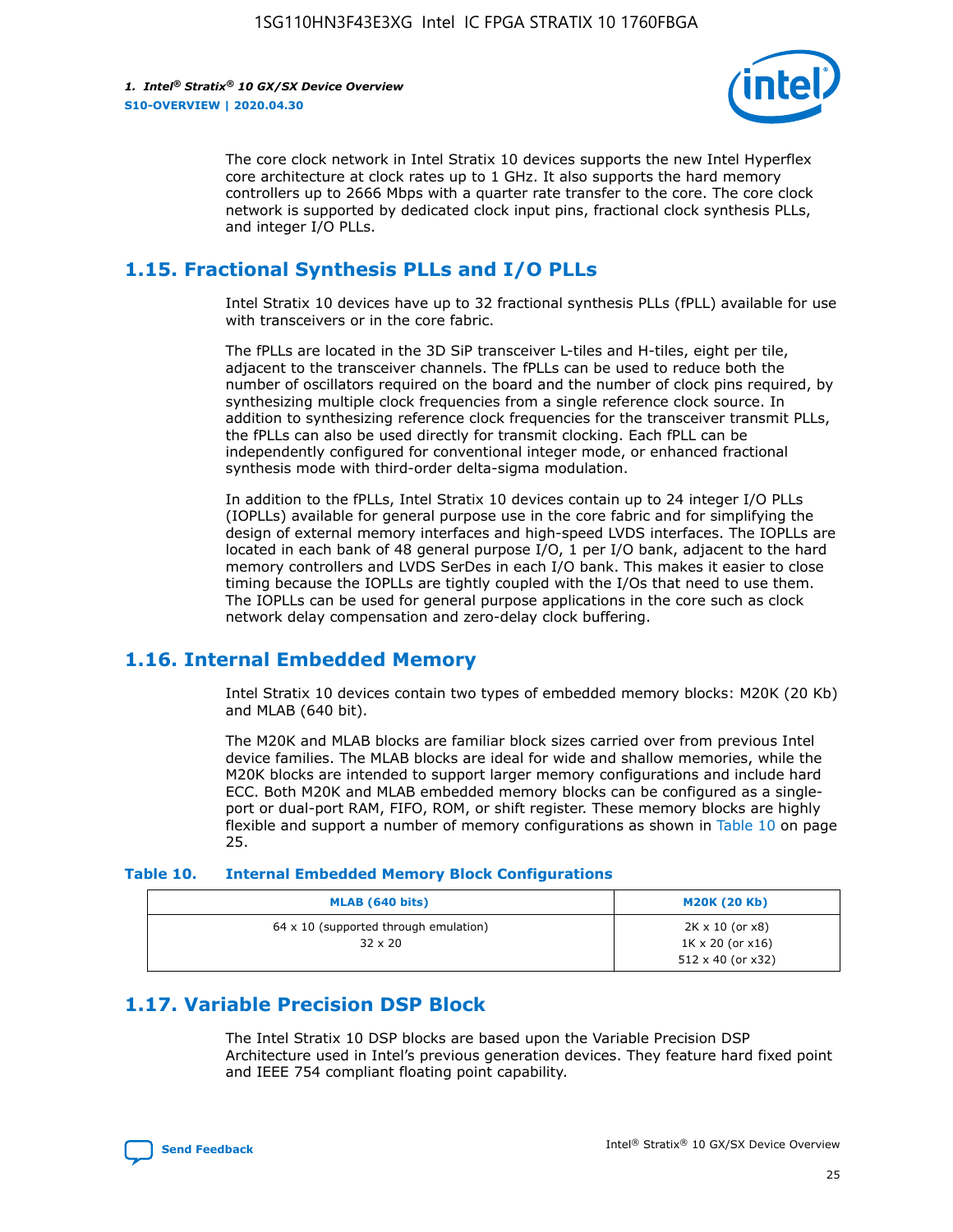

The core clock network in Intel Stratix 10 devices supports the new Intel Hyperflex core architecture at clock rates up to 1 GHz. It also supports the hard memory controllers up to 2666 Mbps with a quarter rate transfer to the core. The core clock network is supported by dedicated clock input pins, fractional clock synthesis PLLs, and integer I/O PLLs.

# **1.15. Fractional Synthesis PLLs and I/O PLLs**

Intel Stratix 10 devices have up to 32 fractional synthesis PLLs (fPLL) available for use with transceivers or in the core fabric.

The fPLLs are located in the 3D SiP transceiver L-tiles and H-tiles, eight per tile, adjacent to the transceiver channels. The fPLLs can be used to reduce both the number of oscillators required on the board and the number of clock pins required, by synthesizing multiple clock frequencies from a single reference clock source. In addition to synthesizing reference clock frequencies for the transceiver transmit PLLs, the fPLLs can also be used directly for transmit clocking. Each fPLL can be independently configured for conventional integer mode, or enhanced fractional synthesis mode with third-order delta-sigma modulation.

In addition to the fPLLs, Intel Stratix 10 devices contain up to 24 integer I/O PLLs (IOPLLs) available for general purpose use in the core fabric and for simplifying the design of external memory interfaces and high-speed LVDS interfaces. The IOPLLs are located in each bank of 48 general purpose I/O, 1 per I/O bank, adjacent to the hard memory controllers and LVDS SerDes in each I/O bank. This makes it easier to close timing because the IOPLLs are tightly coupled with the I/Os that need to use them. The IOPLLs can be used for general purpose applications in the core such as clock network delay compensation and zero-delay clock buffering.

# **1.16. Internal Embedded Memory**

Intel Stratix 10 devices contain two types of embedded memory blocks: M20K (20 Kb) and MLAB (640 bit).

The M20K and MLAB blocks are familiar block sizes carried over from previous Intel device families. The MLAB blocks are ideal for wide and shallow memories, while the M20K blocks are intended to support larger memory configurations and include hard ECC. Both M20K and MLAB embedded memory blocks can be configured as a singleport or dual-port RAM, FIFO, ROM, or shift register. These memory blocks are highly flexible and support a number of memory configurations as shown in Table 10 on page 25.

#### **Table 10. Internal Embedded Memory Block Configurations**

| MLAB (640 bits)                                                | <b>M20K (20 Kb)</b>                                                                    |
|----------------------------------------------------------------|----------------------------------------------------------------------------------------|
| $64 \times 10$ (supported through emulation)<br>$32 \times 20$ | $2K \times 10$ (or $x8$ )<br>$1K \times 20$ (or $x16$ )<br>$512 \times 40$ (or $x32$ ) |

# **1.17. Variable Precision DSP Block**

The Intel Stratix 10 DSP blocks are based upon the Variable Precision DSP Architecture used in Intel's previous generation devices. They feature hard fixed point and IEEE 754 compliant floating point capability.

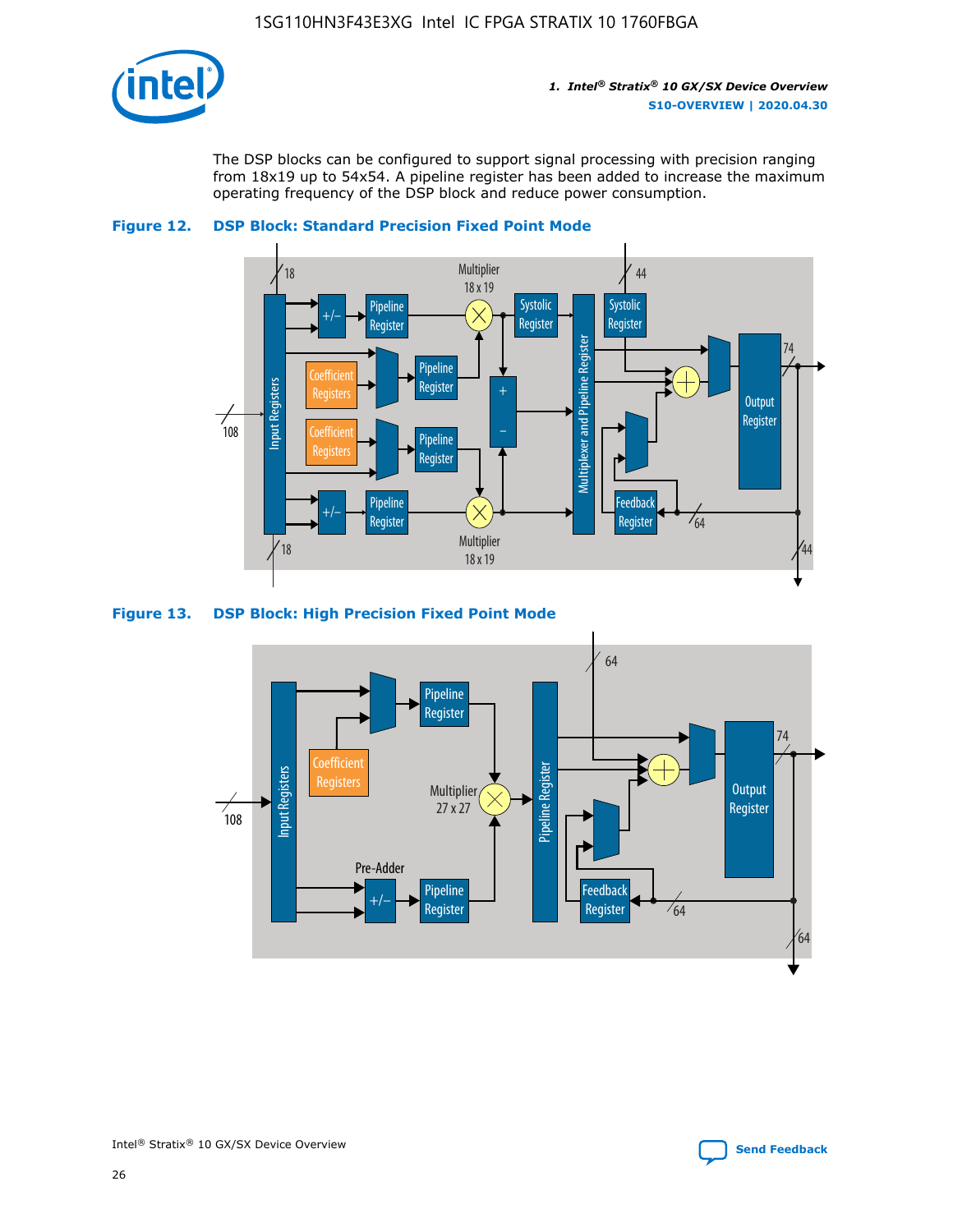

The DSP blocks can be configured to support signal processing with precision ranging from 18x19 up to 54x54. A pipeline register has been added to increase the maximum operating frequency of the DSP block and reduce power consumption.





#### **Figure 13. DSP Block: High Precision Fixed Point Mode**

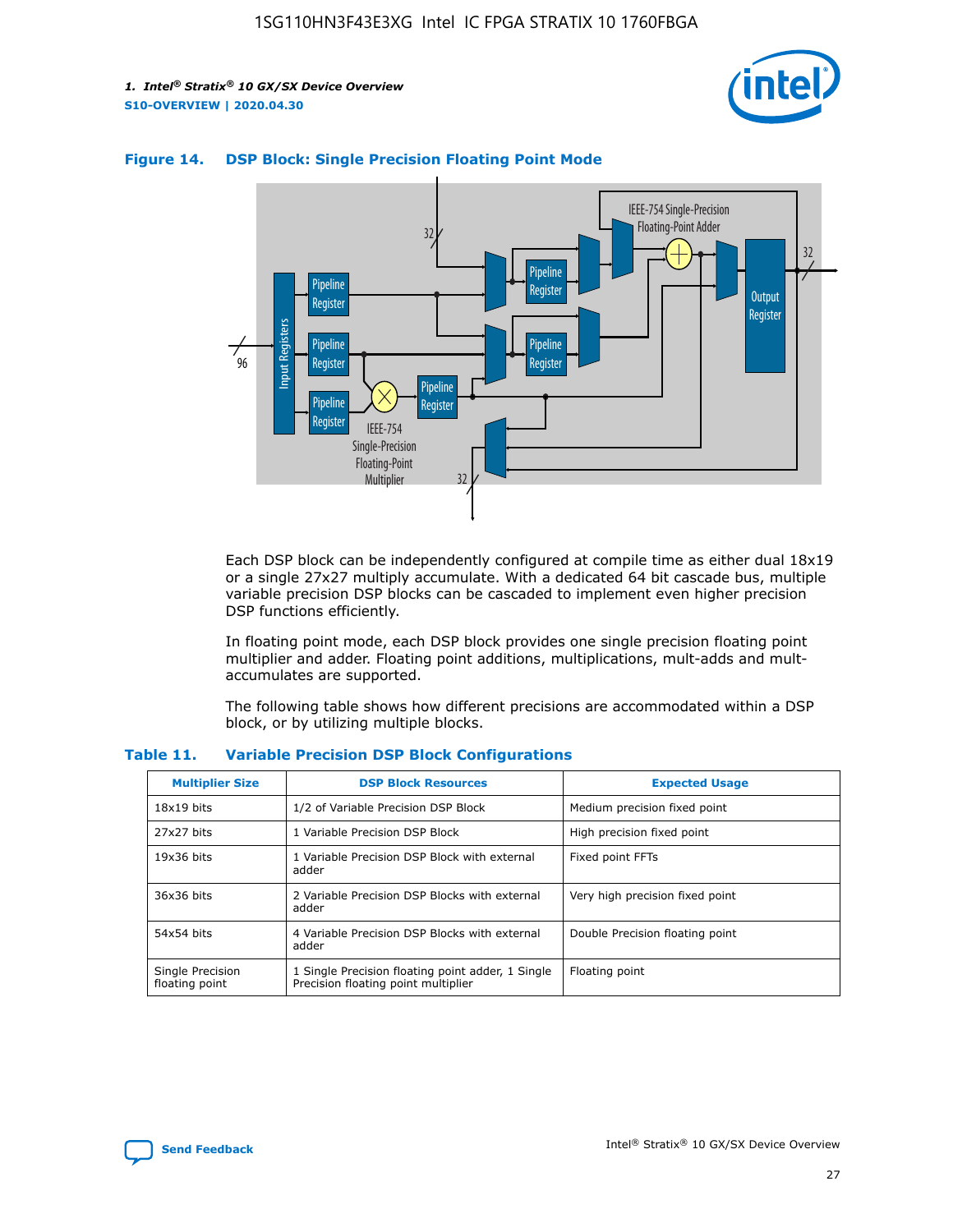



#### **Figure 14. DSP Block: Single Precision Floating Point Mode**

Each DSP block can be independently configured at compile time as either dual 18x19 or a single 27x27 multiply accumulate. With a dedicated 64 bit cascade bus, multiple variable precision DSP blocks can be cascaded to implement even higher precision DSP functions efficiently.

In floating point mode, each DSP block provides one single precision floating point multiplier and adder. Floating point additions, multiplications, mult-adds and multaccumulates are supported.

The following table shows how different precisions are accommodated within a DSP block, or by utilizing multiple blocks.

| <b>Multiplier Size</b>             | <b>DSP Block Resources</b>                                                               | <b>Expected Usage</b>           |
|------------------------------------|------------------------------------------------------------------------------------------|---------------------------------|
| $18x19$ bits                       | 1/2 of Variable Precision DSP Block                                                      | Medium precision fixed point    |
| 27x27 bits                         | 1 Variable Precision DSP Block                                                           | High precision fixed point      |
| $19x36$ bits                       | 1 Variable Precision DSP Block with external<br>adder                                    | Fixed point FFTs                |
| 36x36 bits                         | 2 Variable Precision DSP Blocks with external<br>adder                                   | Very high precision fixed point |
| 54x54 bits                         | 4 Variable Precision DSP Blocks with external<br>adder                                   | Double Precision floating point |
| Single Precision<br>floating point | 1 Single Precision floating point adder, 1 Single<br>Precision floating point multiplier | Floating point                  |

#### **Table 11. Variable Precision DSP Block Configurations**

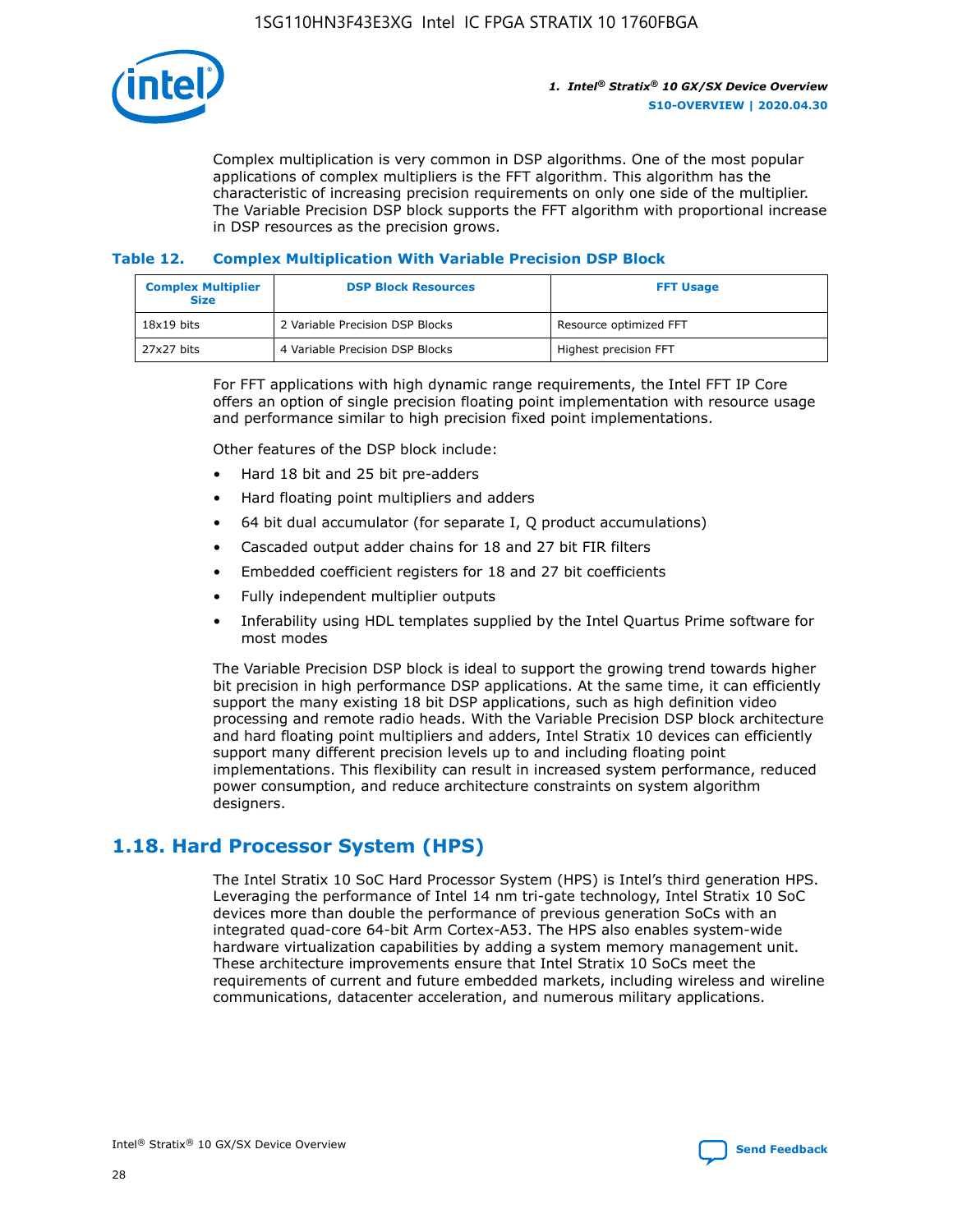

Complex multiplication is very common in DSP algorithms. One of the most popular applications of complex multipliers is the FFT algorithm. This algorithm has the characteristic of increasing precision requirements on only one side of the multiplier. The Variable Precision DSP block supports the FFT algorithm with proportional increase in DSP resources as the precision grows.

#### **Table 12. Complex Multiplication With Variable Precision DSP Block**

| <b>Complex Multiplier</b><br><b>Size</b> | <b>DSP Block Resources</b>      | <b>FFT Usage</b>       |
|------------------------------------------|---------------------------------|------------------------|
| $18x19$ bits                             | 2 Variable Precision DSP Blocks | Resource optimized FFT |
| 27x27 bits                               | 4 Variable Precision DSP Blocks | Highest precision FFT  |

For FFT applications with high dynamic range requirements, the Intel FFT IP Core offers an option of single precision floating point implementation with resource usage and performance similar to high precision fixed point implementations.

Other features of the DSP block include:

- Hard 18 bit and 25 bit pre-adders
- Hard floating point multipliers and adders
- 64 bit dual accumulator (for separate I, Q product accumulations)
- Cascaded output adder chains for 18 and 27 bit FIR filters
- Embedded coefficient registers for 18 and 27 bit coefficients
- Fully independent multiplier outputs
- Inferability using HDL templates supplied by the Intel Quartus Prime software for most modes

The Variable Precision DSP block is ideal to support the growing trend towards higher bit precision in high performance DSP applications. At the same time, it can efficiently support the many existing 18 bit DSP applications, such as high definition video processing and remote radio heads. With the Variable Precision DSP block architecture and hard floating point multipliers and adders, Intel Stratix 10 devices can efficiently support many different precision levels up to and including floating point implementations. This flexibility can result in increased system performance, reduced power consumption, and reduce architecture constraints on system algorithm designers.

# **1.18. Hard Processor System (HPS)**

The Intel Stratix 10 SoC Hard Processor System (HPS) is Intel's third generation HPS. Leveraging the performance of Intel 14 nm tri-gate technology, Intel Stratix 10 SoC devices more than double the performance of previous generation SoCs with an integrated quad-core 64-bit Arm Cortex-A53. The HPS also enables system-wide hardware virtualization capabilities by adding a system memory management unit. These architecture improvements ensure that Intel Stratix 10 SoCs meet the requirements of current and future embedded markets, including wireless and wireline communications, datacenter acceleration, and numerous military applications.

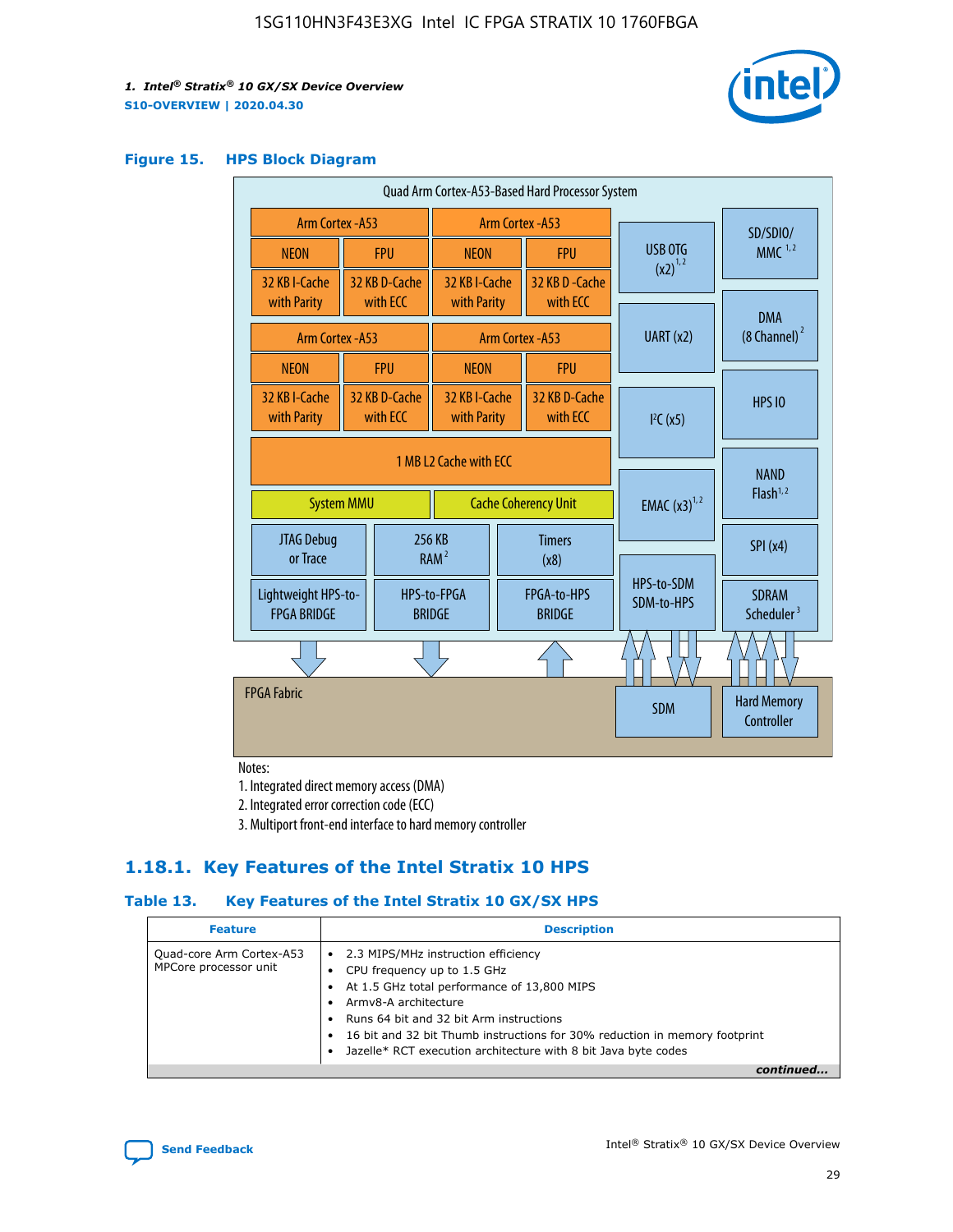

#### **Figure 15. HPS Block Diagram**

| Quad Arm Cortex-A53-Based Hard Processor System                            |                                                     |                           |                                           |                                     |                             |                          |                                        |
|----------------------------------------------------------------------------|-----------------------------------------------------|---------------------------|-------------------------------------------|-------------------------------------|-----------------------------|--------------------------|----------------------------------------|
| <b>Arm Cortex - A53</b>                                                    |                                                     | Arm Cortex - A53          |                                           |                                     |                             |                          | SD/SDIO/                               |
| <b>NEON</b>                                                                |                                                     | <b>FPU</b>                | <b>NEON</b>                               |                                     | <b>FPU</b>                  | USB OTG                  | $MMC$ <sup>1,2</sup>                   |
| 32 KB I-Cache<br>with Parity                                               |                                                     | 32 KB D-Cache<br>with ECC | 32 KB I-Cache<br>with Parity              |                                     | 32 KB D - Cache<br>with ECC | $(x2)^{1,2}$             |                                        |
|                                                                            |                                                     |                           |                                           |                                     |                             | UART (x2)                | <b>DMA</b><br>$(8$ Channel) $^2$       |
| Arm Cortex - A53                                                           |                                                     |                           |                                           |                                     | Arm Cortex - A53            |                          |                                        |
| <b>NEON</b>                                                                |                                                     | <b>FPU</b>                | <b>NEON</b>                               |                                     | <b>FPU</b>                  |                          |                                        |
| 32 KB I-Cache<br>with Parity                                               |                                                     | 32 KB D-Cache<br>with ECC | 32 KB I-Cache<br>with ECC<br>with Parity  |                                     | 32 KB D-Cache               | I <sup>2</sup> C(x5)     | <b>HPS 10</b>                          |
| 1 MB L2 Cache with ECC<br><b>Cache Coherency Unit</b><br><b>System MMU</b> |                                                     |                           | <b>EMAC</b> $(x3)^{1,2}$                  | <b>NAND</b><br>Flash <sup>1,2</sup> |                             |                          |                                        |
| JTAG Debug<br>or Trace                                                     |                                                     | 256 KB                    | <b>Timers</b><br>RAM <sup>2</sup><br>(x8) |                                     |                             |                          | SPI(x4)                                |
| <b>FPGA BRIDGE</b>                                                         | Lightweight HPS-to-<br>HPS-to-FPGA<br><b>BRIDGE</b> |                           | FPGA-to-HPS<br><b>BRIDGE</b>              |                                     |                             | HPS-to-SDM<br>SDM-to-HPS | <b>SDRAM</b><br>Scheduler <sup>3</sup> |
|                                                                            |                                                     |                           |                                           |                                     |                             |                          |                                        |
| <b>FPGA Fabric</b>                                                         |                                                     |                           |                                           |                                     |                             | <b>SDM</b>               | <b>Hard Memory</b><br>Controller       |

Notes:

1. Integrated direct memory access (DMA)

2. Integrated error correction code (ECC)

3. Multiport front-end interface to hard memory controller

# **1.18.1. Key Features of the Intel Stratix 10 HPS**

#### **Table 13. Key Features of the Intel Stratix 10 GX/SX HPS**

| <b>Feature</b>                                    | <b>Description</b>                                                                                                                                                                                                                                                                                                                                     |
|---------------------------------------------------|--------------------------------------------------------------------------------------------------------------------------------------------------------------------------------------------------------------------------------------------------------------------------------------------------------------------------------------------------------|
| Quad-core Arm Cortex-A53<br>MPCore processor unit | 2.3 MIPS/MHz instruction efficiency<br>$\bullet$<br>CPU frequency up to 1.5 GHz<br>٠<br>At 1.5 GHz total performance of 13,800 MIPS<br>Army8-A architecture<br>Runs 64 bit and 32 bit Arm instructions<br>16 bit and 32 bit Thumb instructions for 30% reduction in memory footprint<br>Jazelle* RCT execution architecture with 8 bit Java byte codes |
|                                                   |                                                                                                                                                                                                                                                                                                                                                        |

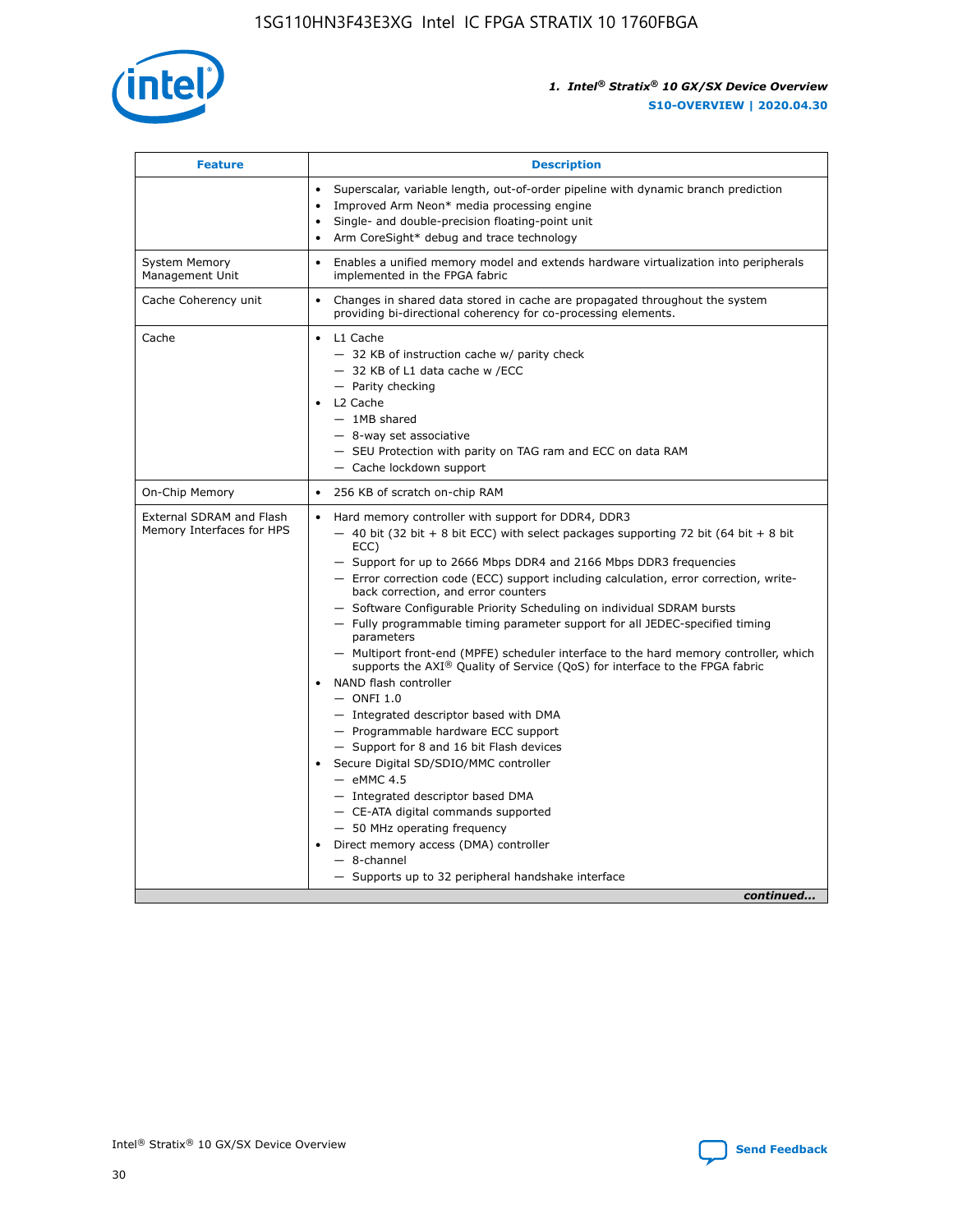

| <b>Feature</b>                                        | <b>Description</b>                                                                                                                                                                                                                                                                                                                                                                                                                                                                                                                                                                                                                                                                                                                                                                                                                                                                                                                                                                                                                                                                                                                                                                                               |
|-------------------------------------------------------|------------------------------------------------------------------------------------------------------------------------------------------------------------------------------------------------------------------------------------------------------------------------------------------------------------------------------------------------------------------------------------------------------------------------------------------------------------------------------------------------------------------------------------------------------------------------------------------------------------------------------------------------------------------------------------------------------------------------------------------------------------------------------------------------------------------------------------------------------------------------------------------------------------------------------------------------------------------------------------------------------------------------------------------------------------------------------------------------------------------------------------------------------------------------------------------------------------------|
|                                                       | Superscalar, variable length, out-of-order pipeline with dynamic branch prediction<br>Improved Arm Neon* media processing engine<br>Single- and double-precision floating-point unit<br>Arm CoreSight* debug and trace technology<br>٠                                                                                                                                                                                                                                                                                                                                                                                                                                                                                                                                                                                                                                                                                                                                                                                                                                                                                                                                                                           |
| <b>System Memory</b><br>Management Unit               | Enables a unified memory model and extends hardware virtualization into peripherals<br>implemented in the FPGA fabric                                                                                                                                                                                                                                                                                                                                                                                                                                                                                                                                                                                                                                                                                                                                                                                                                                                                                                                                                                                                                                                                                            |
| Cache Coherency unit                                  | Changes in shared data stored in cache are propagated throughout the system<br>$\bullet$<br>providing bi-directional coherency for co-processing elements.                                                                                                                                                                                                                                                                                                                                                                                                                                                                                                                                                                                                                                                                                                                                                                                                                                                                                                                                                                                                                                                       |
| Cache                                                 | L1 Cache<br>$\bullet$<br>- 32 KB of instruction cache w/ parity check<br>- 32 KB of L1 data cache w /ECC<br>- Parity checking<br>L <sub>2</sub> Cache<br>$-$ 1MB shared<br>$-$ 8-way set associative<br>- SEU Protection with parity on TAG ram and ECC on data RAM<br>- Cache lockdown support                                                                                                                                                                                                                                                                                                                                                                                                                                                                                                                                                                                                                                                                                                                                                                                                                                                                                                                  |
| On-Chip Memory                                        | 256 KB of scratch on-chip RAM                                                                                                                                                                                                                                                                                                                                                                                                                                                                                                                                                                                                                                                                                                                                                                                                                                                                                                                                                                                                                                                                                                                                                                                    |
| External SDRAM and Flash<br>Memory Interfaces for HPS | Hard memory controller with support for DDR4, DDR3<br>$\bullet$<br>$-$ 40 bit (32 bit + 8 bit ECC) with select packages supporting 72 bit (64 bit + 8 bit<br>ECC)<br>- Support for up to 2666 Mbps DDR4 and 2166 Mbps DDR3 frequencies<br>- Error correction code (ECC) support including calculation, error correction, write-<br>back correction, and error counters<br>- Software Configurable Priority Scheduling on individual SDRAM bursts<br>- Fully programmable timing parameter support for all JEDEC-specified timing<br>parameters<br>- Multiport front-end (MPFE) scheduler interface to the hard memory controller, which<br>supports the $AXI^{\circledR}$ Quality of Service (QoS) for interface to the FPGA fabric<br>NAND flash controller<br>$-$ ONFI 1.0<br>- Integrated descriptor based with DMA<br>- Programmable hardware ECC support<br>- Support for 8 and 16 bit Flash devices<br>Secure Digital SD/SDIO/MMC controller<br>$-$ eMMC 4.5<br>- Integrated descriptor based DMA<br>- CE-ATA digital commands supported<br>- 50 MHz operating frequency<br>Direct memory access (DMA) controller<br>٠<br>$-$ 8-channel<br>- Supports up to 32 peripheral handshake interface<br>continued |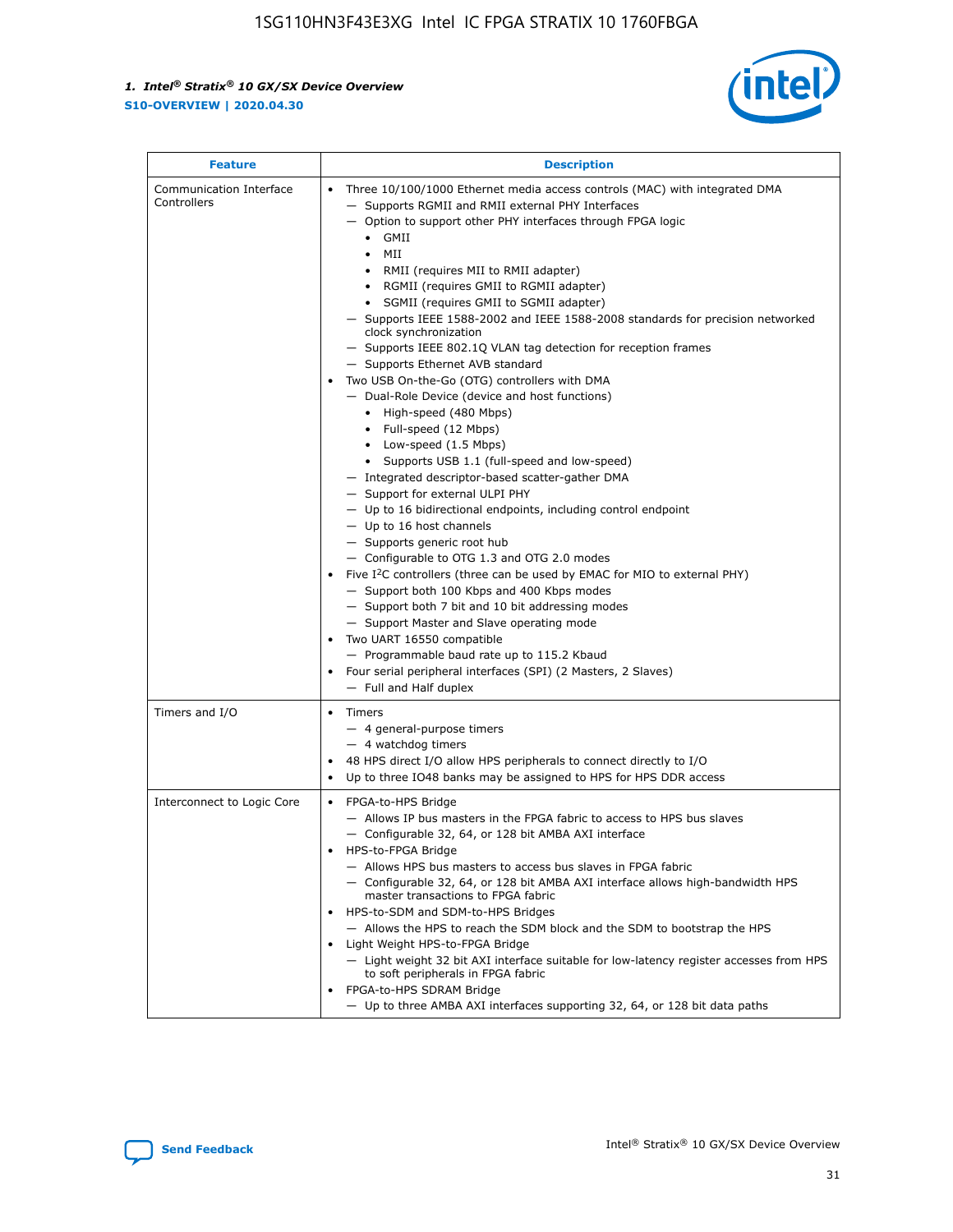

| <b>Feature</b>                         | <b>Description</b>                                                                                                                                                                                                                                                                                                                                                                                                                                                                                                                                                                                                                                                                                                                                                                                                                                                                                                                                                                                                                                                                                                                                                                                                                                                                                                                                                                                                                                                                              |  |  |  |
|----------------------------------------|-------------------------------------------------------------------------------------------------------------------------------------------------------------------------------------------------------------------------------------------------------------------------------------------------------------------------------------------------------------------------------------------------------------------------------------------------------------------------------------------------------------------------------------------------------------------------------------------------------------------------------------------------------------------------------------------------------------------------------------------------------------------------------------------------------------------------------------------------------------------------------------------------------------------------------------------------------------------------------------------------------------------------------------------------------------------------------------------------------------------------------------------------------------------------------------------------------------------------------------------------------------------------------------------------------------------------------------------------------------------------------------------------------------------------------------------------------------------------------------------------|--|--|--|
| Communication Interface<br>Controllers | Three 10/100/1000 Ethernet media access controls (MAC) with integrated DMA<br>- Supports RGMII and RMII external PHY Interfaces<br>- Option to support other PHY interfaces through FPGA logic<br>$\bullet$ GMII<br>MII<br>$\bullet$<br>RMII (requires MII to RMII adapter)<br>• RGMII (requires GMII to RGMII adapter)<br>• SGMII (requires GMII to SGMII adapter)<br>- Supports IEEE 1588-2002 and IEEE 1588-2008 standards for precision networked<br>clock synchronization<br>- Supports IEEE 802.1Q VLAN tag detection for reception frames<br>- Supports Ethernet AVB standard<br>Two USB On-the-Go (OTG) controllers with DMA<br>- Dual-Role Device (device and host functions)<br>• High-speed (480 Mbps)<br>• Full-speed (12 Mbps)<br>• Low-speed (1.5 Mbps)<br>• Supports USB 1.1 (full-speed and low-speed)<br>- Integrated descriptor-based scatter-gather DMA<br>- Support for external ULPI PHY<br>- Up to 16 bidirectional endpoints, including control endpoint<br>$-$ Up to 16 host channels<br>- Supports generic root hub<br>- Configurable to OTG 1.3 and OTG 2.0 modes<br>Five $I^2C$ controllers (three can be used by EMAC for MIO to external PHY)<br>- Support both 100 Kbps and 400 Kbps modes<br>- Support both 7 bit and 10 bit addressing modes<br>- Support Master and Slave operating mode<br>Two UART 16550 compatible<br>- Programmable baud rate up to 115.2 Kbaud<br>Four serial peripheral interfaces (SPI) (2 Masters, 2 Slaves)<br>- Full and Half duplex |  |  |  |
| Timers and I/O                         | • Timers<br>- 4 general-purpose timers<br>$-4$ watchdog timers<br>48 HPS direct I/O allow HPS peripherals to connect directly to I/O<br>Up to three IO48 banks may be assigned to HPS for HPS DDR access                                                                                                                                                                                                                                                                                                                                                                                                                                                                                                                                                                                                                                                                                                                                                                                                                                                                                                                                                                                                                                                                                                                                                                                                                                                                                        |  |  |  |
| Interconnect to Logic Core             | • FPGA-to-HPS Bridge<br>- Allows IP bus masters in the FPGA fabric to access to HPS bus slaves<br>- Configurable 32, 64, or 128 bit AMBA AXI interface<br>HPS-to-FPGA Bridge<br>- Allows HPS bus masters to access bus slaves in FPGA fabric<br>- Configurable 32, 64, or 128 bit AMBA AXI interface allows high-bandwidth HPS<br>master transactions to FPGA fabric<br>HPS-to-SDM and SDM-to-HPS Bridges<br>- Allows the HPS to reach the SDM block and the SDM to bootstrap the HPS<br>Light Weight HPS-to-FPGA Bridge<br>- Light weight 32 bit AXI interface suitable for low-latency register accesses from HPS<br>to soft peripherals in FPGA fabric<br>FPGA-to-HPS SDRAM Bridge<br>- Up to three AMBA AXI interfaces supporting 32, 64, or 128 bit data paths                                                                                                                                                                                                                                                                                                                                                                                                                                                                                                                                                                                                                                                                                                                             |  |  |  |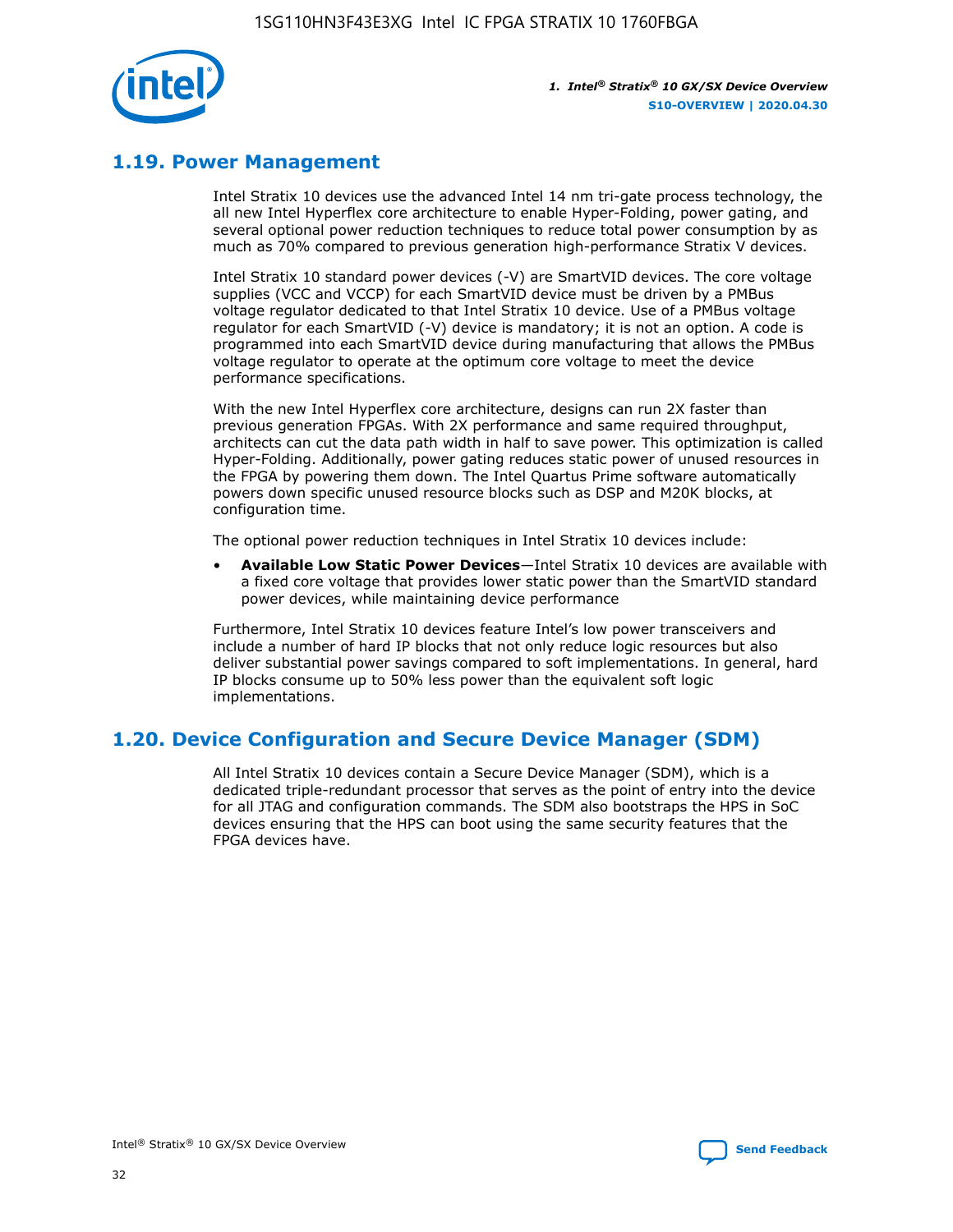

# **1.19. Power Management**

Intel Stratix 10 devices use the advanced Intel 14 nm tri-gate process technology, the all new Intel Hyperflex core architecture to enable Hyper-Folding, power gating, and several optional power reduction techniques to reduce total power consumption by as much as 70% compared to previous generation high-performance Stratix V devices.

Intel Stratix 10 standard power devices (-V) are SmartVID devices. The core voltage supplies (VCC and VCCP) for each SmartVID device must be driven by a PMBus voltage regulator dedicated to that Intel Stratix 10 device. Use of a PMBus voltage regulator for each SmartVID (-V) device is mandatory; it is not an option. A code is programmed into each SmartVID device during manufacturing that allows the PMBus voltage regulator to operate at the optimum core voltage to meet the device performance specifications.

With the new Intel Hyperflex core architecture, designs can run 2X faster than previous generation FPGAs. With 2X performance and same required throughput, architects can cut the data path width in half to save power. This optimization is called Hyper-Folding. Additionally, power gating reduces static power of unused resources in the FPGA by powering them down. The Intel Quartus Prime software automatically powers down specific unused resource blocks such as DSP and M20K blocks, at configuration time.

The optional power reduction techniques in Intel Stratix 10 devices include:

• **Available Low Static Power Devices**—Intel Stratix 10 devices are available with a fixed core voltage that provides lower static power than the SmartVID standard power devices, while maintaining device performance

Furthermore, Intel Stratix 10 devices feature Intel's low power transceivers and include a number of hard IP blocks that not only reduce logic resources but also deliver substantial power savings compared to soft implementations. In general, hard IP blocks consume up to 50% less power than the equivalent soft logic implementations.

# **1.20. Device Configuration and Secure Device Manager (SDM)**

All Intel Stratix 10 devices contain a Secure Device Manager (SDM), which is a dedicated triple-redundant processor that serves as the point of entry into the device for all JTAG and configuration commands. The SDM also bootstraps the HPS in SoC devices ensuring that the HPS can boot using the same security features that the FPGA devices have.

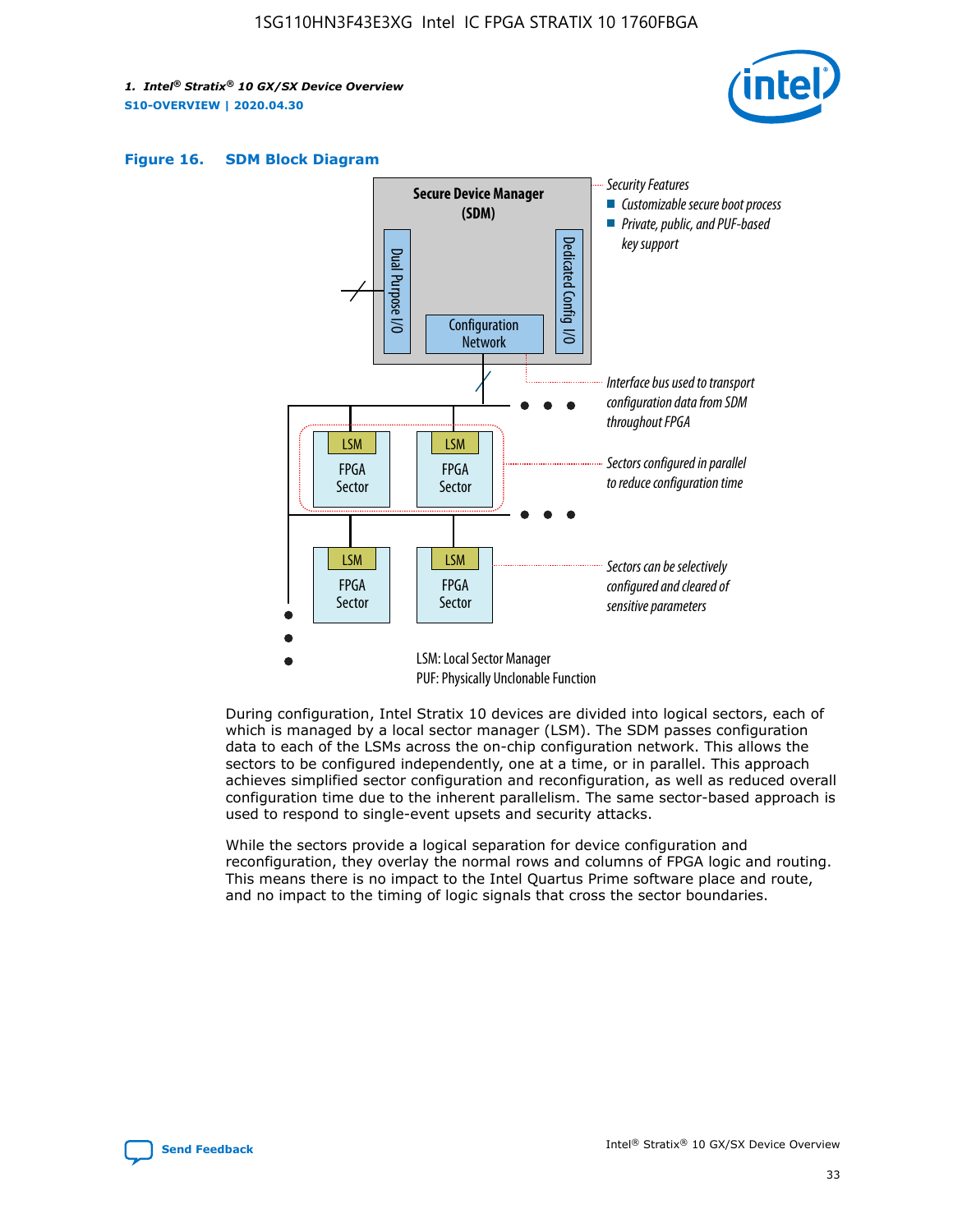





During configuration, Intel Stratix 10 devices are divided into logical sectors, each of which is managed by a local sector manager (LSM). The SDM passes configuration data to each of the LSMs across the on-chip configuration network. This allows the sectors to be configured independently, one at a time, or in parallel. This approach achieves simplified sector configuration and reconfiguration, as well as reduced overall configuration time due to the inherent parallelism. The same sector-based approach is used to respond to single-event upsets and security attacks.

While the sectors provide a logical separation for device configuration and reconfiguration, they overlay the normal rows and columns of FPGA logic and routing. This means there is no impact to the Intel Quartus Prime software place and route, and no impact to the timing of logic signals that cross the sector boundaries.

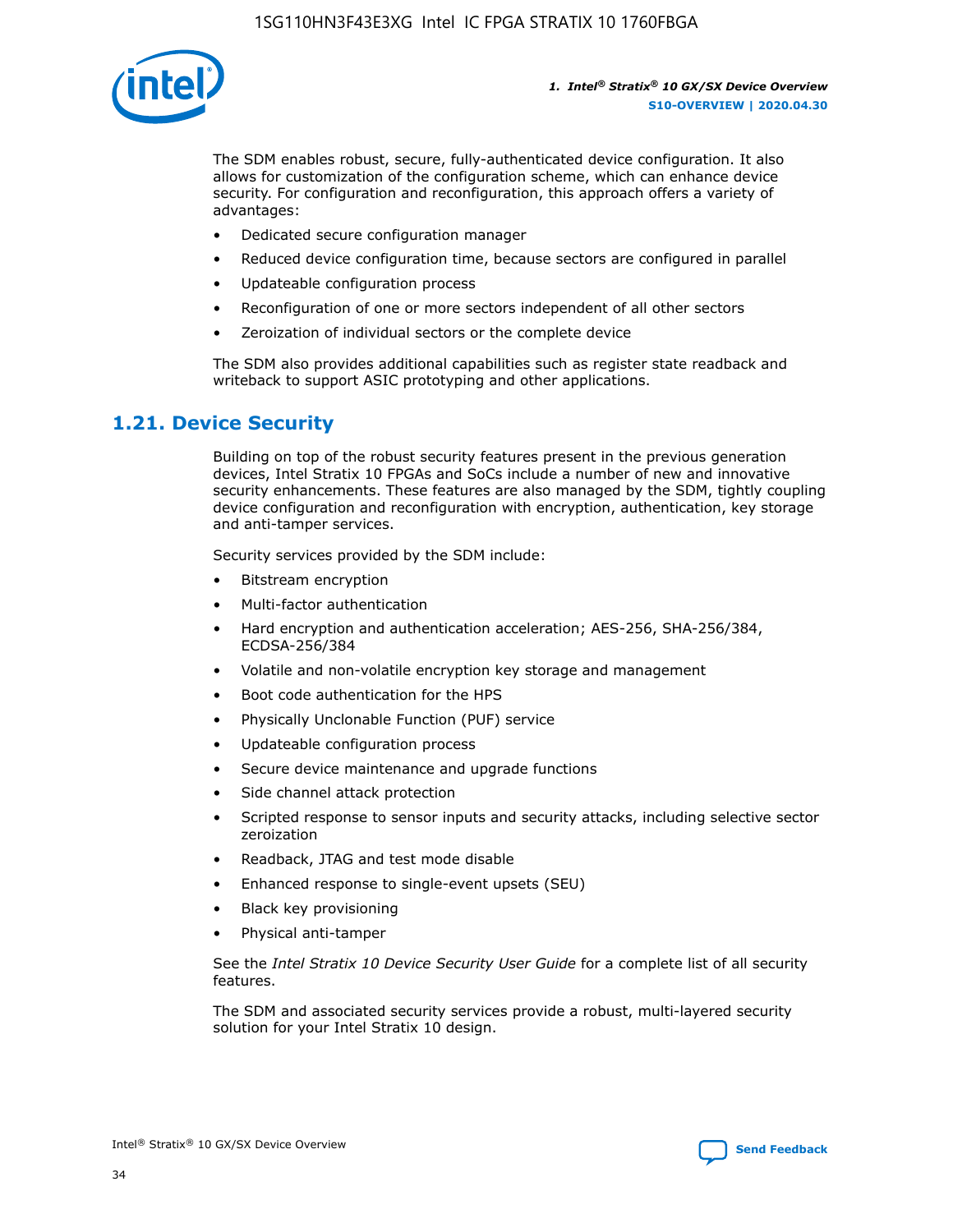

The SDM enables robust, secure, fully-authenticated device configuration. It also allows for customization of the configuration scheme, which can enhance device security. For configuration and reconfiguration, this approach offers a variety of advantages:

- Dedicated secure configuration manager
- Reduced device configuration time, because sectors are configured in parallel
- Updateable configuration process
- Reconfiguration of one or more sectors independent of all other sectors
- Zeroization of individual sectors or the complete device

The SDM also provides additional capabilities such as register state readback and writeback to support ASIC prototyping and other applications.

## **1.21. Device Security**

Building on top of the robust security features present in the previous generation devices, Intel Stratix 10 FPGAs and SoCs include a number of new and innovative security enhancements. These features are also managed by the SDM, tightly coupling device configuration and reconfiguration with encryption, authentication, key storage and anti-tamper services.

Security services provided by the SDM include:

- Bitstream encryption
- Multi-factor authentication
- Hard encryption and authentication acceleration; AES-256, SHA-256/384, ECDSA-256/384
- Volatile and non-volatile encryption key storage and management
- Boot code authentication for the HPS
- Physically Unclonable Function (PUF) service
- Updateable configuration process
- Secure device maintenance and upgrade functions
- Side channel attack protection
- Scripted response to sensor inputs and security attacks, including selective sector zeroization
- Readback, JTAG and test mode disable
- Enhanced response to single-event upsets (SEU)
- Black key provisioning
- Physical anti-tamper

See the *Intel Stratix 10 Device Security User Guide* for a complete list of all security features.

The SDM and associated security services provide a robust, multi-layered security solution for your Intel Stratix 10 design.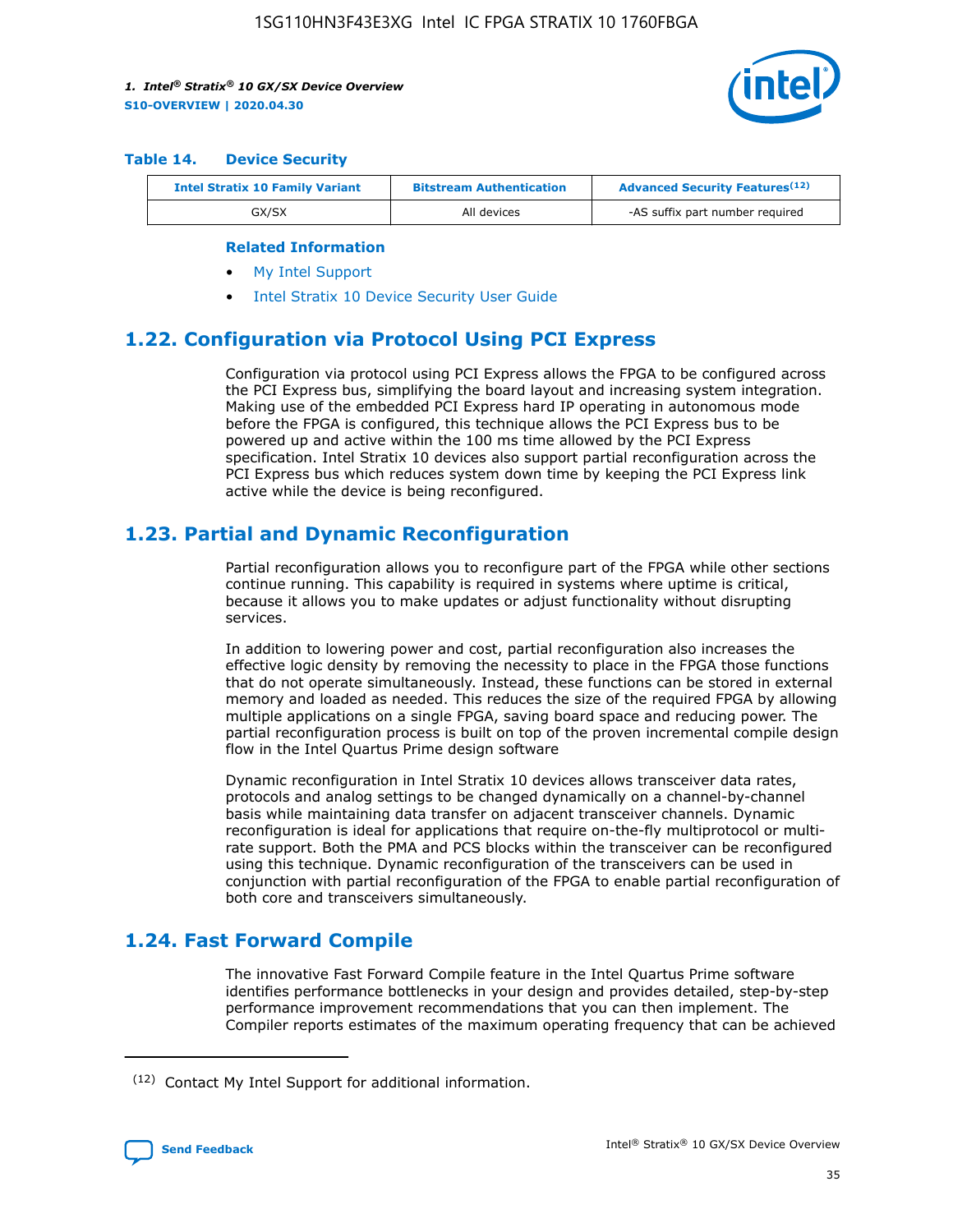

#### **Table 14. Device Security**

| <b>Intel Stratix 10 Family Variant</b> | <b>Bitstream Authentication</b> | <b>Advanced Security Features</b> <sup>(12)</sup> |
|----------------------------------------|---------------------------------|---------------------------------------------------|
| GX/SX                                  | All devices                     | -AS suffix part number required                   |

#### **Related Information**

- [My Intel Support](https://www.intel.com/content/www/us/en/programmable/my-intel/mal-home.html)
- [Intel Stratix 10 Device Security User Guide](https://www.intel.com/content/www/us/en/programmable/documentation/ndq1483601370898.html#wcd1483611014402)

## **1.22. Configuration via Protocol Using PCI Express**

Configuration via protocol using PCI Express allows the FPGA to be configured across the PCI Express bus, simplifying the board layout and increasing system integration. Making use of the embedded PCI Express hard IP operating in autonomous mode before the FPGA is configured, this technique allows the PCI Express bus to be powered up and active within the 100 ms time allowed by the PCI Express specification. Intel Stratix 10 devices also support partial reconfiguration across the PCI Express bus which reduces system down time by keeping the PCI Express link active while the device is being reconfigured.

## **1.23. Partial and Dynamic Reconfiguration**

Partial reconfiguration allows you to reconfigure part of the FPGA while other sections continue running. This capability is required in systems where uptime is critical, because it allows you to make updates or adjust functionality without disrupting services.

In addition to lowering power and cost, partial reconfiguration also increases the effective logic density by removing the necessity to place in the FPGA those functions that do not operate simultaneously. Instead, these functions can be stored in external memory and loaded as needed. This reduces the size of the required FPGA by allowing multiple applications on a single FPGA, saving board space and reducing power. The partial reconfiguration process is built on top of the proven incremental compile design flow in the Intel Quartus Prime design software

Dynamic reconfiguration in Intel Stratix 10 devices allows transceiver data rates, protocols and analog settings to be changed dynamically on a channel-by-channel basis while maintaining data transfer on adjacent transceiver channels. Dynamic reconfiguration is ideal for applications that require on-the-fly multiprotocol or multirate support. Both the PMA and PCS blocks within the transceiver can be reconfigured using this technique. Dynamic reconfiguration of the transceivers can be used in conjunction with partial reconfiguration of the FPGA to enable partial reconfiguration of both core and transceivers simultaneously.

# **1.24. Fast Forward Compile**

The innovative Fast Forward Compile feature in the Intel Quartus Prime software identifies performance bottlenecks in your design and provides detailed, step-by-step performance improvement recommendations that you can then implement. The Compiler reports estimates of the maximum operating frequency that can be achieved

<sup>(12)</sup> Contact My Intel Support for additional information.

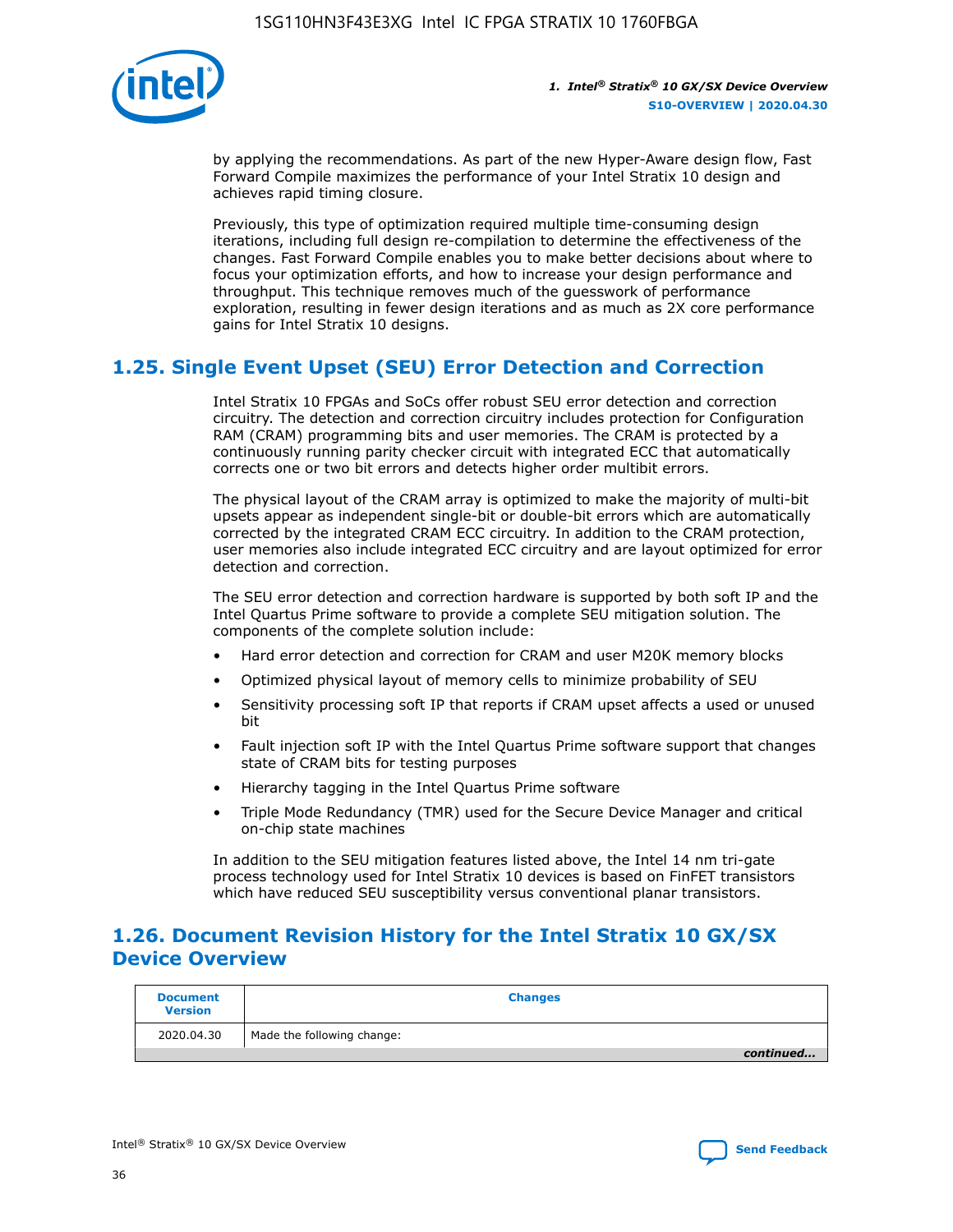

by applying the recommendations. As part of the new Hyper-Aware design flow, Fast Forward Compile maximizes the performance of your Intel Stratix 10 design and achieves rapid timing closure.

Previously, this type of optimization required multiple time-consuming design iterations, including full design re-compilation to determine the effectiveness of the changes. Fast Forward Compile enables you to make better decisions about where to focus your optimization efforts, and how to increase your design performance and throughput. This technique removes much of the guesswork of performance exploration, resulting in fewer design iterations and as much as 2X core performance gains for Intel Stratix 10 designs.

# **1.25. Single Event Upset (SEU) Error Detection and Correction**

Intel Stratix 10 FPGAs and SoCs offer robust SEU error detection and correction circuitry. The detection and correction circuitry includes protection for Configuration RAM (CRAM) programming bits and user memories. The CRAM is protected by a continuously running parity checker circuit with integrated ECC that automatically corrects one or two bit errors and detects higher order multibit errors.

The physical layout of the CRAM array is optimized to make the majority of multi-bit upsets appear as independent single-bit or double-bit errors which are automatically corrected by the integrated CRAM ECC circuitry. In addition to the CRAM protection, user memories also include integrated ECC circuitry and are layout optimized for error detection and correction.

The SEU error detection and correction hardware is supported by both soft IP and the Intel Quartus Prime software to provide a complete SEU mitigation solution. The components of the complete solution include:

- Hard error detection and correction for CRAM and user M20K memory blocks
- Optimized physical layout of memory cells to minimize probability of SEU
- Sensitivity processing soft IP that reports if CRAM upset affects a used or unused bit
- Fault injection soft IP with the Intel Quartus Prime software support that changes state of CRAM bits for testing purposes
- Hierarchy tagging in the Intel Quartus Prime software
- Triple Mode Redundancy (TMR) used for the Secure Device Manager and critical on-chip state machines

In addition to the SEU mitigation features listed above, the Intel 14 nm tri-gate process technology used for Intel Stratix 10 devices is based on FinFET transistors which have reduced SEU susceptibility versus conventional planar transistors.

# **1.26. Document Revision History for the Intel Stratix 10 GX/SX Device Overview**

| <b>Document</b><br><b>Version</b> | <b>Changes</b>             |
|-----------------------------------|----------------------------|
| 2020.04.30                        | Made the following change: |
|                                   | continued                  |

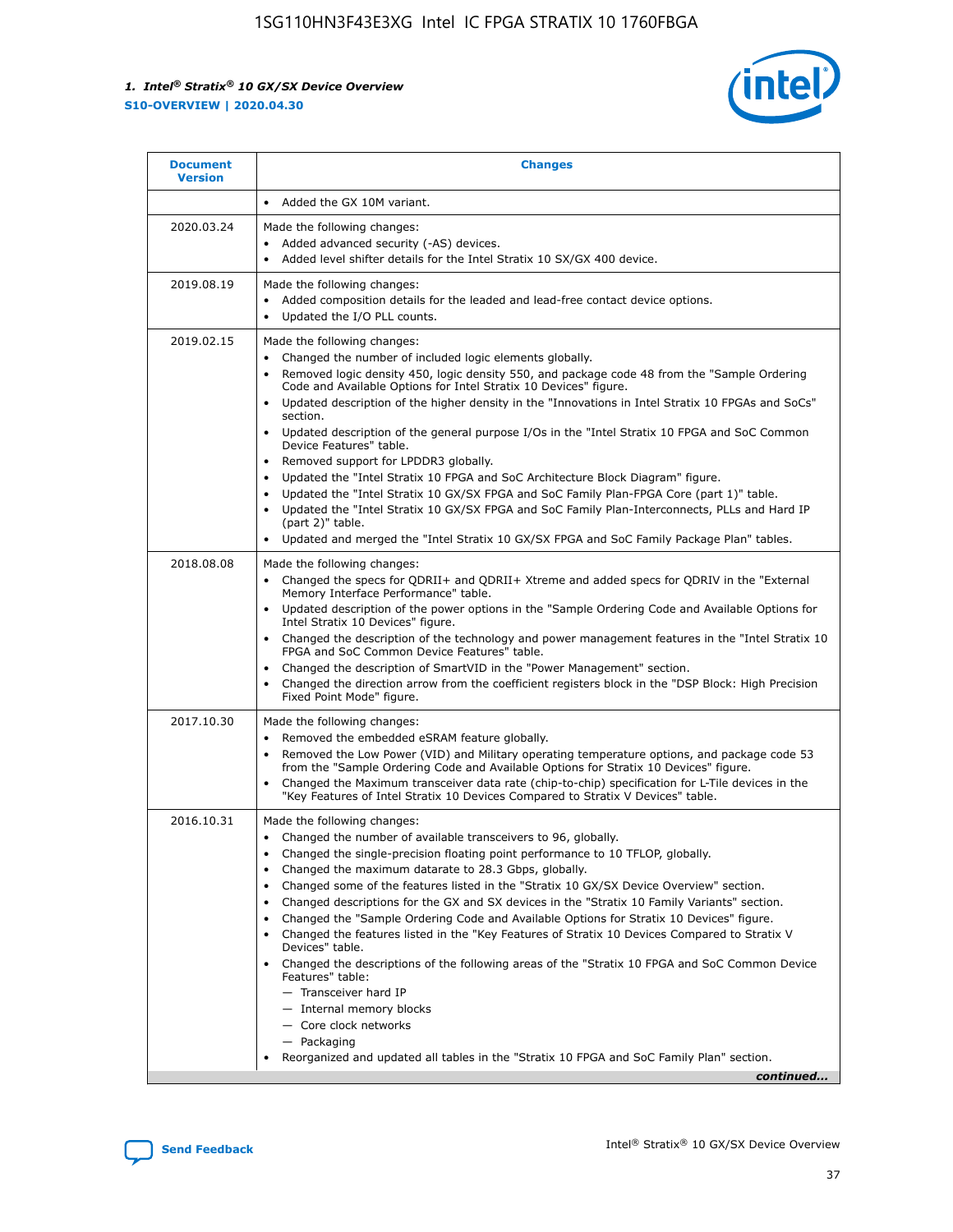

| <b>Document</b><br><b>Version</b> | <b>Changes</b>                                                                                                                                                                                                                                                                                                                                                                                                                                                                                                                                                                                                                                                                                                                                                                                                                                                                                                                                                                                              |
|-----------------------------------|-------------------------------------------------------------------------------------------------------------------------------------------------------------------------------------------------------------------------------------------------------------------------------------------------------------------------------------------------------------------------------------------------------------------------------------------------------------------------------------------------------------------------------------------------------------------------------------------------------------------------------------------------------------------------------------------------------------------------------------------------------------------------------------------------------------------------------------------------------------------------------------------------------------------------------------------------------------------------------------------------------------|
|                                   | Added the GX 10M variant.                                                                                                                                                                                                                                                                                                                                                                                                                                                                                                                                                                                                                                                                                                                                                                                                                                                                                                                                                                                   |
| 2020.03.24                        | Made the following changes:<br>Added advanced security (-AS) devices.<br>Added level shifter details for the Intel Stratix 10 SX/GX 400 device.                                                                                                                                                                                                                                                                                                                                                                                                                                                                                                                                                                                                                                                                                                                                                                                                                                                             |
| 2019.08.19                        | Made the following changes:<br>Added composition details for the leaded and lead-free contact device options.<br>$\bullet$<br>Updated the I/O PLL counts.                                                                                                                                                                                                                                                                                                                                                                                                                                                                                                                                                                                                                                                                                                                                                                                                                                                   |
| 2019.02.15                        | Made the following changes:<br>Changed the number of included logic elements globally.<br>$\bullet$<br>Removed logic density 450, logic density 550, and package code 48 from the "Sample Ordering<br>$\bullet$<br>Code and Available Options for Intel Stratix 10 Devices" figure.<br>Updated description of the higher density in the "Innovations in Intel Stratix 10 FPGAs and SoCs"<br>section.<br>Updated description of the general purpose I/Os in the "Intel Stratix 10 FPGA and SoC Common<br>$\bullet$<br>Device Features" table.<br>Removed support for LPDDR3 globally.<br>Updated the "Intel Stratix 10 FPGA and SoC Architecture Block Diagram" figure.<br>$\bullet$<br>Updated the "Intel Stratix 10 GX/SX FPGA and SoC Family Plan-FPGA Core (part 1)" table.<br>$\bullet$<br>Updated the "Intel Stratix 10 GX/SX FPGA and SoC Family Plan-Interconnects, PLLs and Hard IP<br>(part 2)" table.<br>Updated and merged the "Intel Stratix 10 GX/SX FPGA and SoC Family Package Plan" tables. |
| 2018.08.08                        | Made the following changes:<br>Changed the specs for QDRII+ and QDRII+ Xtreme and added specs for QDRIV in the "External<br>$\bullet$<br>Memory Interface Performance" table.<br>Updated description of the power options in the "Sample Ordering Code and Available Options for<br>Intel Stratix 10 Devices" figure.<br>Changed the description of the technology and power management features in the "Intel Stratix 10<br>FPGA and SoC Common Device Features" table.<br>Changed the description of SmartVID in the "Power Management" section.<br>Changed the direction arrow from the coefficient registers block in the "DSP Block: High Precision<br>$\bullet$<br>Fixed Point Mode" figure.                                                                                                                                                                                                                                                                                                          |
| 2017.10.30                        | Made the following changes:<br>Removed the embedded eSRAM feature globally.<br>$\bullet$<br>Removed the Low Power (VID) and Military operating temperature options, and package code 53<br>$\bullet$<br>from the "Sample Ordering Code and Available Options for Stratix 10 Devices" figure.<br>Changed the Maximum transceiver data rate (chip-to-chip) specification for L-Tile devices in the<br>"Key Features of Intel Stratix 10 Devices Compared to Stratix V Devices" table.                                                                                                                                                                                                                                                                                                                                                                                                                                                                                                                         |
| 2016.10.31                        | Made the following changes:<br>• Changed the number of available transceivers to 96, globally.<br>Changed the single-precision floating point performance to 10 TFLOP, globally.<br>Changed the maximum datarate to 28.3 Gbps, globally.<br>٠<br>Changed some of the features listed in the "Stratix 10 GX/SX Device Overview" section.<br>$\bullet$<br>Changed descriptions for the GX and SX devices in the "Stratix 10 Family Variants" section.<br>$\bullet$<br>Changed the "Sample Ordering Code and Available Options for Stratix 10 Devices" figure.<br>Changed the features listed in the "Key Features of Stratix 10 Devices Compared to Stratix V<br>Devices" table.<br>Changed the descriptions of the following areas of the "Stratix 10 FPGA and SoC Common Device<br>Features" table:<br>- Transceiver hard IP<br>- Internal memory blocks<br>- Core clock networks<br>- Packaging<br>Reorganized and updated all tables in the "Stratix 10 FPGA and SoC Family Plan" section.                |
|                                   | continued                                                                                                                                                                                                                                                                                                                                                                                                                                                                                                                                                                                                                                                                                                                                                                                                                                                                                                                                                                                                   |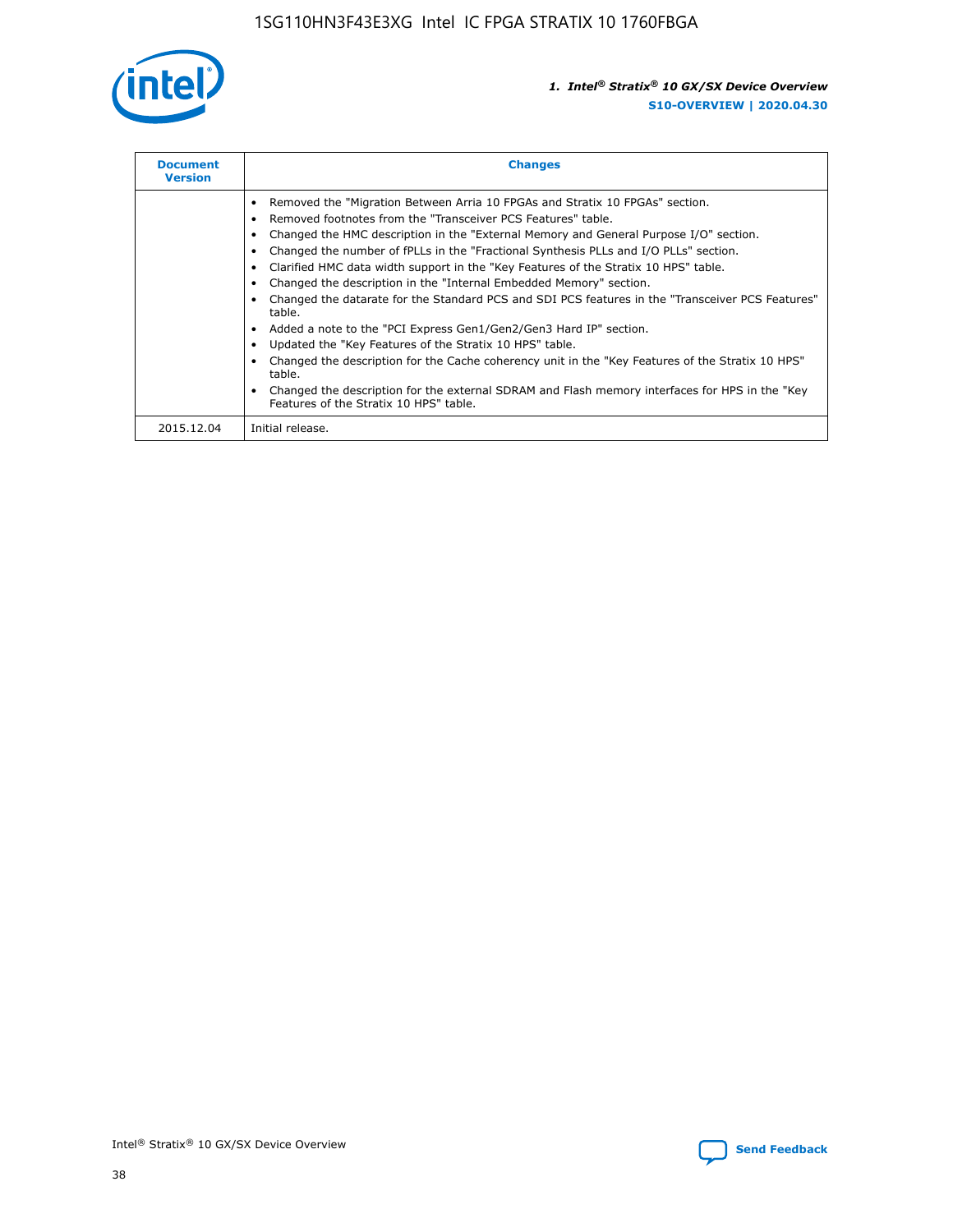

| <b>Document</b><br><b>Version</b> | <b>Changes</b>                                                                                                                                                                                                                                                                                                                                                                                                                                                                                                                                                                                                                                                                                                                                                                                                                                                                                                                                                                                     |
|-----------------------------------|----------------------------------------------------------------------------------------------------------------------------------------------------------------------------------------------------------------------------------------------------------------------------------------------------------------------------------------------------------------------------------------------------------------------------------------------------------------------------------------------------------------------------------------------------------------------------------------------------------------------------------------------------------------------------------------------------------------------------------------------------------------------------------------------------------------------------------------------------------------------------------------------------------------------------------------------------------------------------------------------------|
|                                   | Removed the "Migration Between Arria 10 FPGAs and Stratix 10 FPGAs" section.<br>Removed footnotes from the "Transceiver PCS Features" table.<br>Changed the HMC description in the "External Memory and General Purpose I/O" section.<br>Changed the number of fPLLs in the "Fractional Synthesis PLLs and I/O PLLs" section.<br>Clarified HMC data width support in the "Key Features of the Stratix 10 HPS" table.<br>Changed the description in the "Internal Embedded Memory" section.<br>Changed the datarate for the Standard PCS and SDI PCS features in the "Transceiver PCS Features"<br>table.<br>Added a note to the "PCI Express Gen1/Gen2/Gen3 Hard IP" section.<br>Updated the "Key Features of the Stratix 10 HPS" table.<br>Changed the description for the Cache coherency unit in the "Key Features of the Stratix 10 HPS"<br>table.<br>Changed the description for the external SDRAM and Flash memory interfaces for HPS in the "Key<br>Features of the Stratix 10 HPS" table. |
| 2015.12.04                        | Initial release.                                                                                                                                                                                                                                                                                                                                                                                                                                                                                                                                                                                                                                                                                                                                                                                                                                                                                                                                                                                   |